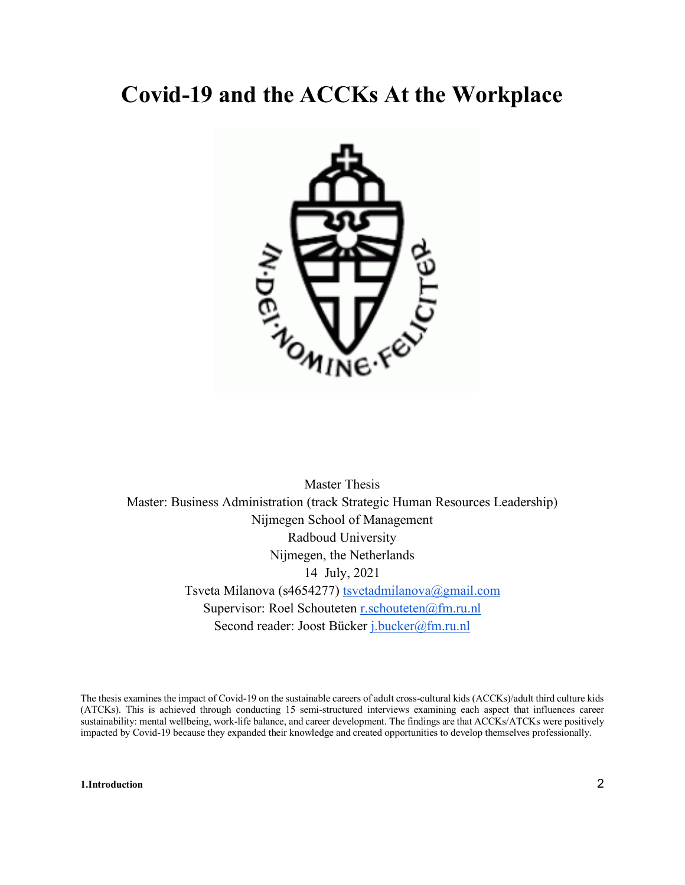# **Covid-19 and the ACCKs At the Workplace**



Master Thesis Master: Business Administration (track Strategic Human Resources Leadership) Nijmegen School of Management Radboud University Nijmegen, the Netherlands 14 July, 2021 Tsveta Milanova (s4654277) [tsvetadmilanova@gmail.com](mailto:tsvetadmilanova@gmail.com) Supervisor: Roel Schouteten [r.schouteten@fm.ru.nl](mailto:r.schouteten@fm.ru.nl) Second reader: Joost Bücker [j.bucker@fm.ru.nl](mailto:j.bucker@fm.ru.nl)

The thesis examines the impact of Covid-19 on the sustainable careers of adult cross-cultural kids (ACCKs)/adult third culture kids (ATCKs). This is achieved through conducting 15 semi-structured interviews examining each aspect that influences career sustainability: mental wellbeing, work-life balance, and career development. The findings are that ACCKs/ATCKs were positively impacted by Covid-19 because they expanded their knowledge and created opportunities to develop themselves professionally.

**[1.Introduction](#page-2-0)** 2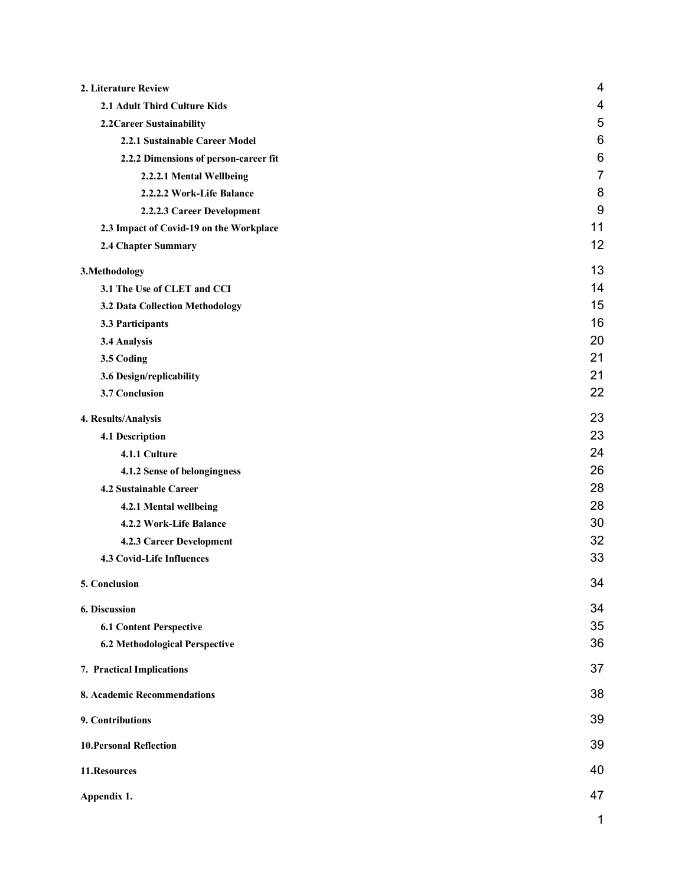| 2. Literature Review                    | 4              |
|-----------------------------------------|----------------|
| 2.1 Adult Third Culture Kids            | 4              |
| 2.2 Career Sustainability               | 5              |
| 2.2.1 Sustainable Career Model          | 6              |
| 2.2.2 Dimensions of person-career fit   | 6              |
| 2.2.2.1 Mental Wellbeing                | $\overline{7}$ |
| 2.2.2.2 Work-Life Balance               | 8              |
| 2.2.2.3 Career Development              | 9              |
| 2.3 Impact of Covid-19 on the Workplace | 11             |
| 2.4 Chapter Summary                     | 12             |
| 3. Methodology                          | 13             |
| 3.1 The Use of CLET and CCI             | 14             |
| 3.2 Data Collection Methodology         | 15             |
| 3.3 Participants                        | 16             |
| 3.4 Analysis                            | 20             |
| 3.5 Coding                              | 21             |
| 3.6 Design/replicability                | 21             |
| 3.7 Conclusion                          | 22             |
| 4. Results/Analysis                     | 23             |
| 4.1 Description                         | 23             |
| 4.1.1 Culture                           | 24             |
| 4.1.2 Sense of belongingness            | 26             |
| 4.2 Sustainable Career                  | 28             |
| 4.2.1 Mental wellbeing                  | 28             |
| 4.2.2 Work-Life Balance                 | 30             |
| 4.2.3 Career Development                | 32             |
| 4.3 Covid-Life Influences               | 33             |
| 5. Conclusion                           | 34             |
| 6. Discussion                           | 34             |
| <b>6.1 Content Perspective</b>          | 35             |
| <b>6.2 Methodological Perspective</b>   | 36             |
| 7. Practical Implications               | 37             |
| 8. Academic Recommendations             | 38             |
| 9. Contributions                        | 39             |
| <b>10. Personal Reflection</b>          | 39             |
| 11.Resources                            | 40             |
| Appendix 1.                             | 47             |
|                                         | 1              |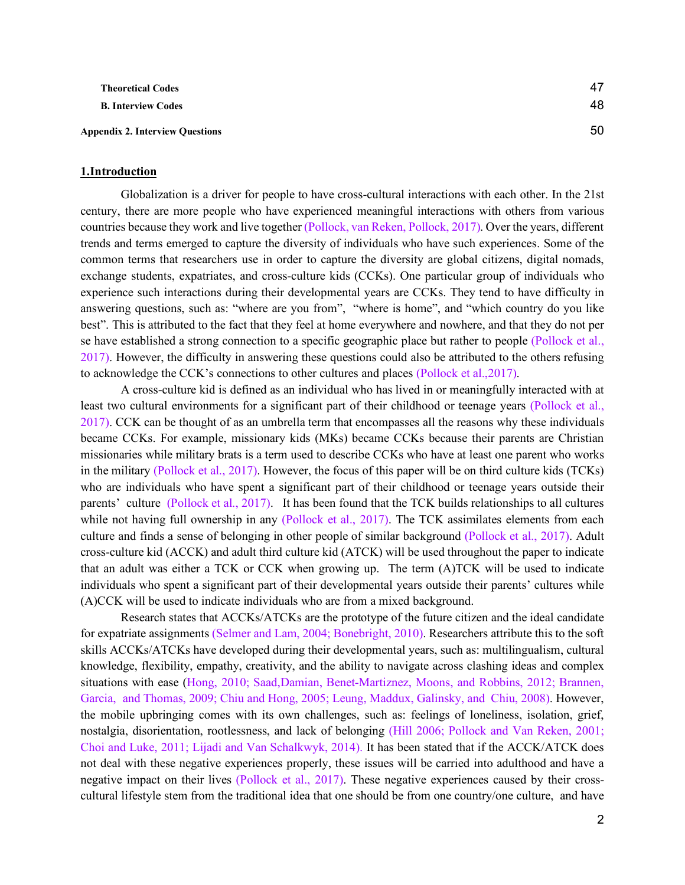**[Theoretical Codes](#page-47-1)** 47 **[B. Interview Codes](#page-48-0)** 48

<span id="page-2-0"></span>**[Appendix 2. Interview Questions](#page-50-0)** 50

# **1.Introduction**

Globalization is a driver for people to have cross-cultural interactions with each other. In the 21st century, there are more people who have experienced meaningful interactions with others from various countries because they work and live together (Pollock, van Reken, Pollock, 2017). Over the years, different trends and terms emerged to capture the diversity of individuals who have such experiences. Some of the common terms that researchers use in order to capture the diversity are global citizens, digital nomads, exchange students, expatriates, and cross-culture kids (CCKs). One particular group of individuals who experience such interactions during their developmental years are CCKs. They tend to have difficulty in answering questions, such as: "where are you from", "where is home", and "which country do you like best". This is attributed to the fact that they feel at home everywhere and nowhere, and that they do not per se have established a strong connection to a specific geographic place but rather to people (Pollock et al., 2017). However, the difficulty in answering these questions could also be attributed to the others refusing to acknowledge the CCK's connections to other cultures and places (Pollock et al.,2017).

A cross-culture kid is defined as an individual who has lived in or meaningfully interacted with at least two cultural environments for a significant part of their childhood or teenage years (Pollock et al., 2017). CCK can be thought of as an umbrella term that encompasses all the reasons why these individuals became CCKs. For example, missionary kids (MKs) became CCKs because their parents are Christian missionaries while military brats is a term used to describe CCKs who have at least one parent who works in the military (Pollock et al., 2017). However, the focus of this paper will be on third culture kids (TCKs) who are individuals who have spent a significant part of their childhood or teenage years outside their parents' culture (Pollock et al., 2017). It has been found that the TCK builds relationships to all cultures while not having full ownership in any (Pollock et al., 2017). The TCK assimilates elements from each culture and finds a sense of belonging in other people of similar background (Pollock et al., 2017). Adult cross-culture kid (ACCK) and adult third culture kid (ATCK) will be used throughout the paper to indicate that an adult was either a TCK or CCK when growing up. The term (A)TCK will be used to indicate individuals who spent a significant part of their developmental years outside their parents' cultures while (A)CCK will be used to indicate individuals who are from a mixed background.

Research states that ACCKs/ATCKs are the prototype of the future citizen and the ideal candidate for expatriate assignments (Selmer and Lam, 2004; Bonebright, 2010). Researchers attribute this to the soft skills ACCKs/ATCKs have developed during their developmental years, such as: multilingualism, cultural knowledge, flexibility, empathy, creativity, and the ability to navigate across clashing ideas and complex situations with ease (Hong, 2010; Saad,Damian, Benet-Martiznez, Moons, and Robbins, 2012; Brannen, Garcia, and Thomas, 2009; Chiu and Hong, 2005; Leung, Maddux, Galinsky, and Chiu, 2008). However, the mobile upbringing comes with its own challenges, such as: feelings of loneliness, isolation, grief, nostalgia, disorientation, rootlessness, and lack of belonging (Hill 2006; Pollock and Van Reken, 2001; Choi and Luke, 2011; Lijadi and Van Schalkwyk, 2014). It has been stated that if the ACCK/ATCK does not deal with these negative experiences properly, these issues will be carried into adulthood and have a negative impact on their lives (Pollock et al., 2017). These negative experiences caused by their crosscultural lifestyle stem from the traditional idea that one should be from one country/one culture, and have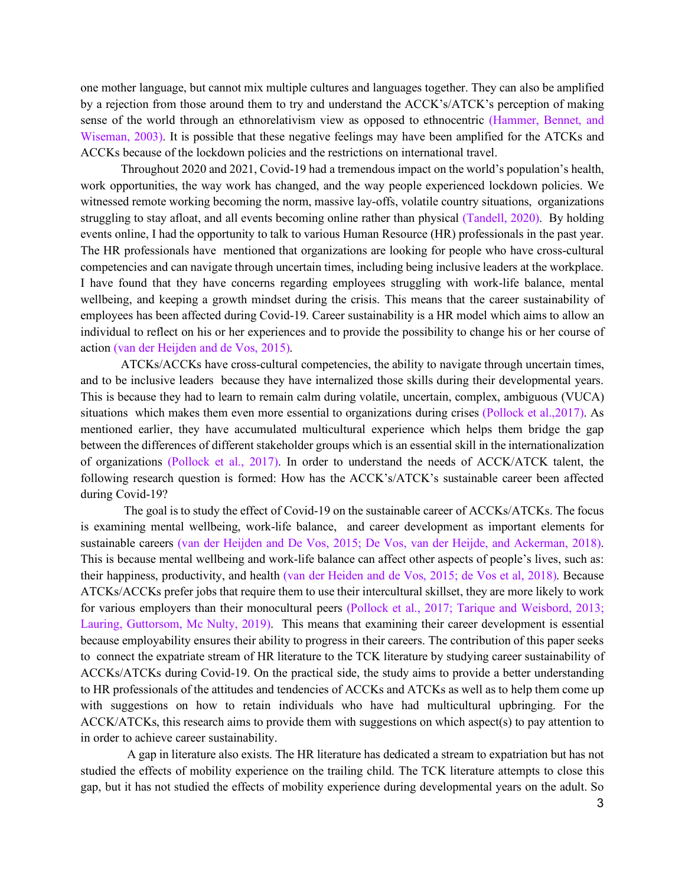one mother language, but cannot mix multiple cultures and languages together. They can also be amplified by a rejection from those around them to try and understand the ACCK's/ATCK's perception of making sense of the world through an ethnorelativism view as opposed to ethnocentric (Hammer, Bennet, and Wiseman, 2003). It is possible that these negative feelings may have been amplified for the ATCKs and ACCKs because of the lockdown policies and the restrictions on international travel.

Throughout 2020 and 2021, Covid-19 had a tremendous impact on the world's population's health, work opportunities, the way work has changed, and the way people experienced lockdown policies. We witnessed remote working becoming the norm, massive lay-offs, volatile country situations, organizations struggling to stay afloat, and all events becoming online rather than physical (Tandell, 2020). By holding events online, I had the opportunity to talk to various Human Resource (HR) professionals in the past year. The HR professionals have mentioned that organizations are looking for people who have cross-cultural competencies and can navigate through uncertain times, including being inclusive leaders at the workplace. I have found that they have concerns regarding employees struggling with work-life balance, mental wellbeing, and keeping a growth mindset during the crisis. This means that the career sustainability of employees has been affected during Covid-19. Career sustainability is a HR model which aims to allow an individual to reflect on his or her experiences and to provide the possibility to change his or her course of action (van der Heijden and de Vos, 2015).

ATCKs/ACCKs have cross-cultural competencies, the ability to navigate through uncertain times, and to be inclusive leaders because they have internalized those skills during their developmental years. This is because they had to learn to remain calm during volatile, uncertain, complex, ambiguous (VUCA) situations which makes them even more essential to organizations during crises (Pollock et al.,2017). As mentioned earlier, they have accumulated multicultural experience which helps them bridge the gap between the differences of different stakeholder groups which is an essential skill in the internationalization of organizations (Pollock et al., 2017). In order to understand the needs of ACCK/ATCK talent, the following research question is formed: How has the ACCK's/ATCK's sustainable career been affected during Covid-19?

The goal is to study the effect of Covid-19 on the sustainable career of ACCKs/ATCKs. The focus is examining mental wellbeing, work-life balance, and career development as important elements for sustainable careers (van der Heijden and De Vos, 2015; De Vos, van der Heijde, and Ackerman, 2018). This is because mental wellbeing and work-life balance can affect other aspects of people's lives, such as: their happiness, productivity, and health (van der Heiden and de Vos, 2015; de Vos et al, 2018). Because ATCKs/ACCKs prefer jobs that require them to use their intercultural skillset, they are more likely to work for various employers than their monocultural peers (Pollock et al., 2017; Tarique and Weisbord, 2013; Lauring, Guttorsom, Mc Nulty, 2019). This means that examining their career development is essential because employability ensures their ability to progress in their careers. The contribution of this paper seeks to connect the expatriate stream of HR literature to the TCK literature by studying career sustainability of ACCKs/ATCKs during Covid-19. On the practical side, the study aims to provide a better understanding to HR professionals of the attitudes and tendencies of ACCKs and ATCKs as well as to help them come up with suggestions on how to retain individuals who have had multicultural upbringing. For the ACCK/ATCKs, this research aims to provide them with suggestions on which aspect(s) to pay attention to in order to achieve career sustainability.

 A gap in literature also exists. The HR literature has dedicated a stream to expatriation but has not studied the effects of mobility experience on the trailing child. The TCK literature attempts to close this gap, but it has not studied the effects of mobility experience during developmental years on the adult. So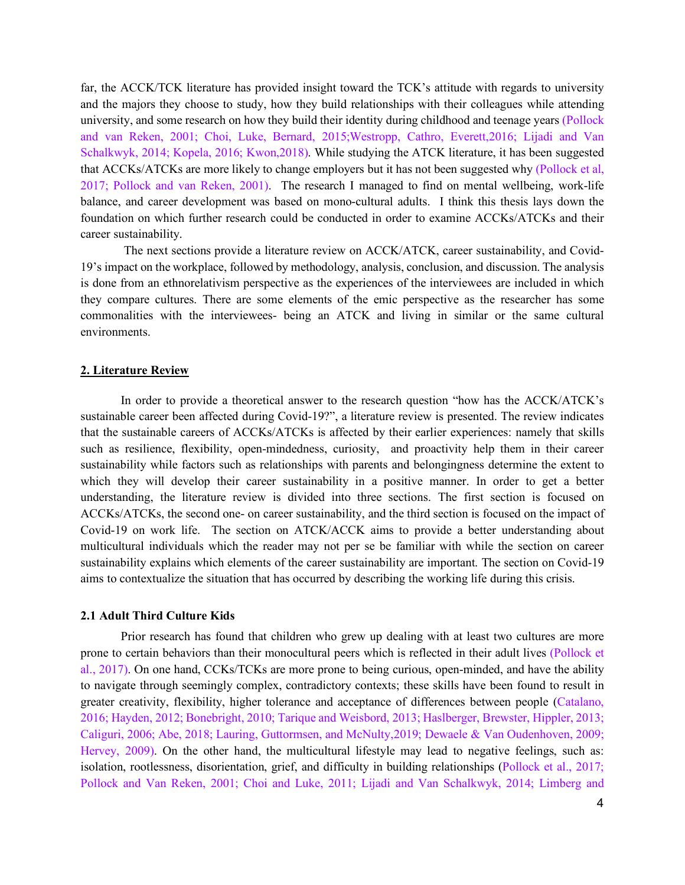far, the ACCK/TCK literature has provided insight toward the TCK's attitude with regards to university and the majors they choose to study, how they build relationships with their colleagues while attending university, and some research on how they build their identity during childhood and teenage years (Pollock and van Reken, 2001; Choi, Luke, Bernard, 2015;Westropp, Cathro, Everett,2016; Lijadi and Van Schalkwyk, 2014; Kopela, 2016; Kwon,2018). While studying the ATCK literature, it has been suggested that ACCKs/ATCKs are more likely to change employers but it has not been suggested why (Pollock et al, 2017; Pollock and van Reken, 2001). The research I managed to find on mental wellbeing, work-life balance, and career development was based on mono-cultural adults. I think this thesis lays down the foundation on which further research could be conducted in order to examine ACCKs/ATCKs and their career sustainability.

The next sections provide a literature review on ACCK/ATCK, career sustainability, and Covid-19's impact on the workplace, followed by methodology, analysis, conclusion, and discussion. The analysis is done from an ethnorelativism perspective as the experiences of the interviewees are included in which they compare cultures. There are some elements of the emic perspective as the researcher has some commonalities with the interviewees- being an ATCK and living in similar or the same cultural environments.

# <span id="page-4-0"></span>**2. Literature Review**

In order to provide a theoretical answer to the research question "how has the ACCK/ATCK's sustainable career been affected during Covid-19?", a literature review is presented. The review indicates that the sustainable careers of ACCKs/ATCKs is affected by their earlier experiences: namely that skills such as resilience, flexibility, open-mindedness, curiosity, and proactivity help them in their career sustainability while factors such as relationships with parents and belongingness determine the extent to which they will develop their career sustainability in a positive manner. In order to get a better understanding, the literature review is divided into three sections. The first section is focused on ACCKs/ATCKs, the second one- on career sustainability, and the third section is focused on the impact of Covid-19 on work life. The section on ATCK/ACCK aims to provide a better understanding about multicultural individuals which the reader may not per se be familiar with while the section on career sustainability explains which elements of the career sustainability are important. The section on Covid-19 aims to contextualize the situation that has occurred by describing the working life during this crisis.

#### <span id="page-4-1"></span>**2.1 Adult Third Culture Kids**

Prior research has found that children who grew up dealing with at least two cultures are more prone to certain behaviors than their monocultural peers which is reflected in their adult lives (Pollock et al., 2017). On one hand, CCKs/TCKs are more prone to being curious, open-minded, and have the ability to navigate through seemingly complex, contradictory contexts; these skills have been found to result in greater creativity, flexibility, higher tolerance and acceptance of differences between people (Catalano, 2016; Hayden, 2012; Bonebright, 2010; Tarique and Weisbord, 2013; Haslberger, Brewster, Hippler, 2013; Caliguri, 2006; Abe, 2018; Lauring, Guttormsen, and McNulty,2019; Dewaele & Van Oudenhoven, 2009; Hervey, 2009). On the other hand, the multicultural lifestyle may lead to negative feelings, such as: isolation, rootlessness, disorientation, grief, and difficulty in building relationships (Pollock et al., 2017; Pollock and Van Reken, 2001; Choi and Luke, 2011; Lijadi and Van Schalkwyk, 2014; Limberg and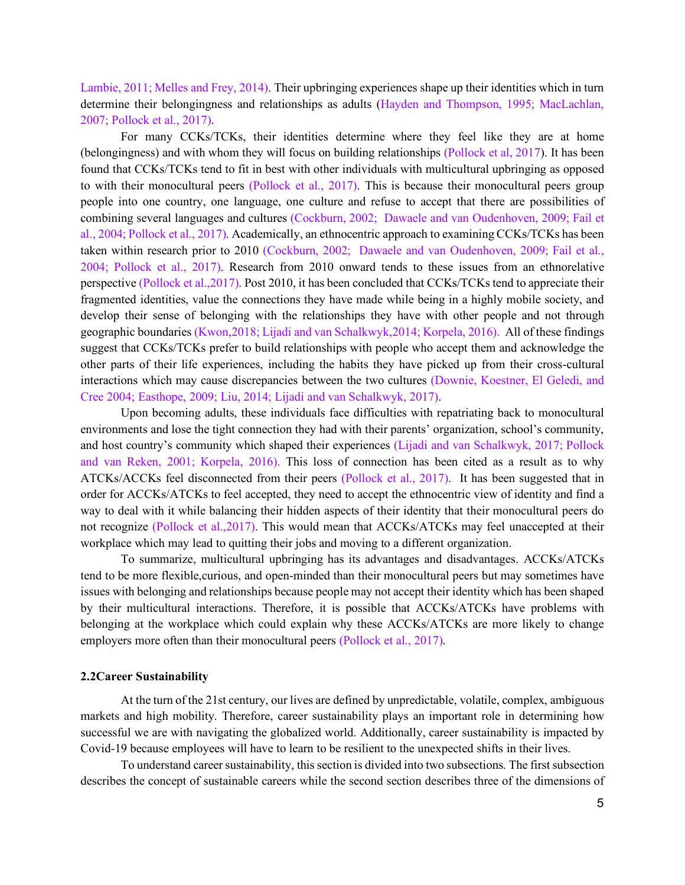Lambie, 2011; Melles and Frey, 2014). Their upbringing experiences shape up their identities which in turn determine their belongingness and relationships as adults (Hayden and Thompson, 1995; MacLachlan, 2007; Pollock et al., 2017).

For many CCKs/TCKs, their identities determine where they feel like they are at home (belongingness) and with whom they will focus on building relationships (Pollock et al, 2017). It has been found that CCKs/TCKs tend to fit in best with other individuals with multicultural upbringing as opposed to with their monocultural peers (Pollock et al., 2017). This is because their monocultural peers group people into one country, one language, one culture and refuse to accept that there are possibilities of combining several languages and cultures (Cockburn, 2002; Dawaele and van Oudenhoven, 2009; Fail et al., 2004; Pollock et al., 2017). Academically, an ethnocentric approach to examining CCKs/TCKs has been taken within research prior to 2010 (Cockburn, 2002; Dawaele and van Oudenhoven, 2009; Fail et al., 2004; Pollock et al., 2017). Research from 2010 onward tends to these issues from an ethnorelative perspective (Pollock et al.,2017). Post 2010, it has been concluded that CCKs/TCKs tend to appreciate their fragmented identities, value the connections they have made while being in a highly mobile society, and develop their sense of belonging with the relationships they have with other people and not through geographic boundaries (Kwon,2018; Lijadi and van Schalkwyk,2014; Korpela, 2016). All of these findings suggest that CCKs/TCKs prefer to build relationships with people who accept them and acknowledge the other parts of their life experiences, including the habits they have picked up from their cross-cultural interactions which may cause discrepancies between the two cultures (Downie, Koestner, El Geledi, and Cree 2004; Easthope, 2009; Liu, 2014; Lijadi and van Schalkwyk, 2017).

Upon becoming adults, these individuals face difficulties with repatriating back to monocultural environments and lose the tight connection they had with their parents' organization, school's community, and host country's community which shaped their experiences (Lijadi and van Schalkwyk, 2017; Pollock and van Reken, 2001; Korpela, 2016). This loss of connection has been cited as a result as to why ATCKs/ACCKs feel disconnected from their peers (Pollock et al., 2017). It has been suggested that in order for ACCKs/ATCKs to feel accepted, they need to accept the ethnocentric view of identity and find a way to deal with it while balancing their hidden aspects of their identity that their monocultural peers do not recognize (Pollock et al.,2017). This would mean that ACCKs/ATCKs may feel unaccepted at their workplace which may lead to quitting their jobs and moving to a different organization.

To summarize, multicultural upbringing has its advantages and disadvantages. ACCKs/ATCKs tend to be more flexible,curious, and open-minded than their monocultural peers but may sometimes have issues with belonging and relationships because people may not accept their identity which has been shaped by their multicultural interactions. Therefore, it is possible that ACCKs/ATCKs have problems with belonging at the workplace which could explain why these ACCKs/ATCKs are more likely to change employers more often than their monocultural peers (Pollock et al., 2017).

#### <span id="page-5-0"></span>**2.2Career Sustainability**

At the turn of the 21st century, our lives are defined by unpredictable, volatile, complex, ambiguous markets and high mobility. Therefore, career sustainability plays an important role in determining how successful we are with navigating the globalized world. Additionally, career sustainability is impacted by Covid-19 because employees will have to learn to be resilient to the unexpected shifts in their lives.

To understand career sustainability, this section is divided into two subsections. The first subsection describes the concept of sustainable careers while the second section describes three of the dimensions of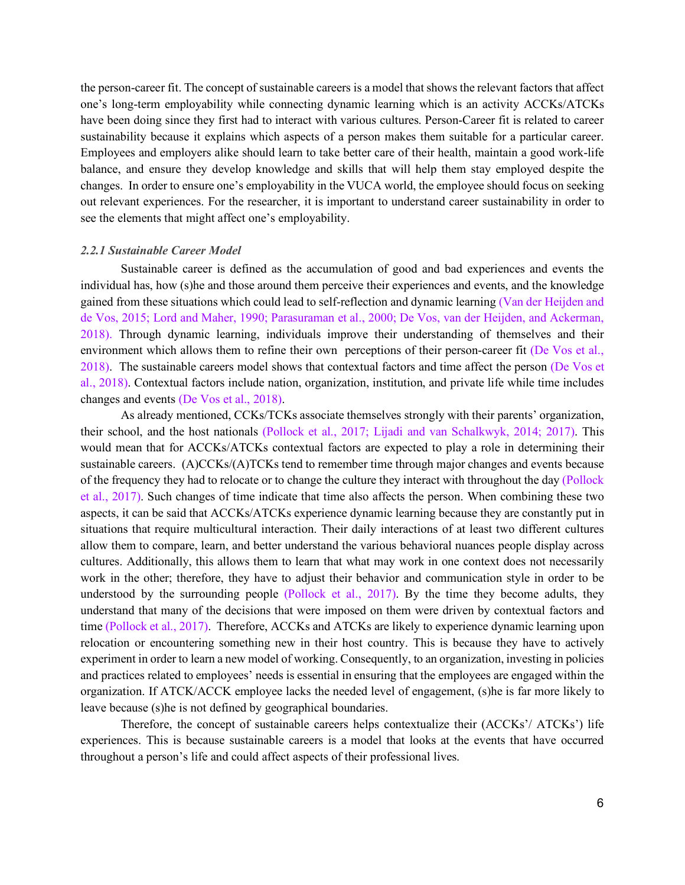the person-career fit. The concept of sustainable careers is a model that shows the relevant factors that affect one's long-term employability while connecting dynamic learning which is an activity ACCKs/ATCKs have been doing since they first had to interact with various cultures. Person-Career fit is related to career sustainability because it explains which aspects of a person makes them suitable for a particular career. Employees and employers alike should learn to take better care of their health, maintain a good work-life balance, and ensure they develop knowledge and skills that will help them stay employed despite the changes. In order to ensure one's employability in the VUCA world, the employee should focus on seeking out relevant experiences. For the researcher, it is important to understand career sustainability in order to see the elements that might affect one's employability.

#### <span id="page-6-0"></span>*2.2.1 Sustainable Career Model*

Sustainable career is defined as the accumulation of good and bad experiences and events the individual has, how (s)he and those around them perceive their experiences and events, and the knowledge gained from these situations which could lead to self-reflection and dynamic learning (Van der Heijden and de Vos, 2015; Lord and Maher, 1990; Parasuraman et al., 2000; De Vos, van der Heijden, and Ackerman, 2018). Through dynamic learning, individuals improve their understanding of themselves and their environment which allows them to refine their own perceptions of their person-career fit (De Vos et al., 2018). The sustainable careers model shows that contextual factors and time affect the person (De Vos et al., 2018). Contextual factors include nation, organization, institution, and private life while time includes changes and events (De Vos et al., 2018).

As already mentioned, CCKs/TCKs associate themselves strongly with their parents' organization, their school, and the host nationals (Pollock et al., 2017; Lijadi and van Schalkwyk, 2014; 2017). This would mean that for ACCKs/ATCKs contextual factors are expected to play a role in determining their sustainable careers. (A)CCKs/(A)TCKs tend to remember time through major changes and events because of the frequency they had to relocate or to change the culture they interact with throughout the day (Pollock et al., 2017). Such changes of time indicate that time also affects the person. When combining these two aspects, it can be said that ACCKs/ATCKs experience dynamic learning because they are constantly put in situations that require multicultural interaction. Their daily interactions of at least two different cultures allow them to compare, learn, and better understand the various behavioral nuances people display across cultures. Additionally, this allows them to learn that what may work in one context does not necessarily work in the other; therefore, they have to adjust their behavior and communication style in order to be understood by the surrounding people (Pollock et al., 2017). By the time they become adults, they understand that many of the decisions that were imposed on them were driven by contextual factors and time (Pollock et al., 2017). Therefore, ACCKs and ATCKs are likely to experience dynamic learning upon relocation or encountering something new in their host country. This is because they have to actively experiment in order to learn a new model of working. Consequently, to an organization, investing in policies and practices related to employees' needs is essential in ensuring that the employees are engaged within the organization. If ATCK/ACCK employee lacks the needed level of engagement, (s)he is far more likely to leave because (s)he is not defined by geographical boundaries.

Therefore, the concept of sustainable careers helps contextualize their (ACCKs'/ ATCKs') life experiences. This is because sustainable careers is a model that looks at the events that have occurred throughout a person's life and could affect aspects of their professional lives.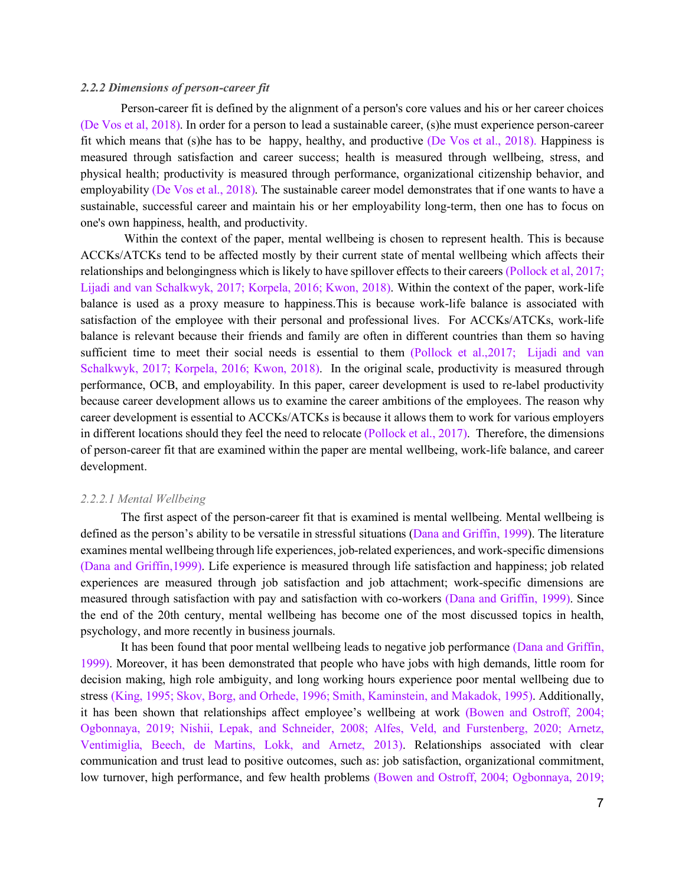# <span id="page-7-0"></span>*2.2.2 Dimensions of person-career fit*

Person-career fit is defined by the alignment of a person's core values and his or her career choices (De Vos et al, 2018). In order for a person to lead a sustainable career, (s)he must experience person-career fit which means that (s)he has to be happy, healthy, and productive (De Vos et al., 2018). Happiness is measured through satisfaction and career success; health is measured through wellbeing, stress, and physical health; productivity is measured through performance, organizational citizenship behavior, and employability (De Vos et al., 2018). The sustainable career model demonstrates that if one wants to have a sustainable, successful career and maintain his or her employability long-term, then one has to focus on one's own happiness, health, and productivity.

Within the context of the paper, mental wellbeing is chosen to represent health. This is because ACCKs/ATCKs tend to be affected mostly by their current state of mental wellbeing which affects their relationships and belongingness which is likely to have spillover effects to their careers (Pollock et al, 2017; Lijadi and van Schalkwyk, 2017; Korpela, 2016; Kwon, 2018). Within the context of the paper, work-life balance is used as a proxy measure to happiness.This is because work-life balance is associated with satisfaction of the employee with their personal and professional lives. For ACCKs/ATCKs, work-life balance is relevant because their friends and family are often in different countries than them so having sufficient time to meet their social needs is essential to them (Pollock et al.,2017; Lijadi and van Schalkwyk, 2017; Korpela, 2016; Kwon, 2018). In the original scale, productivity is measured through performance, OCB, and employability. In this paper, career development is used to re-label productivity because career development allows us to examine the career ambitions of the employees. The reason why career development is essential to ACCKs/ATCKs is because it allows them to work for various employers in different locations should they feel the need to relocate (Pollock et al., 2017). Therefore, the dimensions of person-career fit that are examined within the paper are mental wellbeing, work-life balance, and career development.

#### <span id="page-7-1"></span>*2.2.2.1 Mental Wellbeing*

The first aspect of the person-career fit that is examined is mental wellbeing. Mental wellbeing is defined as the person's ability to be versatile in stressful situations (Dana and Griffin, 1999). The literature examines mental wellbeing through life experiences, job-related experiences, and work-specific dimensions (Dana and Griffin,1999). Life experience is measured through life satisfaction and happiness; job related experiences are measured through job satisfaction and job attachment; work-specific dimensions are measured through satisfaction with pay and satisfaction with co-workers (Dana and Griffin, 1999). Since the end of the 20th century, mental wellbeing has become one of the most discussed topics in health, psychology, and more recently in business journals.

It has been found that poor mental wellbeing leads to negative job performance (Dana and Griffin, 1999). Moreover, it has been demonstrated that people who have jobs with high demands, little room for decision making, high role ambiguity, and long working hours experience poor mental wellbeing due to stress (King, 1995; Skov, Borg, and Orhede, 1996; Smith, Kaminstein, and Makadok, 1995). Additionally, it has been shown that relationships affect employee's wellbeing at work (Bowen and Ostroff, 2004; Ogbonnaya, 2019; Nishii, Lepak, and Schneider, 2008; Alfes, Veld, and Furstenberg, 2020; Arnetz, Ventimiglia, Beech, de Martins, Lokk, and Arnetz, 2013). Relationships associated with clear communication and trust lead to positive outcomes, such as: job satisfaction, organizational commitment, low turnover, high performance, and few health problems (Bowen and Ostroff, 2004; Ogbonnaya, 2019;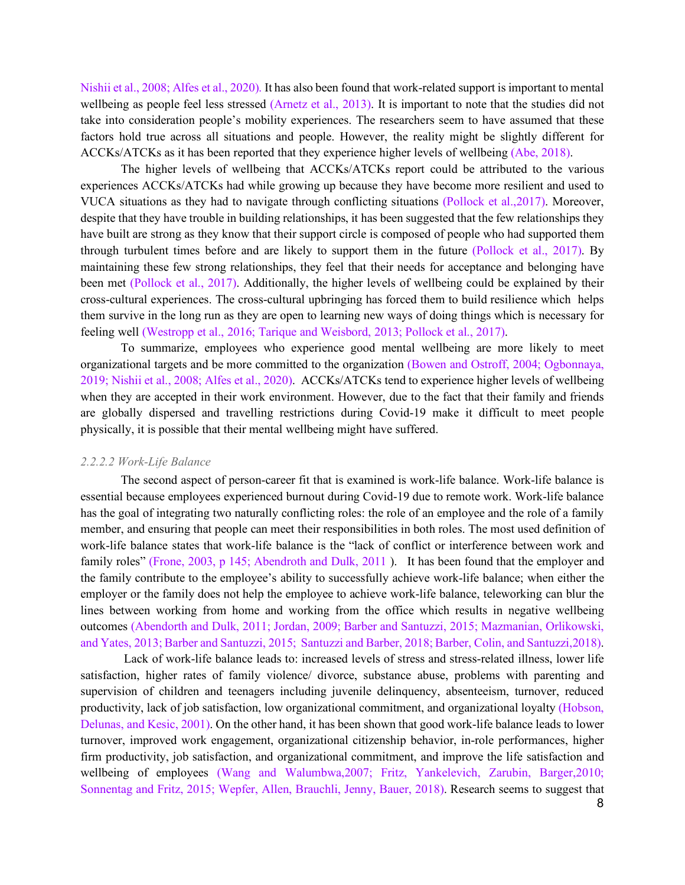Nishii et al., 2008; Alfes et al., 2020). It has also been found that work-related support is important to mental wellbeing as people feel less stressed (Arnetz et al., 2013). It is important to note that the studies did not take into consideration people's mobility experiences. The researchers seem to have assumed that these factors hold true across all situations and people. However, the reality might be slightly different for ACCKs/ATCKs as it has been reported that they experience higher levels of wellbeing (Abe, 2018).

The higher levels of wellbeing that ACCKs/ATCKs report could be attributed to the various experiences ACCKs/ATCKs had while growing up because they have become more resilient and used to VUCA situations as they had to navigate through conflicting situations (Pollock et al.,2017). Moreover, despite that they have trouble in building relationships, it has been suggested that the few relationships they have built are strong as they know that their support circle is composed of people who had supported them through turbulent times before and are likely to support them in the future (Pollock et al., 2017). By maintaining these few strong relationships, they feel that their needs for acceptance and belonging have been met (Pollock et al., 2017). Additionally, the higher levels of wellbeing could be explained by their cross-cultural experiences. The cross-cultural upbringing has forced them to build resilience which helps them survive in the long run as they are open to learning new ways of doing things which is necessary for feeling well (Westropp et al., 2016; Tarique and Weisbord, 2013; Pollock et al., 2017).

To summarize, employees who experience good mental wellbeing are more likely to meet organizational targets and be more committed to the organization (Bowen and Ostroff, 2004; Ogbonnaya, 2019; Nishii et al., 2008; Alfes et al., 2020). ACCKs/ATCKs tend to experience higher levels of wellbeing when they are accepted in their work environment. However, due to the fact that their family and friends are globally dispersed and travelling restrictions during Covid-19 make it difficult to meet people physically, it is possible that their mental wellbeing might have suffered.

#### <span id="page-8-0"></span>*2.2.2.2 Work-Life Balance*

The second aspect of person-career fit that is examined is work-life balance. Work-life balance is essential because employees experienced burnout during Covid-19 due to remote work. Work-life balance has the goal of integrating two naturally conflicting roles: the role of an employee and the role of a family member, and ensuring that people can meet their responsibilities in both roles. The most used definition of work-life balance states that work-life balance is the "lack of conflict or interference between work and family roles" (Frone, 2003, p 145; Abendroth and Dulk, 2011 ). It has been found that the employer and the family contribute to the employee's ability to successfully achieve work-life balance; when either the employer or the family does not help the employee to achieve work-life balance, teleworking can blur the lines between working from home and working from the office which results in negative wellbeing outcomes (Abendorth and Dulk, 2011; Jordan, 2009; Barber and Santuzzi, 2015; Mazmanian, Orlikowski, and Yates, 2013; Barber and Santuzzi, 2015; Santuzzi and Barber, 2018; Barber, Colin, and Santuzzi,2018).

Lack of work-life balance leads to: increased levels of stress and stress-related illness, lower life satisfaction, higher rates of family violence/ divorce, substance abuse, problems with parenting and supervision of children and teenagers including juvenile delinquency, absenteeism, turnover, reduced productivity, lack of job satisfaction, low organizational commitment, and organizational loyalty (Hobson, Delunas, and Kesic, 2001). On the other hand, it has been shown that good work-life balance leads to lower turnover, improved work engagement, organizational citizenship behavior, in-role performances, higher firm productivity, job satisfaction, and organizational commitment, and improve the life satisfaction and wellbeing of employees (Wang and Walumbwa,2007; Fritz, Yankelevich, Zarubin, Barger,2010; Sonnentag and Fritz, 2015; Wepfer, Allen, Brauchli, Jenny, Bauer, 2018). Research seems to suggest that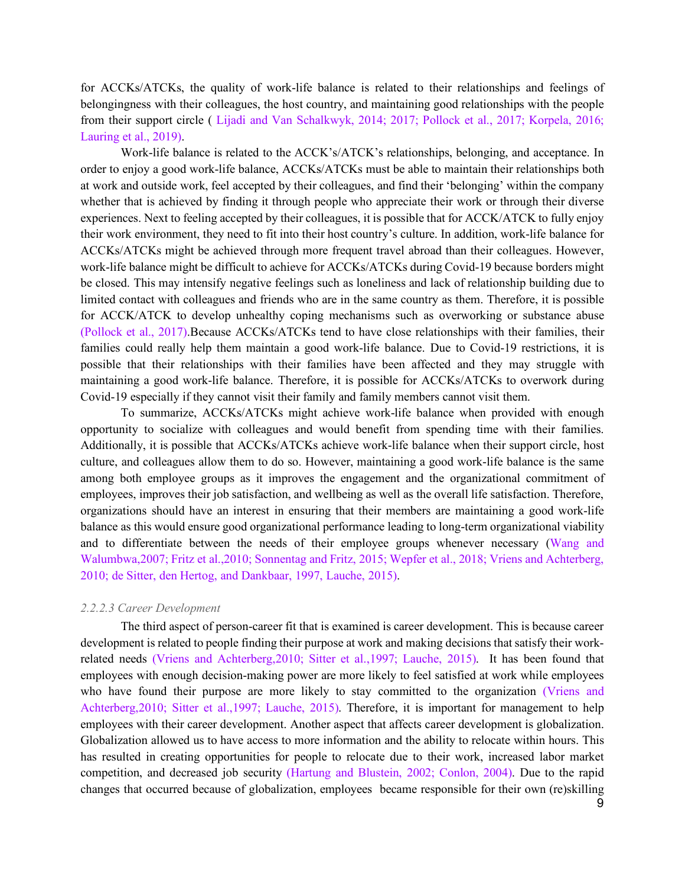for ACCKs/ATCKs, the quality of work-life balance is related to their relationships and feelings of belongingness with their colleagues, the host country, and maintaining good relationships with the people from their support circle ( Lijadi and Van Schalkwyk, 2014; 2017; Pollock et al., 2017; Korpela, 2016; Lauring et al., 2019).

Work-life balance is related to the ACCK's/ATCK's relationships, belonging, and acceptance. In order to enjoy a good work-life balance, ACCKs/ATCKs must be able to maintain their relationships both at work and outside work, feel accepted by their colleagues, and find their 'belonging' within the company whether that is achieved by finding it through people who appreciate their work or through their diverse experiences. Next to feeling accepted by their colleagues, it is possible that for ACCK/ATCK to fully enjoy their work environment, they need to fit into their host country's culture. In addition, work-life balance for ACCKs/ATCKs might be achieved through more frequent travel abroad than their colleagues. However, work-life balance might be difficult to achieve for ACCKs/ATCKs during Covid-19 because borders might be closed. This may intensify negative feelings such as loneliness and lack of relationship building due to limited contact with colleagues and friends who are in the same country as them. Therefore, it is possible for ACCK/ATCK to develop unhealthy coping mechanisms such as overworking or substance abuse (Pollock et al., 2017).Because ACCKs/ATCKs tend to have close relationships with their families, their families could really help them maintain a good work-life balance. Due to Covid-19 restrictions, it is possible that their relationships with their families have been affected and they may struggle with maintaining a good work-life balance. Therefore, it is possible for ACCKs/ATCKs to overwork during Covid-19 especially if they cannot visit their family and family members cannot visit them.

To summarize, ACCKs/ATCKs might achieve work-life balance when provided with enough opportunity to socialize with colleagues and would benefit from spending time with their families. Additionally, it is possible that ACCKs/ATCKs achieve work-life balance when their support circle, host culture, and colleagues allow them to do so. However, maintaining a good work-life balance is the same among both employee groups as it improves the engagement and the organizational commitment of employees, improves their job satisfaction, and wellbeing as well as the overall life satisfaction. Therefore, organizations should have an interest in ensuring that their members are maintaining a good work-life balance as this would ensure good organizational performance leading to long-term organizational viability and to differentiate between the needs of their employee groups whenever necessary (Wang and Walumbwa,2007; Fritz et al.,2010; Sonnentag and Fritz, 2015; Wepfer et al., 2018; Vriens and Achterberg, 2010; de Sitter, den Hertog, and Dankbaar, 1997, Lauche, 2015).

#### <span id="page-9-0"></span>*2.2.2.3 Career Development*

The third aspect of person-career fit that is examined is career development. This is because career development is related to people finding their purpose at work and making decisions that satisfy their workrelated needs (Vriens and Achterberg,2010; Sitter et al.,1997; Lauche, 2015). It has been found that employees with enough decision-making power are more likely to feel satisfied at work while employees who have found their purpose are more likely to stay committed to the organization (Vriens and Achterberg,2010; Sitter et al.,1997; Lauche, 2015). Therefore, it is important for management to help employees with their career development. Another aspect that affects career development is globalization. Globalization allowed us to have access to more information and the ability to relocate within hours. This has resulted in creating opportunities for people to relocate due to their work, increased labor market competition, and decreased job security (Hartung and Blustein, 2002; Conlon, 2004). Due to the rapid changes that occurred because of globalization, employees became responsible for their own (re)skilling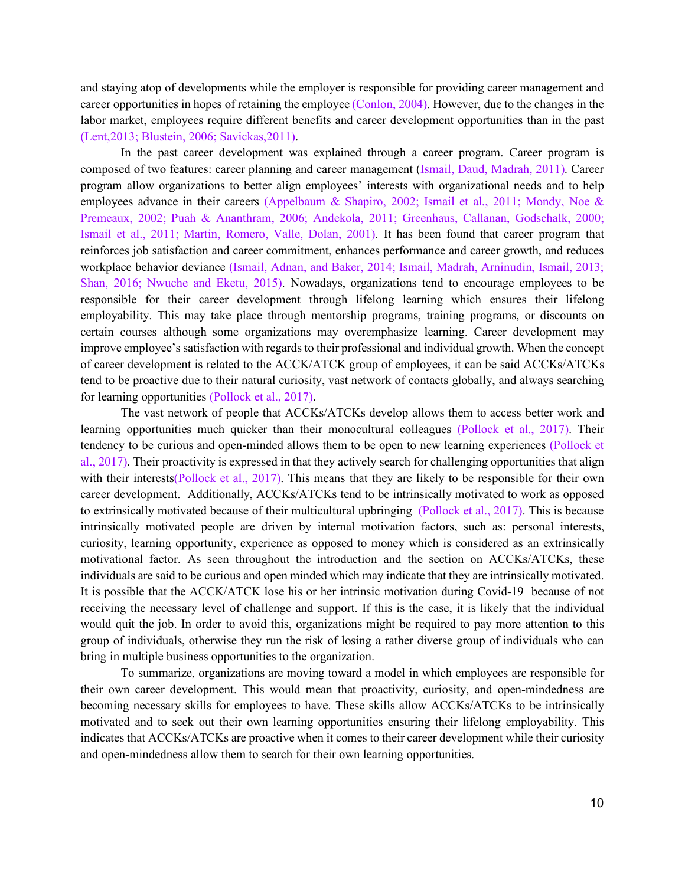and staying atop of developments while the employer is responsible for providing career management and career opportunities in hopes of retaining the employee (Conlon, 2004). However, due to the changes in the labor market, employees require different benefits and career development opportunities than in the past (Lent,2013; Blustein, 2006; Savickas,2011).

In the past career development was explained through a career program. Career program is composed of two features: career planning and career management (Ismail, Daud, Madrah, 2011). Career program allow organizations to better align employees' interests with organizational needs and to help employees advance in their careers (Appelbaum & Shapiro, 2002; Ismail et al., 2011; Mondy, Noe & Premeaux, 2002; Puah & Ananthram, 2006; Andekola, 2011; Greenhaus, Callanan, Godschalk, 2000; Ismail et al., 2011; Martin, Romero, Valle, Dolan, 2001). It has been found that career program that reinforces job satisfaction and career commitment, enhances performance and career growth, and reduces workplace behavior deviance (Ismail, Adnan, and Baker, 2014; Ismail, Madrah, Arninudin, Ismail, 2013; Shan, 2016; Nwuche and Eketu, 2015). Nowadays, organizations tend to encourage employees to be responsible for their career development through lifelong learning which ensures their lifelong employability. This may take place through mentorship programs, training programs, or discounts on certain courses although some organizations may overemphasize learning. Career development may improve employee's satisfaction with regards to their professional and individual growth. When the concept of career development is related to the ACCK/ATCK group of employees, it can be said ACCKs/ATCKs tend to be proactive due to their natural curiosity, vast network of contacts globally, and always searching for learning opportunities (Pollock et al., 2017).

The vast network of people that ACCKs/ATCKs develop allows them to access better work and learning opportunities much quicker than their monocultural colleagues (Pollock et al., 2017). Their tendency to be curious and open-minded allows them to be open to new learning experiences (Pollock et al., 2017). Their proactivity is expressed in that they actively search for challenging opportunities that align with their interests(Pollock et al., 2017). This means that they are likely to be responsible for their own career development. Additionally, ACCKs/ATCKs tend to be intrinsically motivated to work as opposed to extrinsically motivated because of their multicultural upbringing (Pollock et al., 2017). This is because intrinsically motivated people are driven by internal motivation factors, such as: personal interests, curiosity, learning opportunity, experience as opposed to money which is considered as an extrinsically motivational factor. As seen throughout the introduction and the section on ACCKs/ATCKs, these individuals are said to be curious and open minded which may indicate that they are intrinsically motivated. It is possible that the ACCK/ATCK lose his or her intrinsic motivation during Covid-19 because of not receiving the necessary level of challenge and support. If this is the case, it is likely that the individual would quit the job. In order to avoid this, organizations might be required to pay more attention to this group of individuals, otherwise they run the risk of losing a rather diverse group of individuals who can bring in multiple business opportunities to the organization.

To summarize, organizations are moving toward a model in which employees are responsible for their own career development. This would mean that proactivity, curiosity, and open-mindedness are becoming necessary skills for employees to have. These skills allow ACCKs/ATCKs to be intrinsically motivated and to seek out their own learning opportunities ensuring their lifelong employability. This indicates that ACCKs/ATCKs are proactive when it comes to their career development while their curiosity and open-mindedness allow them to search for their own learning opportunities.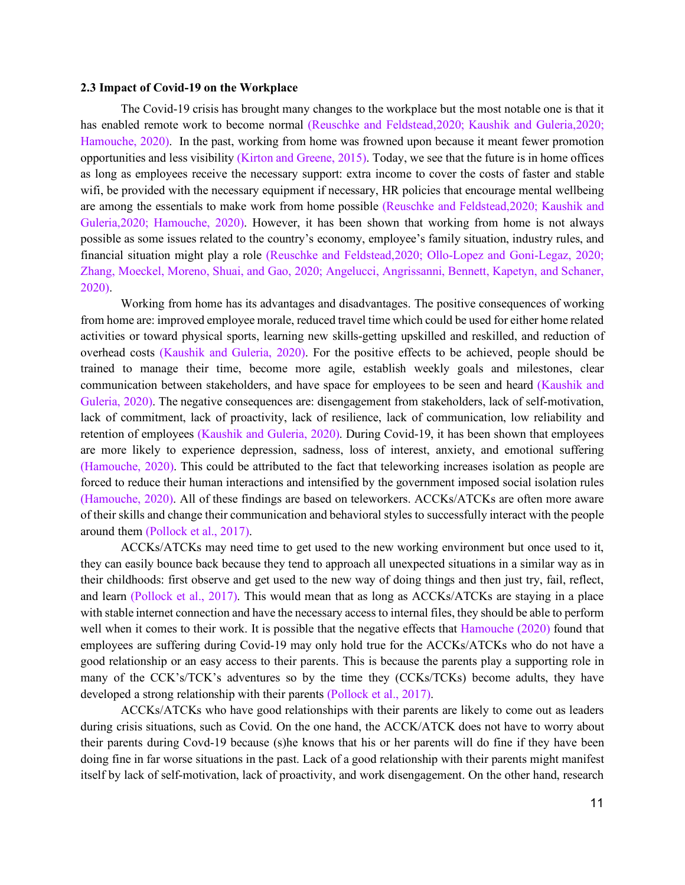#### <span id="page-11-0"></span>**2.3 Impact of Covid-19 on the Workplace**

The Covid-19 crisis has brought many changes to the workplace but the most notable one is that it has enabled remote work to become normal (Reuschke and Feldstead,2020; Kaushik and Guleria,2020; Hamouche, 2020). In the past, working from home was frowned upon because it meant fewer promotion opportunities and less visibility (Kirton and Greene, 2015). Today, we see that the future is in home offices as long as employees receive the necessary support: extra income to cover the costs of faster and stable wifi, be provided with the necessary equipment if necessary, HR policies that encourage mental wellbeing are among the essentials to make work from home possible (Reuschke and Feldstead,2020; Kaushik and Guleria,2020; Hamouche, 2020). However, it has been shown that working from home is not always possible as some issues related to the country's economy, employee's family situation, industry rules, and financial situation might play a role (Reuschke and Feldstead,2020; Ollo-Lopez and Goni-Legaz, 2020; Zhang, Moeckel, Moreno, Shuai, and Gao, 2020; Angelucci, Angrissanni, Bennett, Kapetyn, and Schaner, 2020).

Working from home has its advantages and disadvantages. The positive consequences of working from home are: improved employee morale, reduced travel time which could be used for either home related activities or toward physical sports, learning new skills-getting upskilled and reskilled, and reduction of overhead costs (Kaushik and Guleria, 2020). For the positive effects to be achieved, people should be trained to manage their time, become more agile, establish weekly goals and milestones, clear communication between stakeholders, and have space for employees to be seen and heard (Kaushik and Guleria, 2020). The negative consequences are: disengagement from stakeholders, lack of self-motivation, lack of commitment, lack of proactivity, lack of resilience, lack of communication, low reliability and retention of employees (Kaushik and Guleria, 2020). During Covid-19, it has been shown that employees are more likely to experience depression, sadness, loss of interest, anxiety, and emotional suffering (Hamouche, 2020). This could be attributed to the fact that teleworking increases isolation as people are forced to reduce their human interactions and intensified by the government imposed social isolation rules (Hamouche, 2020). All of these findings are based on teleworkers. ACCKs/ATCKs are often more aware of their skills and change their communication and behavioral styles to successfully interact with the people around them (Pollock et al., 2017).

ACCKs/ATCKs may need time to get used to the new working environment but once used to it, they can easily bounce back because they tend to approach all unexpected situations in a similar way as in their childhoods: first observe and get used to the new way of doing things and then just try, fail, reflect, and learn (Pollock et al., 2017). This would mean that as long as ACCKs/ATCKs are staying in a place with stable internet connection and have the necessary access to internal files, they should be able to perform well when it comes to their work. It is possible that the negative effects that Hamouche (2020) found that employees are suffering during Covid-19 may only hold true for the ACCKs/ATCKs who do not have a good relationship or an easy access to their parents. This is because the parents play a supporting role in many of the CCK's/TCK's adventures so by the time they (CCKs/TCKs) become adults, they have developed a strong relationship with their parents (Pollock et al., 2017).

ACCKs/ATCKs who have good relationships with their parents are likely to come out as leaders during crisis situations, such as Covid. On the one hand, the ACCK/ATCK does not have to worry about their parents during Covd-19 because (s)he knows that his or her parents will do fine if they have been doing fine in far worse situations in the past. Lack of a good relationship with their parents might manifest itself by lack of self-motivation, lack of proactivity, and work disengagement. On the other hand, research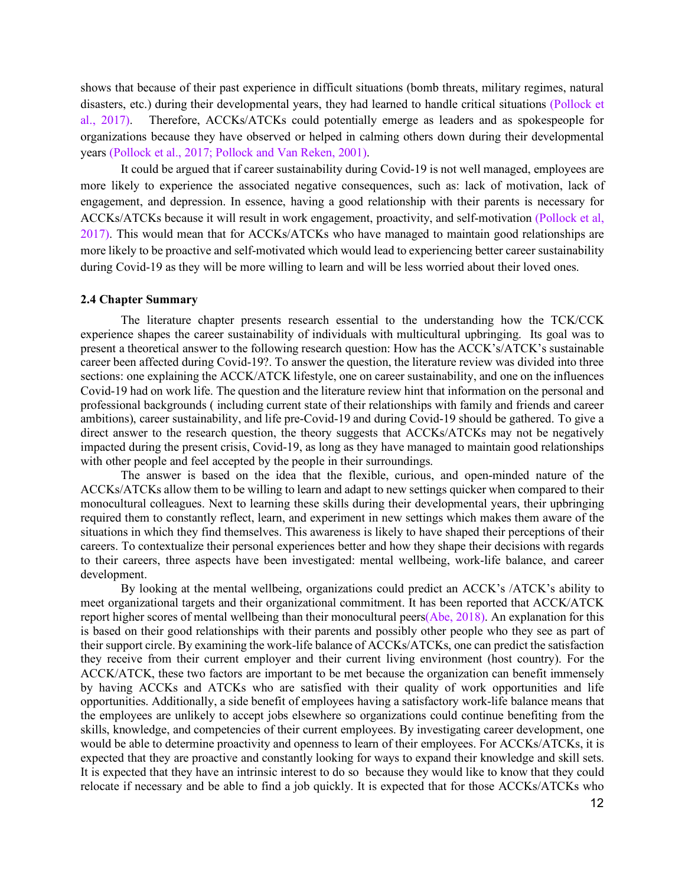shows that because of their past experience in difficult situations (bomb threats, military regimes, natural disasters, etc.) during their developmental years, they had learned to handle critical situations (Pollock et al., 2017). Therefore, ACCKs/ATCKs could potentially emerge as leaders and as spokespeople for organizations because they have observed or helped in calming others down during their developmental years (Pollock et al., 2017; Pollock and Van Reken, 2001).

It could be argued that if career sustainability during Covid-19 is not well managed, employees are more likely to experience the associated negative consequences, such as: lack of motivation, lack of engagement, and depression. In essence, having a good relationship with their parents is necessary for ACCKs/ATCKs because it will result in work engagement, proactivity, and self-motivation (Pollock et al, 2017). This would mean that for ACCKs/ATCKs who have managed to maintain good relationships are more likely to be proactive and self-motivated which would lead to experiencing better career sustainability during Covid-19 as they will be more willing to learn and will be less worried about their loved ones.

#### <span id="page-12-0"></span>**2.4 Chapter Summary**

The literature chapter presents research essential to the understanding how the TCK/CCK experience shapes the career sustainability of individuals with multicultural upbringing. Its goal was to present a theoretical answer to the following research question: How has the ACCK's/ATCK's sustainable career been affected during Covid-19?. To answer the question, the literature review was divided into three sections: one explaining the ACCK/ATCK lifestyle, one on career sustainability, and one on the influences Covid-19 had on work life. The question and the literature review hint that information on the personal and professional backgrounds ( including current state of their relationships with family and friends and career ambitions), career sustainability, and life pre-Covid-19 and during Covid-19 should be gathered. To give a direct answer to the research question, the theory suggests that ACCKs/ATCKs may not be negatively impacted during the present crisis, Covid-19, as long as they have managed to maintain good relationships with other people and feel accepted by the people in their surroundings.

The answer is based on the idea that the flexible, curious, and open-minded nature of the ACCKs/ATCKs allow them to be willing to learn and adapt to new settings quicker when compared to their monocultural colleagues. Next to learning these skills during their developmental years, their upbringing required them to constantly reflect, learn, and experiment in new settings which makes them aware of the situations in which they find themselves. This awareness is likely to have shaped their perceptions of their careers. To contextualize their personal experiences better and how they shape their decisions with regards to their careers, three aspects have been investigated: mental wellbeing, work-life balance, and career development.

By looking at the mental wellbeing, organizations could predict an ACCK's /ATCK's ability to meet organizational targets and their organizational commitment. It has been reported that ACCK/ATCK report higher scores of mental wellbeing than their monocultural peers(Abe, 2018). An explanation for this is based on their good relationships with their parents and possibly other people who they see as part of their support circle. By examining the work-life balance of ACCKs/ATCKs, one can predict the satisfaction they receive from their current employer and their current living environment (host country). For the ACCK/ATCK, these two factors are important to be met because the organization can benefit immensely by having ACCKs and ATCKs who are satisfied with their quality of work opportunities and life opportunities. Additionally, a side benefit of employees having a satisfactory work-life balance means that the employees are unlikely to accept jobs elsewhere so organizations could continue benefiting from the skills, knowledge, and competencies of their current employees. By investigating career development, one would be able to determine proactivity and openness to learn of their employees. For ACCKs/ATCKs, it is expected that they are proactive and constantly looking for ways to expand their knowledge and skill sets. It is expected that they have an intrinsic interest to do so because they would like to know that they could relocate if necessary and be able to find a job quickly. It is expected that for those ACCKs/ATCKs who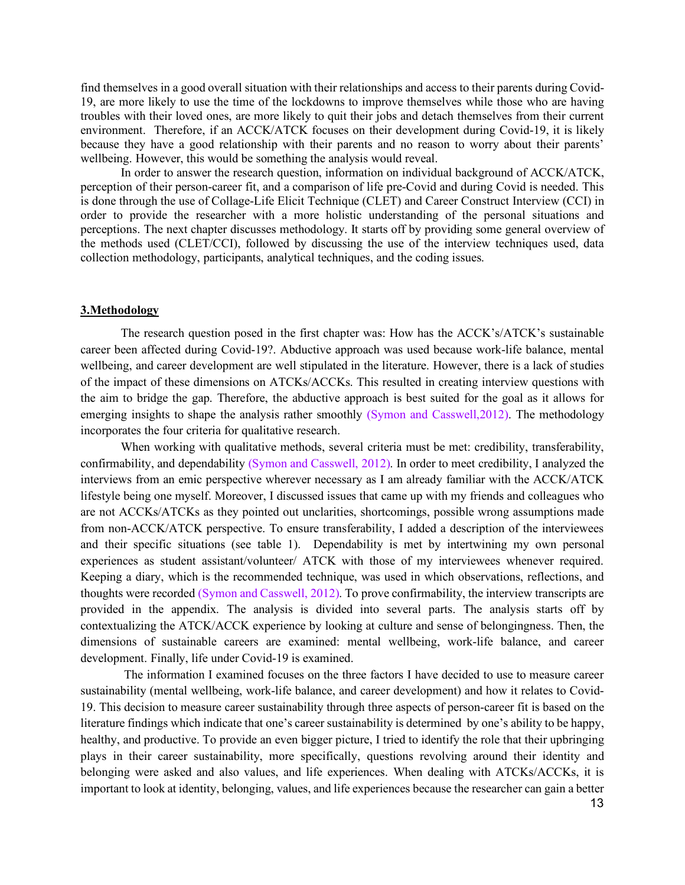find themselves in a good overall situation with their relationships and access to their parents during Covid-19, are more likely to use the time of the lockdowns to improve themselves while those who are having troubles with their loved ones, are more likely to quit their jobs and detach themselves from their current environment. Therefore, if an ACCK/ATCK focuses on their development during Covid-19, it is likely because they have a good relationship with their parents and no reason to worry about their parents' wellbeing. However, this would be something the analysis would reveal.

In order to answer the research question, information on individual background of ACCK/ATCK, perception of their person-career fit, and a comparison of life pre-Covid and during Covid is needed. This is done through the use of Collage-Life Elicit Technique (CLET) and Career Construct Interview (CCI) in order to provide the researcher with a more holistic understanding of the personal situations and perceptions. The next chapter discusses methodology. It starts off by providing some general overview of the methods used (CLET/CCI), followed by discussing the use of the interview techniques used, data collection methodology, participants, analytical techniques, and the coding issues.

### <span id="page-13-0"></span>**3.Methodology**

The research question posed in the first chapter was: How has the ACCK's/ATCK's sustainable career been affected during Covid-19?. Abductive approach was used because work-life balance, mental wellbeing, and career development are well stipulated in the literature. However, there is a lack of studies of the impact of these dimensions on ATCKs/ACCKs. This resulted in creating interview questions with the aim to bridge the gap. Therefore, the abductive approach is best suited for the goal as it allows for emerging insights to shape the analysis rather smoothly (Symon and Casswell, 2012). The methodology incorporates the four criteria for qualitative research.

When working with qualitative methods, several criteria must be met: credibility, transferability, confirmability, and dependability (Symon and Casswell, 2012). In order to meet credibility, I analyzed the interviews from an emic perspective wherever necessary as I am already familiar with the ACCK/ATCK lifestyle being one myself. Moreover, I discussed issues that came up with my friends and colleagues who are not ACCKs/ATCKs as they pointed out unclarities, shortcomings, possible wrong assumptions made from non-ACCK/ATCK perspective. To ensure transferability, I added a description of the interviewees and their specific situations (see table 1). Dependability is met by intertwining my own personal experiences as student assistant/volunteer/ ATCK with those of my interviewees whenever required. Keeping a diary, which is the recommended technique, was used in which observations, reflections, and thoughts were recorded (Symon and Casswell, 2012). To prove confirmability, the interview transcripts are provided in the appendix. The analysis is divided into several parts. The analysis starts off by contextualizing the ATCK/ACCK experience by looking at culture and sense of belongingness. Then, the dimensions of sustainable careers are examined: mental wellbeing, work-life balance, and career development. Finally, life under Covid-19 is examined.

The information I examined focuses on the three factors I have decided to use to measure career sustainability (mental wellbeing, work-life balance, and career development) and how it relates to Covid-19. This decision to measure career sustainability through three aspects of person-career fit is based on the literature findings which indicate that one's career sustainability is determined by one's ability to be happy, healthy, and productive. To provide an even bigger picture, I tried to identify the role that their upbringing plays in their career sustainability, more specifically, questions revolving around their identity and belonging were asked and also values, and life experiences. When dealing with ATCKs/ACCKs, it is important to look at identity, belonging, values, and life experiences because the researcher can gain a better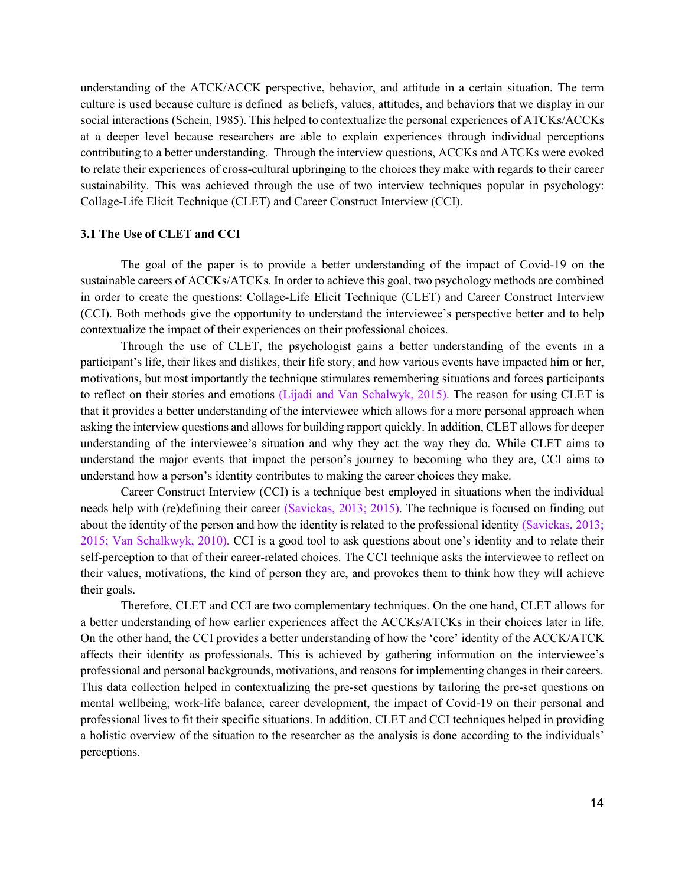understanding of the ATCK/ACCK perspective, behavior, and attitude in a certain situation. The term culture is used because culture is defined as beliefs, values, attitudes, and behaviors that we display in our social interactions (Schein, 1985). This helped to contextualize the personal experiences of ATCKs/ACCKs at a deeper level because researchers are able to explain experiences through individual perceptions contributing to a better understanding. Through the interview questions, ACCKs and ATCKs were evoked to relate their experiences of cross-cultural upbringing to the choices they make with regards to their career sustainability. This was achieved through the use of two interview techniques popular in psychology: Collage-Life Elicit Technique (CLET) and Career Construct Interview (CCI).

# <span id="page-14-0"></span>**3.1 The Use of CLET and CCI**

The goal of the paper is to provide a better understanding of the impact of Covid-19 on the sustainable careers of ACCKs/ATCKs. In order to achieve this goal, two psychology methods are combined in order to create the questions: Collage-Life Elicit Technique (CLET) and Career Construct Interview (CCI). Both methods give the opportunity to understand the interviewee's perspective better and to help contextualize the impact of their experiences on their professional choices.

Through the use of CLET, the psychologist gains a better understanding of the events in a participant's life, their likes and dislikes, their life story, and how various events have impacted him or her, motivations, but most importantly the technique stimulates remembering situations and forces participants to reflect on their stories and emotions (Lijadi and Van Schalwyk, 2015). The reason for using CLET is that it provides a better understanding of the interviewee which allows for a more personal approach when asking the interview questions and allows for building rapport quickly. In addition, CLET allows for deeper understanding of the interviewee's situation and why they act the way they do. While CLET aims to understand the major events that impact the person's journey to becoming who they are, CCI aims to understand how a person's identity contributes to making the career choices they make.

Career Construct Interview (CCI) is a technique best employed in situations when the individual needs help with (re)defining their career (Savickas, 2013; 2015). The technique is focused on finding out about the identity of the person and how the identity is related to the professional identity (Savickas, 2013; 2015; Van Schalkwyk, 2010). CCI is a good tool to ask questions about one's identity and to relate their self-perception to that of their career-related choices. The CCI technique asks the interviewee to reflect on their values, motivations, the kind of person they are, and provokes them to think how they will achieve their goals.

Therefore, CLET and CCI are two complementary techniques. On the one hand, CLET allows for a better understanding of how earlier experiences affect the ACCKs/ATCKs in their choices later in life. On the other hand, the CCI provides a better understanding of how the 'core' identity of the ACCK/ATCK affects their identity as professionals. This is achieved by gathering information on the interviewee's professional and personal backgrounds, motivations, and reasons for implementing changes in their careers. This data collection helped in contextualizing the pre-set questions by tailoring the pre-set questions on mental wellbeing, work-life balance, career development, the impact of Covid-19 on their personal and professional lives to fit their specific situations. In addition, CLET and CCI techniques helped in providing a holistic overview of the situation to the researcher as the analysis is done according to the individuals' perceptions.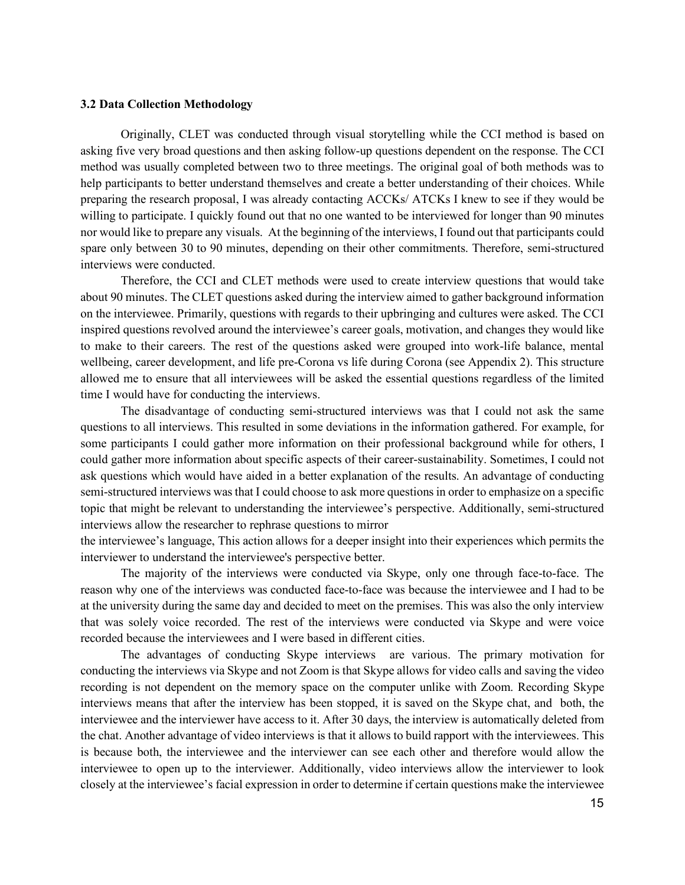# <span id="page-15-0"></span>**3.2 Data Collection Methodology**

Originally, CLET was conducted through visual storytelling while the CCI method is based on asking five very broad questions and then asking follow-up questions dependent on the response. The CCI method was usually completed between two to three meetings. The original goal of both methods was to help participants to better understand themselves and create a better understanding of their choices. While preparing the research proposal, I was already contacting ACCKs/ ATCKs I knew to see if they would be willing to participate. I quickly found out that no one wanted to be interviewed for longer than 90 minutes nor would like to prepare any visuals. At the beginning of the interviews, I found out that participants could spare only between 30 to 90 minutes, depending on their other commitments. Therefore, semi-structured interviews were conducted.

Therefore, the CCI and CLET methods were used to create interview questions that would take about 90 minutes. The CLET questions asked during the interview aimed to gather background information on the interviewee. Primarily, questions with regards to their upbringing and cultures were asked. The CCI inspired questions revolved around the interviewee's career goals, motivation, and changes they would like to make to their careers. The rest of the questions asked were grouped into work-life balance, mental wellbeing, career development, and life pre-Corona vs life during Corona (see Appendix 2). This structure allowed me to ensure that all interviewees will be asked the essential questions regardless of the limited time I would have for conducting the interviews.

The disadvantage of conducting semi-structured interviews was that I could not ask the same questions to all interviews. This resulted in some deviations in the information gathered. For example, for some participants I could gather more information on their professional background while for others, I could gather more information about specific aspects of their career-sustainability. Sometimes, I could not ask questions which would have aided in a better explanation of the results. An advantage of conducting semi-structured interviews was that I could choose to ask more questions in order to emphasize on a specific topic that might be relevant to understanding the interviewee's perspective. Additionally, semi-structured interviews allow the researcher to rephrase questions to mirror

the interviewee's language, This action allows for a deeper insight into their experiences which permits the interviewer to understand the interviewee's perspective better.

The majority of the interviews were conducted via Skype, only one through face-to-face. The reason why one of the interviews was conducted face-to-face was because the interviewee and I had to be at the university during the same day and decided to meet on the premises. This was also the only interview that was solely voice recorded. The rest of the interviews were conducted via Skype and were voice recorded because the interviewees and I were based in different cities.

The advantages of conducting Skype interviews are various. The primary motivation for conducting the interviews via Skype and not Zoom is that Skype allows for video calls and saving the video recording is not dependent on the memory space on the computer unlike with Zoom. Recording Skype interviews means that after the interview has been stopped, it is saved on the Skype chat, and both, the interviewee and the interviewer have access to it. After 30 days, the interview is automatically deleted from the chat. Another advantage of video interviews is that it allows to build rapport with the interviewees. This is because both, the interviewee and the interviewer can see each other and therefore would allow the interviewee to open up to the interviewer. Additionally, video interviews allow the interviewer to look closely at the interviewee's facial expression in order to determine if certain questions make the interviewee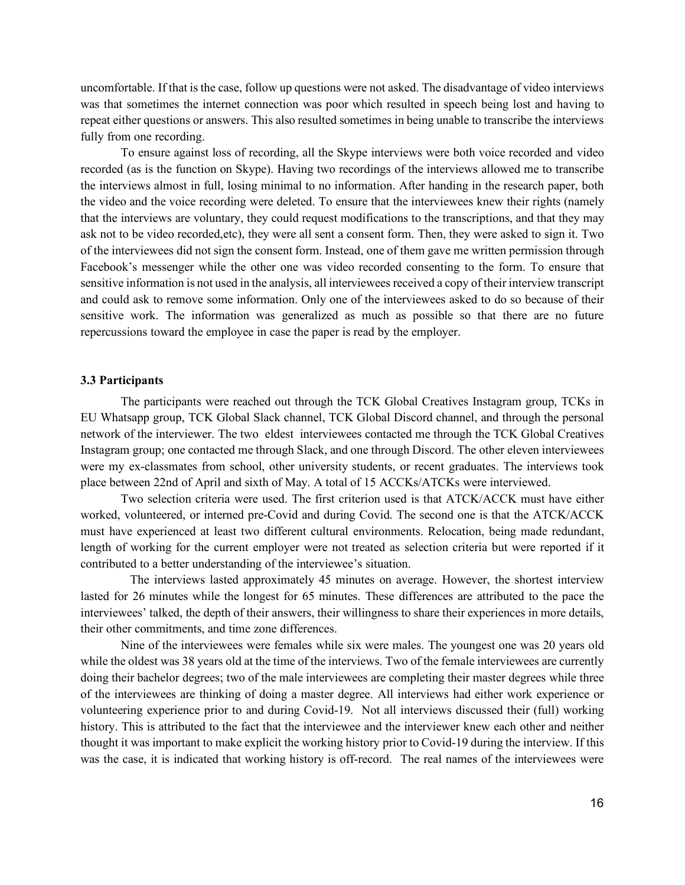uncomfortable. If that is the case, follow up questions were not asked. The disadvantage of video interviews was that sometimes the internet connection was poor which resulted in speech being lost and having to repeat either questions or answers. This also resulted sometimes in being unable to transcribe the interviews fully from one recording.

To ensure against loss of recording, all the Skype interviews were both voice recorded and video recorded (as is the function on Skype). Having two recordings of the interviews allowed me to transcribe the interviews almost in full, losing minimal to no information. After handing in the research paper, both the video and the voice recording were deleted. To ensure that the interviewees knew their rights (namely that the interviews are voluntary, they could request modifications to the transcriptions, and that they may ask not to be video recorded,etc), they were all sent a consent form. Then, they were asked to sign it. Two of the interviewees did not sign the consent form. Instead, one of them gave me written permission through Facebook's messenger while the other one was video recorded consenting to the form. To ensure that sensitive information is not used in the analysis, all interviewees received a copy of their interview transcript and could ask to remove some information. Only one of the interviewees asked to do so because of their sensitive work. The information was generalized as much as possible so that there are no future repercussions toward the employee in case the paper is read by the employer.

# <span id="page-16-0"></span>**3.3 Participants**

The participants were reached out through the TCK Global Creatives Instagram group, TCKs in EU Whatsapp group, TCK Global Slack channel, TCK Global Discord channel, and through the personal network of the interviewer. The two eldest interviewees contacted me through the TCK Global Creatives Instagram group; one contacted me through Slack, and one through Discord. The other eleven interviewees were my ex-classmates from school, other university students, or recent graduates. The interviews took place between 22nd of April and sixth of May. A total of 15 ACCKs/ATCKs were interviewed.

Two selection criteria were used. The first criterion used is that ATCK/ACCK must have either worked, volunteered, or interned pre-Covid and during Covid. The second one is that the ATCK/ACCK must have experienced at least two different cultural environments. Relocation, being made redundant, length of working for the current employer were not treated as selection criteria but were reported if it contributed to a better understanding of the interviewee's situation.

 The interviews lasted approximately 45 minutes on average. However, the shortest interview lasted for 26 minutes while the longest for 65 minutes. These differences are attributed to the pace the interviewees' talked, the depth of their answers, their willingness to share their experiences in more details, their other commitments, and time zone differences.

Nine of the interviewees were females while six were males. The youngest one was 20 years old while the oldest was 38 years old at the time of the interviews. Two of the female interviewees are currently doing their bachelor degrees; two of the male interviewees are completing their master degrees while three of the interviewees are thinking of doing a master degree. All interviews had either work experience or volunteering experience prior to and during Covid-19. Not all interviews discussed their (full) working history. This is attributed to the fact that the interviewee and the interviewer knew each other and neither thought it was important to make explicit the working history prior to Covid-19 during the interview. If this was the case, it is indicated that working history is off-record. The real names of the interviewees were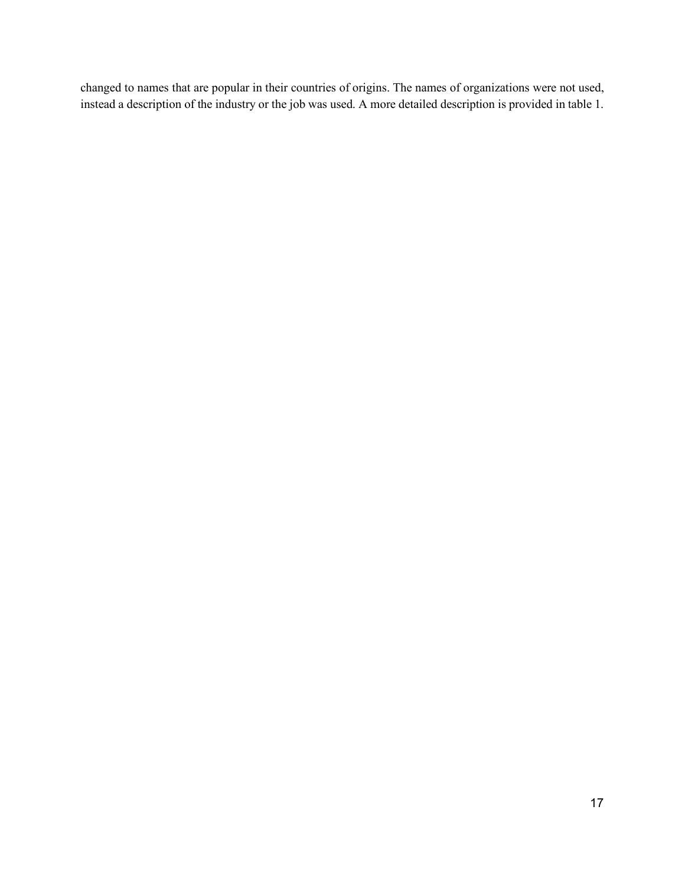changed to names that are popular in their countries of origins. The names of organizations were not used, instead a description of the industry or the job was used. A more detailed description is provided in table 1.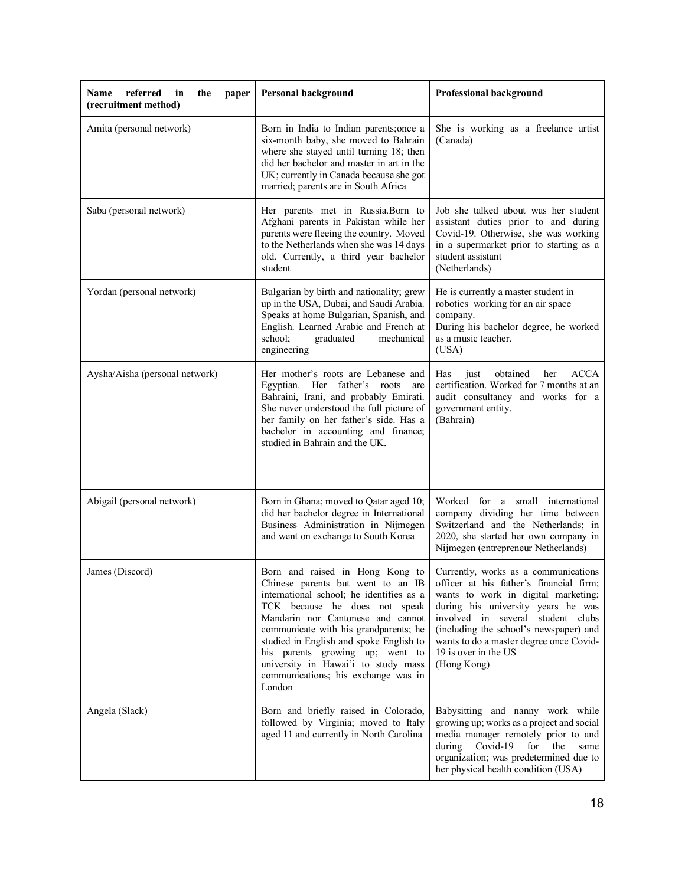| referred<br>Name<br>in<br>the<br>paper<br>(recruitment method) | <b>Personal background</b>                                                                                                                                                                                                                                                                                                                                                                            | <b>Professional background</b>                                                                                                                                                                                                                                                                                                |
|----------------------------------------------------------------|-------------------------------------------------------------------------------------------------------------------------------------------------------------------------------------------------------------------------------------------------------------------------------------------------------------------------------------------------------------------------------------------------------|-------------------------------------------------------------------------------------------------------------------------------------------------------------------------------------------------------------------------------------------------------------------------------------------------------------------------------|
| Amita (personal network)                                       | Born in India to Indian parents;once a<br>six-month baby, she moved to Bahrain<br>where she stayed until turning 18; then<br>did her bachelor and master in art in the<br>UK; currently in Canada because she got<br>married; parents are in South Africa                                                                                                                                             | She is working as a freelance artist<br>(Canada)                                                                                                                                                                                                                                                                              |
| Saba (personal network)                                        | Her parents met in Russia. Born to<br>Afghani parents in Pakistan while her<br>parents were fleeing the country. Moved<br>to the Netherlands when she was 14 days<br>old. Currently, a third year bachelor<br>student                                                                                                                                                                                 | Job she talked about was her student<br>assistant duties prior to and during<br>Covid-19. Otherwise, she was working<br>in a supermarket prior to starting as a<br>student assistant<br>(Netherlands)                                                                                                                         |
| Yordan (personal network)                                      | Bulgarian by birth and nationality; grew<br>up in the USA, Dubai, and Saudi Arabia.<br>Speaks at home Bulgarian, Spanish, and<br>English. Learned Arabic and French at<br>school;<br>graduated<br>mechanical<br>engineering                                                                                                                                                                           | He is currently a master student in<br>robotics working for an air space<br>company.<br>During his bachelor degree, he worked<br>as a music teacher.<br>(USA)                                                                                                                                                                 |
| Aysha/Aisha (personal network)                                 | Her mother's roots are Lebanese and<br>Egyptian. Her father's roots<br>are<br>Bahraini, Irani, and probably Emirati.<br>She never understood the full picture of<br>her family on her father's side. Has a<br>bachelor in accounting and finance;<br>studied in Bahrain and the UK.                                                                                                                   | obtained<br><b>ACCA</b><br>Has<br>just<br>her<br>certification. Worked for 7 months at an<br>audit consultancy and works for a<br>government entity.<br>(Bahrain)                                                                                                                                                             |
| Abigail (personal network)                                     | Born in Ghana; moved to Qatar aged 10;<br>did her bachelor degree in International<br>Business Administration in Nijmegen<br>and went on exchange to South Korea                                                                                                                                                                                                                                      | Worked for a small international<br>company dividing her time between<br>Switzerland and the Netherlands; in<br>2020, she started her own company in<br>Nijmegen (entrepreneur Netherlands)                                                                                                                                   |
| James (Discord)                                                | Born and raised in Hong Kong to<br>Chinese parents but went to an IB<br>international school; he identifies as a<br>TCK because he does not speak<br>Mandarin nor Cantonese and cannot<br>communicate with his grandparents; he<br>studied in English and spoke English to<br>his parents growing up; went to<br>university in Hawai'i to study mass<br>communications; his exchange was in<br>London | Currently, works as a communications<br>officer at his father's financial firm;<br>wants to work in digital marketing;<br>during his university years he was<br>involved in several student clubs<br>(including the school's newspaper) and<br>wants to do a master degree once Covid-<br>19 is over in the US<br>(Hong Kong) |
| Angela (Slack)                                                 | Born and briefly raised in Colorado,<br>followed by Virginia; moved to Italy<br>aged 11 and currently in North Carolina                                                                                                                                                                                                                                                                               | Babysitting and nanny work while<br>growing up; works as a project and social<br>media manager remotely prior to and<br>Covid-19<br>during<br>for<br>the<br>same<br>organization; was predetermined due to<br>her physical health condition (USA)                                                                             |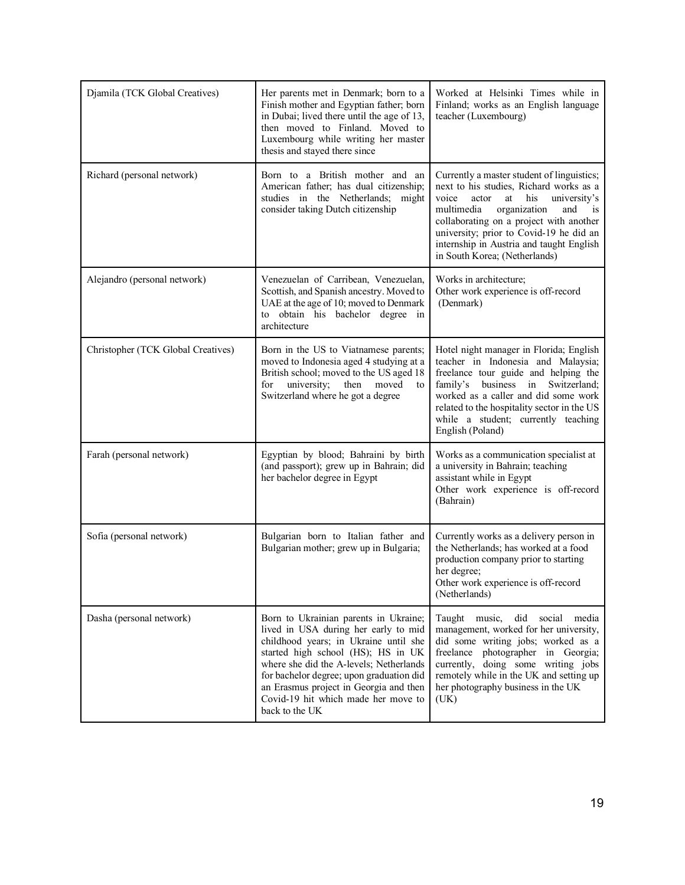| Djamila (TCK Global Creatives)     | Her parents met in Denmark; born to a<br>Finish mother and Egyptian father; born<br>in Dubai; lived there until the age of 13,<br>then moved to Finland. Moved to<br>Luxembourg while writing her master<br>thesis and stayed there since                                                                                                              | Worked at Helsinki Times while in<br>Finland; works as an English language<br>teacher (Luxembourg)                                                                                                                                                                                                                                                      |
|------------------------------------|--------------------------------------------------------------------------------------------------------------------------------------------------------------------------------------------------------------------------------------------------------------------------------------------------------------------------------------------------------|---------------------------------------------------------------------------------------------------------------------------------------------------------------------------------------------------------------------------------------------------------------------------------------------------------------------------------------------------------|
| Richard (personal network)         | Born to a British mother and an<br>American father; has dual citizenship;<br>studies in the Netherlands; might<br>consider taking Dutch citizenship                                                                                                                                                                                                    | Currently a master student of linguistics;<br>next to his studies, Richard works as a<br>voice<br>his university's<br>actor at<br>multimedia<br>organization<br>and<br>$\frac{1}{1}$<br>collaborating on a project with another<br>university; prior to Covid-19 he did an<br>internship in Austria and taught English<br>in South Korea; (Netherlands) |
| Alejandro (personal network)       | Venezuelan of Carribean, Venezuelan,<br>Scottish, and Spanish ancestry. Moved to<br>UAE at the age of 10; moved to Denmark<br>to obtain his bachelor degree in<br>architecture                                                                                                                                                                         | Works in architecture;<br>Other work experience is off-record<br>(Denmark)                                                                                                                                                                                                                                                                              |
| Christopher (TCK Global Creatives) | Born in the US to Viatnamese parents;<br>moved to Indonesia aged 4 studying at a<br>British school; moved to the US aged 18<br>university;<br>then moved<br>for<br>to<br>Switzerland where he got a degree                                                                                                                                             | Hotel night manager in Florida; English<br>teacher in Indonesia and Malaysia;<br>freelance tour guide and helping the<br>family's business in Switzerland;<br>worked as a caller and did some work<br>related to the hospitality sector in the US<br>while a student; currently teaching<br>English (Poland)                                            |
| Farah (personal network)           | Egyptian by blood; Bahraini by birth<br>(and passport); grew up in Bahrain; did<br>her bachelor degree in Egypt                                                                                                                                                                                                                                        | Works as a communication specialist at<br>a university in Bahrain; teaching<br>assistant while in Egypt<br>Other work experience is off-record<br>(Bahrain)                                                                                                                                                                                             |
| Sofia (personal network)           | Bulgarian born to Italian father and<br>Bulgarian mother; grew up in Bulgaria;                                                                                                                                                                                                                                                                         | Currently works as a delivery person in<br>the Netherlands; has worked at a food<br>production company prior to starting<br>her degree;<br>Other work experience is off-record<br>(Netherlands)                                                                                                                                                         |
| Dasha (personal network)           | Born to Ukrainian parents in Ukraine;<br>lived in USA during her early to mid<br>childhood years; in Ukraine until she<br>started high school (HS); HS in UK<br>where she did the A-levels; Netherlands<br>for bachelor degree; upon graduation did<br>an Erasmus project in Georgia and then<br>Covid-19 hit which made her move to<br>back to the UK | Taught music,<br>did<br>social<br>media<br>management, worked for her university,<br>did some writing jobs; worked as a<br>freelance photographer in Georgia;<br>currently, doing some writing jobs<br>remotely while in the UK and setting up<br>her photography business in the UK<br>(UK)                                                            |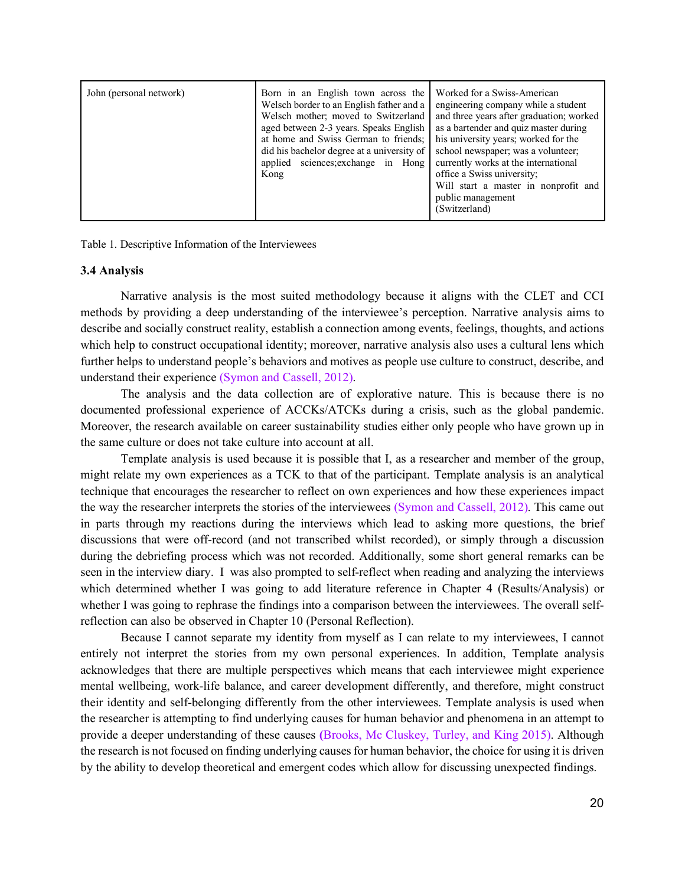| John (personal network) | Born in an English town across the<br>Welsch border to an English father and a<br>Welsch mother; moved to Switzerland<br>aged between 2-3 years. Speaks English<br>at home and Swiss German to friends:<br>did his bachelor degree at a university of<br>applied sciences; exchange in Hong<br>Kong | Worked for a Swiss-American<br>engineering company while a student<br>and three years after graduation; worked<br>as a bartender and quiz master during<br>his university years; worked for the<br>school newspaper; was a volunteer;<br>currently works at the international<br>office a Swiss university;<br>Will start a master in nonprofit and<br>public management<br>(Switzerland) |
|-------------------------|-----------------------------------------------------------------------------------------------------------------------------------------------------------------------------------------------------------------------------------------------------------------------------------------------------|-------------------------------------------------------------------------------------------------------------------------------------------------------------------------------------------------------------------------------------------------------------------------------------------------------------------------------------------------------------------------------------------|
|-------------------------|-----------------------------------------------------------------------------------------------------------------------------------------------------------------------------------------------------------------------------------------------------------------------------------------------------|-------------------------------------------------------------------------------------------------------------------------------------------------------------------------------------------------------------------------------------------------------------------------------------------------------------------------------------------------------------------------------------------|

<span id="page-20-0"></span>Table 1. Descriptive Information of the Interviewees

#### **3.4 Analysis**

Narrative analysis is the most suited methodology because it aligns with the CLET and CCI methods by providing a deep understanding of the interviewee's perception. Narrative analysis aims to describe and socially construct reality, establish a connection among events, feelings, thoughts, and actions which help to construct occupational identity; moreover, narrative analysis also uses a cultural lens which further helps to understand people's behaviors and motives as people use culture to construct, describe, and understand their experience (Symon and Cassell, 2012).

The analysis and the data collection are of explorative nature. This is because there is no documented professional experience of ACCKs/ATCKs during a crisis, such as the global pandemic. Moreover, the research available on career sustainability studies either only people who have grown up in the same culture or does not take culture into account at all.

Template analysis is used because it is possible that I, as a researcher and member of the group, might relate my own experiences as a TCK to that of the participant. Template analysis is an analytical technique that encourages the researcher to reflect on own experiences and how these experiences impact the way the researcher interprets the stories of the interviewees (Symon and Cassell, 2012). This came out in parts through my reactions during the interviews which lead to asking more questions, the brief discussions that were off-record (and not transcribed whilst recorded), or simply through a discussion during the debriefing process which was not recorded. Additionally, some short general remarks can be seen in the interview diary. I was also prompted to self-reflect when reading and analyzing the interviews which determined whether I was going to add literature reference in Chapter 4 (Results/Analysis) or whether I was going to rephrase the findings into a comparison between the interviewees. The overall selfreflection can also be observed in Chapter 10 (Personal Reflection).

Because I cannot separate my identity from myself as I can relate to my interviewees, I cannot entirely not interpret the stories from my own personal experiences. In addition, Template analysis acknowledges that there are multiple perspectives which means that each interviewee might experience mental wellbeing, work-life balance, and career development differently, and therefore, might construct their identity and self-belonging differently from the other interviewees. Template analysis is used when the researcher is attempting to find underlying causes for human behavior and phenomena in an attempt to provide a deeper understanding of these causes **(**Brooks, Mc Cluskey, Turley, and King 2015). Although the research is not focused on finding underlying causes for human behavior, the choice for using it is driven by the ability to develop theoretical and emergent codes which allow for discussing unexpected findings.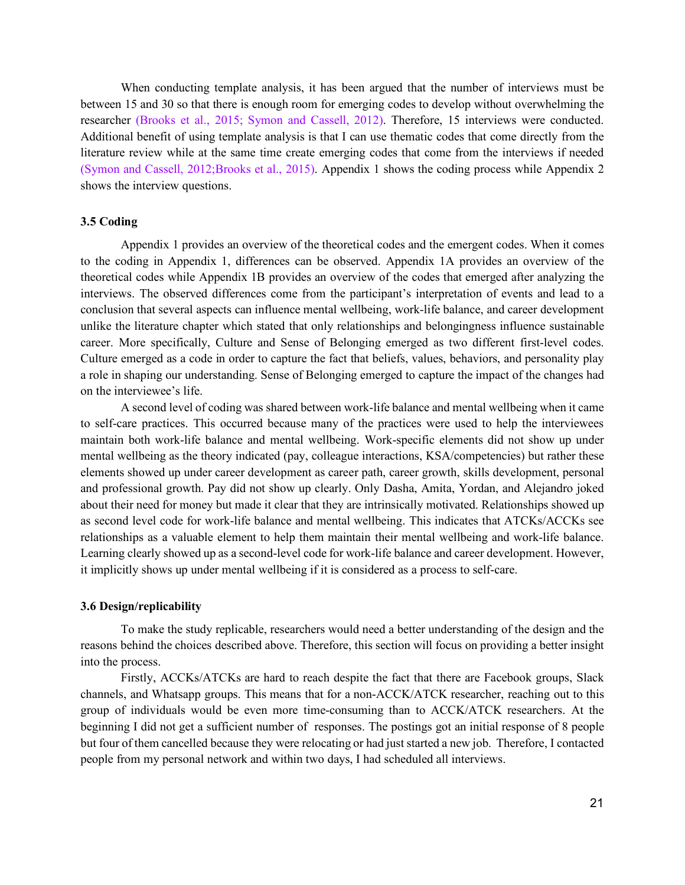When conducting template analysis, it has been argued that the number of interviews must be between 15 and 30 so that there is enough room for emerging codes to develop without overwhelming the researcher (Brooks et al., 2015; Symon and Cassell, 2012). Therefore, 15 interviews were conducted. Additional benefit of using template analysis is that I can use thematic codes that come directly from the literature review while at the same time create emerging codes that come from the interviews if needed (Symon and Cassell, 2012;Brooks et al., 2015). Appendix 1 shows the coding process while Appendix 2 shows the interview questions.

## <span id="page-21-0"></span>**3.5 Coding**

Appendix 1 provides an overview of the theoretical codes and the emergent codes. When it comes to the coding in Appendix 1, differences can be observed. Appendix 1A provides an overview of the theoretical codes while Appendix 1B provides an overview of the codes that emerged after analyzing the interviews. The observed differences come from the participant's interpretation of events and lead to a conclusion that several aspects can influence mental wellbeing, work-life balance, and career development unlike the literature chapter which stated that only relationships and belongingness influence sustainable career. More specifically, Culture and Sense of Belonging emerged as two different first-level codes. Culture emerged as a code in order to capture the fact that beliefs, values, behaviors, and personality play a role in shaping our understanding. Sense of Belonging emerged to capture the impact of the changes had on the interviewee's life.

A second level of coding was shared between work-life balance and mental wellbeing when it came to self-care practices. This occurred because many of the practices were used to help the interviewees maintain both work-life balance and mental wellbeing. Work-specific elements did not show up under mental wellbeing as the theory indicated (pay, colleague interactions, KSA/competencies) but rather these elements showed up under career development as career path, career growth, skills development, personal and professional growth. Pay did not show up clearly. Only Dasha, Amita, Yordan, and Alejandro joked about their need for money but made it clear that they are intrinsically motivated. Relationships showed up as second level code for work-life balance and mental wellbeing. This indicates that ATCKs/ACCKs see relationships as a valuable element to help them maintain their mental wellbeing and work-life balance. Learning clearly showed up as a second-level code for work-life balance and career development. However, it implicitly shows up under mental wellbeing if it is considered as a process to self-care.

#### <span id="page-21-1"></span>**3.6 Design/replicability**

To make the study replicable, researchers would need a better understanding of the design and the reasons behind the choices described above. Therefore, this section will focus on providing a better insight into the process.

Firstly, ACCKs/ATCKs are hard to reach despite the fact that there are Facebook groups, Slack channels, and Whatsapp groups. This means that for a non-ACCK/ATCK researcher, reaching out to this group of individuals would be even more time-consuming than to ACCK/ATCK researchers. At the beginning I did not get a sufficient number of responses. The postings got an initial response of 8 people but four of them cancelled because they were relocating or had just started a new job. Therefore, I contacted people from my personal network and within two days, I had scheduled all interviews.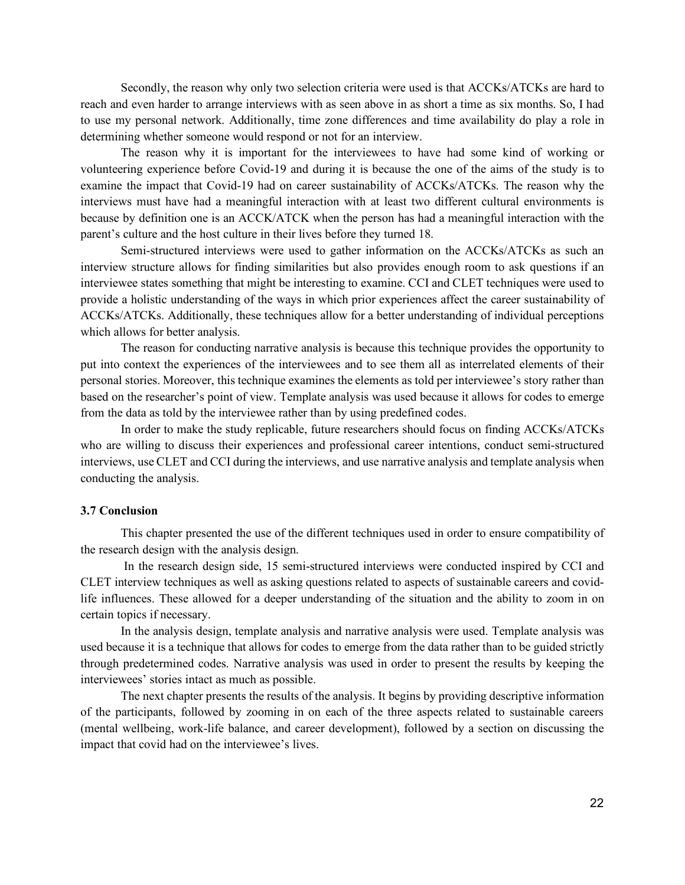Secondly, the reason why only two selection criteria were used is that ACCKs/ATCKs are hard to reach and even harder to arrange interviews with as seen above in as short a time as six months. So, I had to use my personal network. Additionally, time zone differences and time availability do play a role in determining whether someone would respond or not for an interview.

The reason why it is important for the interviewees to have had some kind of working or volunteering experience before Covid-19 and during it is because the one of the aims of the study is to examine the impact that Covid-19 had on career sustainability of ACCKs/ATCKs. The reason why the interviews must have had a meaningful interaction with at least two different cultural environments is because by definition one is an ACCK/ATCK when the person has had a meaningful interaction with the parent's culture and the host culture in their lives before they turned 18.

Semi-structured interviews were used to gather information on the ACCKs/ATCKs as such an interview structure allows for finding similarities but also provides enough room to ask questions if an interviewee states something that might be interesting to examine. CCI and CLET techniques were used to provide a holistic understanding of the ways in which prior experiences affect the career sustainability of ACCKs/ATCKs. Additionally, these techniques allow for a better understanding of individual perceptions which allows for better analysis.

The reason for conducting narrative analysis is because this technique provides the opportunity to put into context the experiences of the interviewees and to see them all as interrelated elements of their personal stories. Moreover, this technique examines the elements as told per interviewee's story rather than based on the researcher's point of view. Template analysis was used because it allows for codes to emerge from the data as told by the interviewee rather than by using predefined codes.

In order to make the study replicable, future researchers should focus on finding ACCKs/ATCKs who are willing to discuss their experiences and professional career intentions, conduct semi-structured interviews, use CLET and CCI during the interviews, and use narrative analysis and template analysis when conducting the analysis.

# <span id="page-22-0"></span>**3.7 Conclusion**

This chapter presented the use of the different techniques used in order to ensure compatibility of the research design with the analysis design.

In the research design side, 15 semi-structured interviews were conducted inspired by CCI and CLET interview techniques as well as asking questions related to aspects of sustainable careers and covidlife influences. These allowed for a deeper understanding of the situation and the ability to zoom in on certain topics if necessary.

In the analysis design, template analysis and narrative analysis were used. Template analysis was used because it is a technique that allows for codes to emerge from the data rather than to be guided strictly through predetermined codes. Narrative analysis was used in order to present the results by keeping the interviewees' stories intact as much as possible.

The next chapter presents the results of the analysis. It begins by providing descriptive information of the participants, followed by zooming in on each of the three aspects related to sustainable careers (mental wellbeing, work-life balance, and career development), followed by a section on discussing the impact that covid had on the interviewee's lives.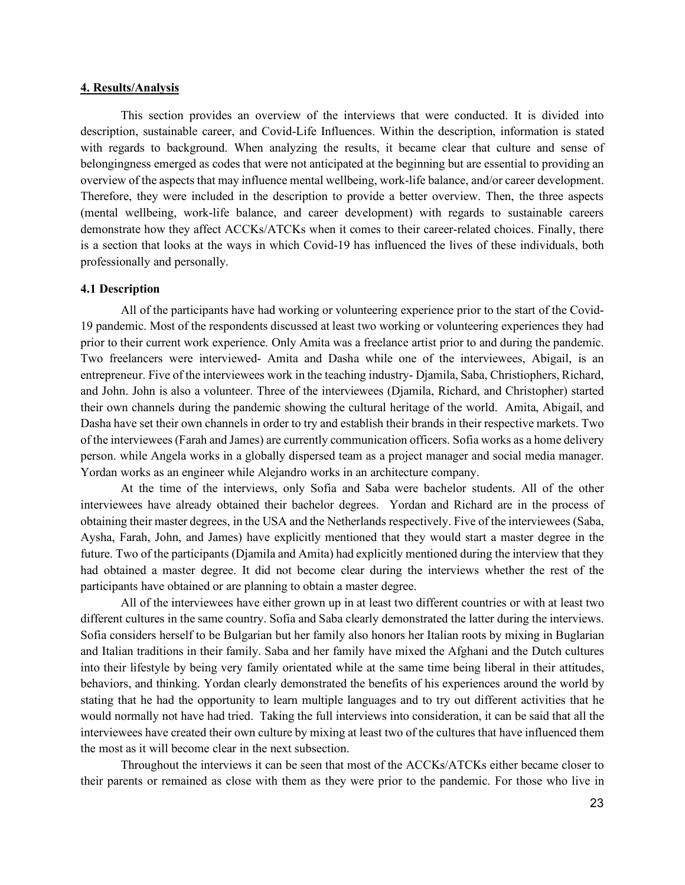#### <span id="page-23-0"></span>**4. Results/Analysis**

This section provides an overview of the interviews that were conducted. It is divided into description, sustainable career, and Covid-Life Influences. Within the description, information is stated with regards to background. When analyzing the results, it became clear that culture and sense of belongingness emerged as codes that were not anticipated at the beginning but are essential to providing an overview of the aspects that may influence mental wellbeing, work-life balance, and/or career development. Therefore, they were included in the description to provide a better overview. Then, the three aspects (mental wellbeing, work-life balance, and career development) with regards to sustainable careers demonstrate how they affect ACCKs/ATCKs when it comes to their career-related choices. Finally, there is a section that looks at the ways in which Covid-19 has influenced the lives of these individuals, both professionally and personally.

# <span id="page-23-1"></span>**4.1 Description**

All of the participants have had working or volunteering experience prior to the start of the Covid-19 pandemic. Most of the respondents discussed at least two working or volunteering experiences they had prior to their current work experience. Only Amita was a freelance artist prior to and during the pandemic. Two freelancers were interviewed- Amita and Dasha while one of the interviewees, Abigail, is an entrepreneur. Five of the interviewees work in the teaching industry- Djamila, Saba, Christiophers, Richard, and John. John is also a volunteer. Three of the interviewees (Djamila, Richard, and Christopher) started their own channels during the pandemic showing the cultural heritage of the world. Amita, Abigail, and Dasha have set their own channels in order to try and establish their brands in their respective markets. Two of the interviewees (Farah and James) are currently communication officers. Sofia works as a home delivery person. while Angela works in a globally dispersed team as a project manager and social media manager. Yordan works as an engineer while Alejandro works in an architecture company.

At the time of the interviews, only Sofia and Saba were bachelor students. All of the other interviewees have already obtained their bachelor degrees. Yordan and Richard are in the process of obtaining their master degrees, in the USA and the Netherlands respectively. Five of the interviewees (Saba, Aysha, Farah, John, and James) have explicitly mentioned that they would start a master degree in the future. Two of the participants (Djamila and Amita) had explicitly mentioned during the interview that they had obtained a master degree. It did not become clear during the interviews whether the rest of the participants have obtained or are planning to obtain a master degree.

All of the interviewees have either grown up in at least two different countries or with at least two different cultures in the same country. Sofia and Saba clearly demonstrated the latter during the interviews. Sofia considers herself to be Bulgarian but her family also honors her Italian roots by mixing in Buglarian and Italian traditions in their family. Saba and her family have mixed the Afghani and the Dutch cultures into their lifestyle by being very family orientated while at the same time being liberal in their attitudes, behaviors, and thinking. Yordan clearly demonstrated the benefits of his experiences around the world by stating that he had the opportunity to learn multiple languages and to try out different activities that he would normally not have had tried. Taking the full interviews into consideration, it can be said that all the interviewees have created their own culture by mixing at least two of the cultures that have influenced them the most as it will become clear in the next subsection.

Throughout the interviews it can be seen that most of the ACCKs/ATCKs either became closer to their parents or remained as close with them as they were prior to the pandemic. For those who live in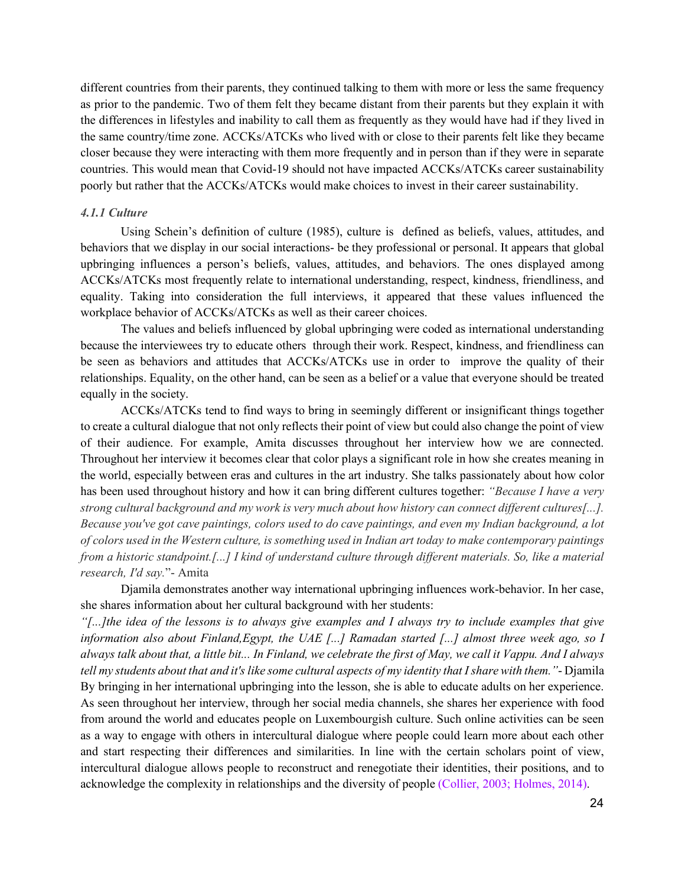different countries from their parents, they continued talking to them with more or less the same frequency as prior to the pandemic. Two of them felt they became distant from their parents but they explain it with the differences in lifestyles and inability to call them as frequently as they would have had if they lived in the same country/time zone. ACCKs/ATCKs who lived with or close to their parents felt like they became closer because they were interacting with them more frequently and in person than if they were in separate countries. This would mean that Covid-19 should not have impacted ACCKs/ATCKs career sustainability poorly but rather that the ACCKs/ATCKs would make choices to invest in their career sustainability.

#### <span id="page-24-0"></span>*4.1.1 Culture*

Using Schein's definition of culture (1985), culture is defined as beliefs, values, attitudes, and behaviors that we display in our social interactions- be they professional or personal. It appears that global upbringing influences a person's beliefs, values, attitudes, and behaviors. The ones displayed among ACCKs/ATCKs most frequently relate to international understanding, respect, kindness, friendliness, and equality. Taking into consideration the full interviews, it appeared that these values influenced the workplace behavior of ACCKs/ATCKs as well as their career choices.

The values and beliefs influenced by global upbringing were coded as international understanding because the interviewees try to educate others through their work. Respect, kindness, and friendliness can be seen as behaviors and attitudes that ACCKs/ATCKs use in order to improve the quality of their relationships. Equality, on the other hand, can be seen as a belief or a value that everyone should be treated equally in the society.

ACCKs/ATCKs tend to find ways to bring in seemingly different or insignificant things together to create a cultural dialogue that not only reflects their point of view but could also change the point of view of their audience. For example, Amita discusses throughout her interview how we are connected. Throughout her interview it becomes clear that color plays a significant role in how she creates meaning in the world, especially between eras and cultures in the art industry. She talks passionately about how color has been used throughout history and how it can bring different cultures together: *"Because I have a very strong cultural background and my work is very much about how history can connect different cultures[...]. Because you've got cave paintings, colors used to do cave paintings, and even my Indian background, a lot of colors used in the Western culture, is something used in Indian art today to make contemporary paintings from a historic standpoint.[...] I kind of understand culture through different materials. So, like a material research, I'd say.*"- Amita

Djamila demonstrates another way international upbringing influences work-behavior. In her case, she shares information about her cultural background with her students:

*"[...]the idea of the lessons is to always give examples and I always try to include examples that give information also about Finland,Egypt, the UAE [...] Ramadan started [...] almost three week ago, so I always talk about that, a little bit... In Finland, we celebrate the first of May, we call it Vappu. And I always tell my students about that and it's like some cultural aspects of my identity that I share with them."*- Djamila By bringing in her international upbringing into the lesson, she is able to educate adults on her experience. As seen throughout her interview, through her social media channels, she shares her experience with food from around the world and educates people on Luxembourgish culture. Such online activities can be seen as a way to engage with others in intercultural dialogue where people could learn more about each other and start respecting their differences and similarities. In line with the certain scholars point of view, intercultural dialogue allows people to reconstruct and renegotiate their identities, their positions, and to acknowledge the complexity in relationships and the diversity of people (Collier, 2003; Holmes, 2014).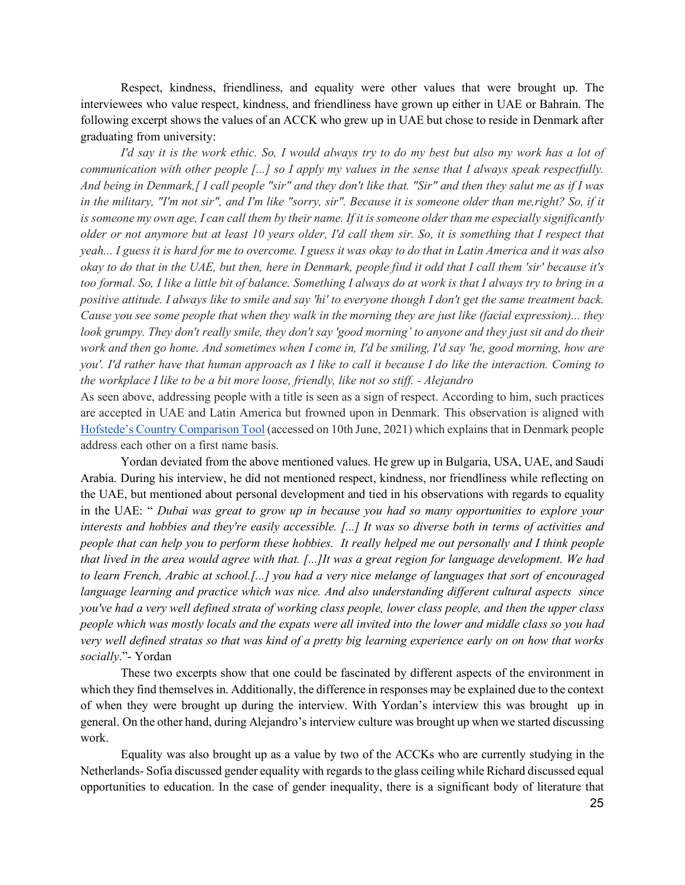Respect, kindness, friendliness, and equality were other values that were brought up. The interviewees who value respect, kindness, and friendliness have grown up either in UAE or Bahrain. The following excerpt shows the values of an ACCK who grew up in UAE but chose to reside in Denmark after graduating from university:

*I'd say it is the work ethic. So, I would always try to do my best but also my work has a lot of communication with other people [...] so I apply my values in the sense that I always speak respectfully. And being in Denmark,[ I call people "sir" and they don't like that. "Sir" and then they salut me as if I was in the military, "I'm not sir", and I'm like "sorry, sir". Because it is someone older than me,right? So, if it*  is someone my own age, I can call them by their name. If it is someone older than me especially significantly *older or not anymore but at least 10 years older, I'd call them sir. So, it is something that I respect that yeah... I guess it is hard for me to overcome. I guess it was okay to do that in Latin America and it was also okay to do that in the UAE, but then, here in Denmark, people find it odd that I call them 'sir' because it's too formal. So, I like a little bit of balance. Something I always do at work is that I always try to bring in a positive attitude. I always like to smile and say 'hi' to everyone though I don't get the same treatment back. Cause you see some people that when they walk in the morning they are just like (facial expression)... they look grumpy. They don't really smile, they don't say 'good morning' to anyone and they just sit and do their work and then go home. And sometimes when I come in, I'd be smiling, I'd say 'he, good morning, how are you'. I'd rather have that human approach as I like to call it because I do like the interaction. Coming to the workplace I like to be a bit more loose, friendly, like not so stiff. - Alejandro*

As seen above, addressing people with a title is seen as a sign of respect. According to him, such practices are accepted in UAE and Latin America but frowned upon in Denmark. This observation is aligned with [Hofstede's Country Comparison Tool](https://www.hofstede-insights.com/country-comparison/denmark,the-united-arab-emirates/) (accessed on 10th June, 2021) which explains that in Denmark people address each other on a first name basis.

Yordan deviated from the above mentioned values. He grew up in Bulgaria, USA, UAE, and Saudi Arabia. During his interview, he did not mentioned respect, kindness, nor friendliness while reflecting on the UAE, but mentioned about personal development and tied in his observations with regards to equality in the UAE: " *Dubai was great to grow up in because you had so many opportunities to explore your interests and hobbies and they're easily accessible. [...] It was so diverse both in terms of activities and people that can help you to perform these hobbies. It really helped me out personally and I think people that lived in the area would agree with that. [...]It was a great region for language development. We had to learn French, Arabic at school.[...] you had a very nice melange of languages that sort of encouraged language learning and practice which was nice. And also understanding different cultural aspects since you've had a very well defined strata of working class people, lower class people, and then the upper class people which was mostly locals and the expats were all invited into the lower and middle class so you had very well defined stratas so that was kind of a pretty big learning experience early on on how that works socially*."- Yordan

These two excerpts show that one could be fascinated by different aspects of the environment in which they find themselves in. Additionally, the difference in responses may be explained due to the context of when they were brought up during the interview. With Yordan's interview this was brought up in general. On the other hand, during Alejandro's interview culture was brought up when we started discussing work.

Equality was also brought up as a value by two of the ACCKs who are currently studying in the Netherlands- Sofia discussed gender equality with regards to the glass ceiling while Richard discussed equal opportunities to education. In the case of gender inequality, there is a significant body of literature that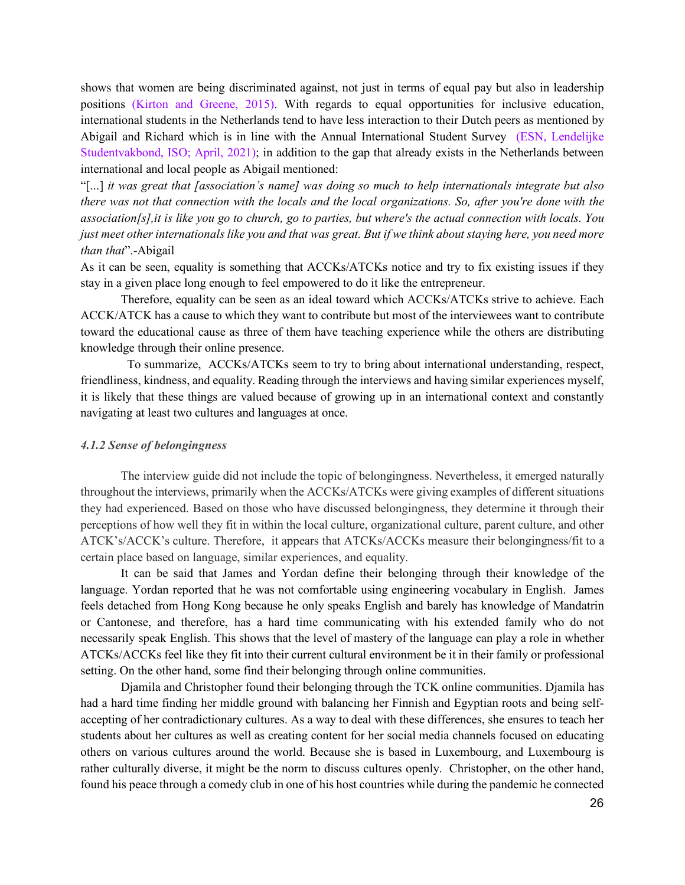shows that women are being discriminated against, not just in terms of equal pay but also in leadership positions (Kirton and Greene, 2015). With regards to equal opportunities for inclusive education, international students in the Netherlands tend to have less interaction to their Dutch peers as mentioned by Abigail and Richard which is in line with the Annual International Student Survey (ESN, Lendelijke Studentvakbond, ISO; April, 2021); in addition to the gap that already exists in the Netherlands between international and local people as Abigail mentioned:

"[...] *it was great that [association's name] was doing so much to help internationals integrate but also there was not that connection with the locals and the local organizations. So, after you're done with the association[s],it is like you go to church, go to parties, but where's the actual connection with locals. You just meet other internationals like you and that was great. But if we think about staying here, you need more than that*".-Abigail

As it can be seen, equality is something that ACCKs/ATCKs notice and try to fix existing issues if they stay in a given place long enough to feel empowered to do it like the entrepreneur.

Therefore, equality can be seen as an ideal toward which ACCKs/ATCKs strive to achieve. Each ACCK/ATCK has a cause to which they want to contribute but most of the interviewees want to contribute toward the educational cause as three of them have teaching experience while the others are distributing knowledge through their online presence.

 To summarize, ACCKs/ATCKs seem to try to bring about international understanding, respect, friendliness, kindness, and equality. Reading through the interviews and having similar experiences myself, it is likely that these things are valued because of growing up in an international context and constantly navigating at least two cultures and languages at once.

# <span id="page-26-0"></span>*4.1.2 Sense of belongingness*

The interview guide did not include the topic of belongingness. Nevertheless, it emerged naturally throughout the interviews, primarily when the ACCKs/ATCKs were giving examples of different situations they had experienced. Based on those who have discussed belongingness, they determine it through their perceptions of how well they fit in within the local culture, organizational culture, parent culture, and other ATCK's/ACCK's culture. Therefore, it appears that ATCKs/ACCKs measure their belongingness/fit to a certain place based on language, similar experiences, and equality.

It can be said that James and Yordan define their belonging through their knowledge of the language. Yordan reported that he was not comfortable using engineering vocabulary in English. James feels detached from Hong Kong because he only speaks English and barely has knowledge of Mandatrin or Cantonese, and therefore, has a hard time communicating with his extended family who do not necessarily speak English. This shows that the level of mastery of the language can play a role in whether ATCKs/ACCKs feel like they fit into their current cultural environment be it in their family or professional setting. On the other hand, some find their belonging through online communities.

Djamila and Christopher found their belonging through the TCK online communities. Djamila has had a hard time finding her middle ground with balancing her Finnish and Egyptian roots and being selfaccepting of her contradictionary cultures. As a way to deal with these differences, she ensures to teach her students about her cultures as well as creating content for her social media channels focused on educating others on various cultures around the world. Because she is based in Luxembourg, and Luxembourg is rather culturally diverse, it might be the norm to discuss cultures openly. Christopher, on the other hand, found his peace through a comedy club in one of his host countries while during the pandemic he connected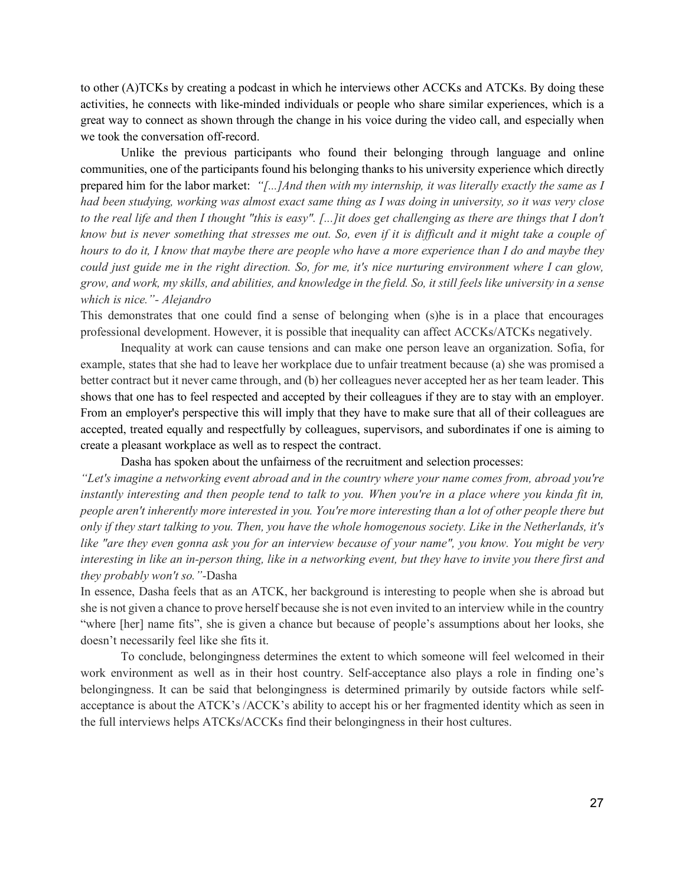to other (A)TCKs by creating a podcast in which he interviews other ACCKs and ATCKs. By doing these activities, he connects with like-minded individuals or people who share similar experiences, which is a great way to connect as shown through the change in his voice during the video call, and especially when we took the conversation off-record.

Unlike the previous participants who found their belonging through language and online communities, one of the participants found his belonging thanks to his university experience which directly prepared him for the labor market: *"[...]And then with my internship, it was literally exactly the same as I had been studying, working was almost exact same thing as I was doing in university, so it was very close*  to the real life and then I thought "this is easy". [...]it does get challenging as there are things that I don't *know but is never something that stresses me out. So, even if it is difficult and it might take a couple of hours to do it, I know that maybe there are people who have a more experience than I do and maybe they could just guide me in the right direction. So, for me, it's nice nurturing environment where I can glow, grow, and work, my skills, and abilities, and knowledge in the field. So, it still feels like university in a sense which is nice."- Alejandro*

This demonstrates that one could find a sense of belonging when (s)he is in a place that encourages professional development. However, it is possible that inequality can affect ACCKs/ATCKs negatively.

Inequality at work can cause tensions and can make one person leave an organization. Sofia, for example, states that she had to leave her workplace due to unfair treatment because (a) she was promised a better contract but it never came through, and (b) her colleagues never accepted her as her team leader. This shows that one has to feel respected and accepted by their colleagues if they are to stay with an employer. From an employer's perspective this will imply that they have to make sure that all of their colleagues are accepted, treated equally and respectfully by colleagues, supervisors, and subordinates if one is aiming to create a pleasant workplace as well as to respect the contract.

Dasha has spoken about the unfairness of the recruitment and selection processes:

*"Let's imagine a networking event abroad and in the country where your name comes from, abroad you're instantly interesting and then people tend to talk to you. When you're in a place where you kinda fit in, people aren't inherently more interested in you. You're more interesting than a lot of other people there but only if they start talking to you. Then, you have the whole homogenous society. Like in the Netherlands, it's like "are they even gonna ask you for an interview because of your name", you know. You might be very interesting in like an in-person thing, like in a networking event, but they have to invite you there first and they probably won't so."-*Dasha

In essence, Dasha feels that as an ATCK, her background is interesting to people when she is abroad but she is not given a chance to prove herself because she is not even invited to an interview while in the country "where [her] name fits", she is given a chance but because of people's assumptions about her looks, she doesn't necessarily feel like she fits it.

To conclude, belongingness determines the extent to which someone will feel welcomed in their work environment as well as in their host country. Self-acceptance also plays a role in finding one's belongingness. It can be said that belongingness is determined primarily by outside factors while selfacceptance is about the ATCK's /ACCK's ability to accept his or her fragmented identity which as seen in the full interviews helps ATCKs/ACCKs find their belongingness in their host cultures.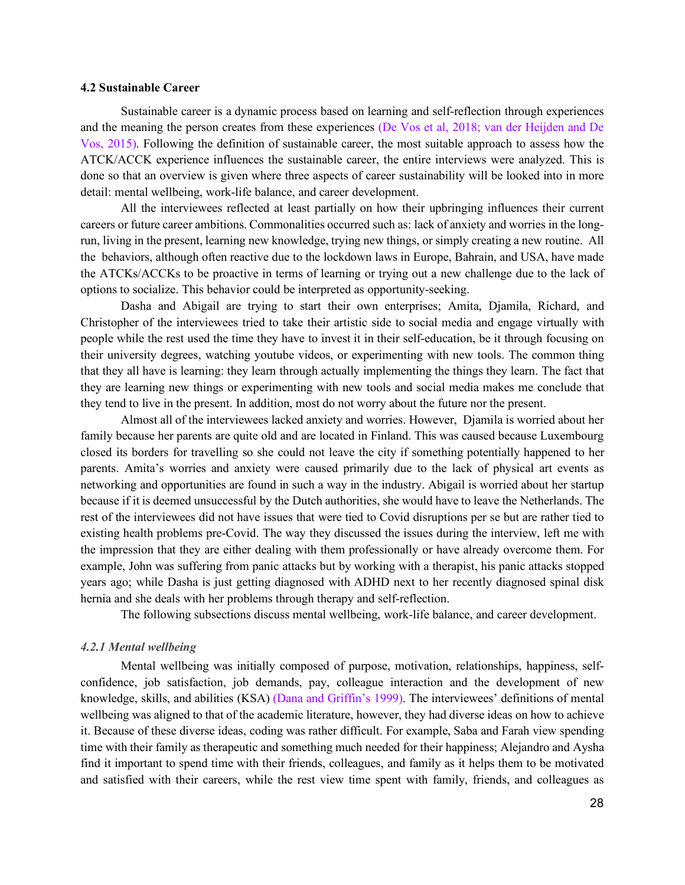#### <span id="page-28-0"></span>**4.2 Sustainable Career**

Sustainable career is a dynamic process based on learning and self-reflection through experiences and the meaning the person creates from these experiences (De Vos et al, 2018; van der Heijden and De Vos, 2015). Following the definition of sustainable career, the most suitable approach to assess how the ATCK/ACCK experience influences the sustainable career, the entire interviews were analyzed. This is done so that an overview is given where three aspects of career sustainability will be looked into in more detail: mental wellbeing, work-life balance, and career development.

All the interviewees reflected at least partially on how their upbringing influences their current careers or future career ambitions. Commonalities occurred such as: lack of anxiety and worries in the longrun, living in the present, learning new knowledge, trying new things, or simply creating a new routine. All the behaviors, although often reactive due to the lockdown laws in Europe, Bahrain, and USA, have made the ATCKs/ACCKs to be proactive in terms of learning or trying out a new challenge due to the lack of options to socialize. This behavior could be interpreted as opportunity-seeking.

Dasha and Abigail are trying to start their own enterprises; Amita, Djamila, Richard, and Christopher of the interviewees tried to take their artistic side to social media and engage virtually with people while the rest used the time they have to invest it in their self-education, be it through focusing on their university degrees, watching youtube videos, or experimenting with new tools. The common thing that they all have is learning: they learn through actually implementing the things they learn. The fact that they are learning new things or experimenting with new tools and social media makes me conclude that they tend to live in the present. In addition, most do not worry about the future nor the present.

Almost all of the interviewees lacked anxiety and worries. However, Djamila is worried about her family because her parents are quite old and are located in Finland. This was caused because Luxembourg closed its borders for travelling so she could not leave the city if something potentially happened to her parents. Amita's worries and anxiety were caused primarily due to the lack of physical art events as networking and opportunities are found in such a way in the industry. Abigail is worried about her startup because if it is deemed unsuccessful by the Dutch authorities, she would have to leave the Netherlands. The rest of the interviewees did not have issues that were tied to Covid disruptions per se but are rather tied to existing health problems pre-Covid. The way they discussed the issues during the interview, left me with the impression that they are either dealing with them professionally or have already overcome them. For example, John was suffering from panic attacks but by working with a therapist, his panic attacks stopped years ago; while Dasha is just getting diagnosed with ADHD next to her recently diagnosed spinal disk hernia and she deals with her problems through therapy and self-reflection.

The following subsections discuss mental wellbeing, work-life balance, and career development.

#### <span id="page-28-1"></span>*4.2.1 Mental wellbeing*

Mental wellbeing was initially composed of purpose, motivation, relationships, happiness, selfconfidence, job satisfaction, job demands, pay, colleague interaction and the development of new knowledge, skills, and abilities (KSA) (Dana and Griffin's 1999). The interviewees' definitions of mental wellbeing was aligned to that of the academic literature, however, they had diverse ideas on how to achieve it. Because of these diverse ideas, coding was rather difficult. For example, Saba and Farah view spending time with their family as therapeutic and something much needed for their happiness; Alejandro and Aysha find it important to spend time with their friends, colleagues, and family as it helps them to be motivated and satisfied with their careers, while the rest view time spent with family, friends, and colleagues as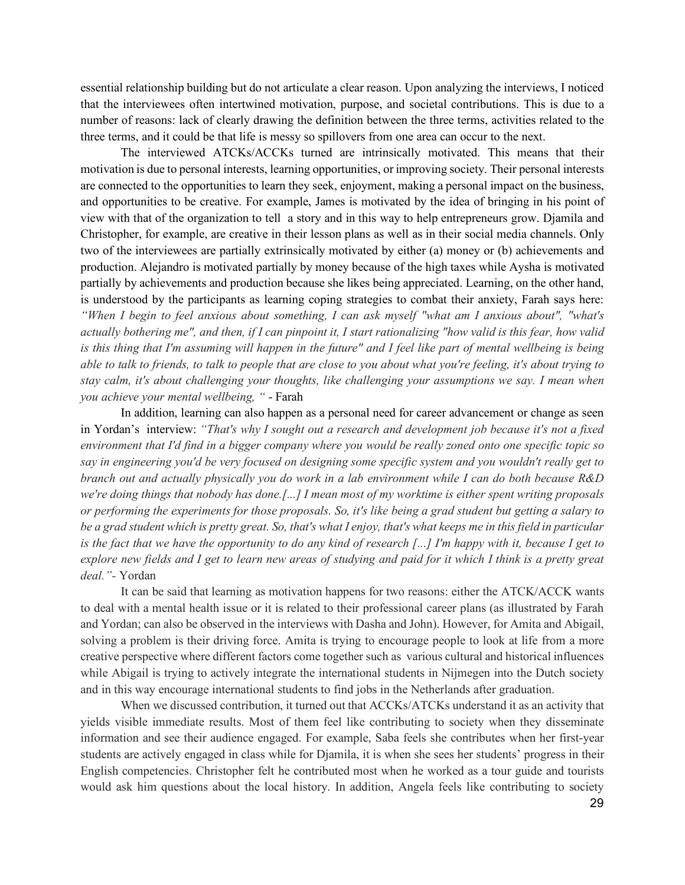essential relationship building but do not articulate a clear reason. Upon analyzing the interviews, I noticed that the interviewees often intertwined motivation, purpose, and societal contributions. This is due to a number of reasons: lack of clearly drawing the definition between the three terms, activities related to the three terms, and it could be that life is messy so spillovers from one area can occur to the next.

The interviewed ATCKs/ACCKs turned are intrinsically motivated. This means that their motivation is due to personal interests, learning opportunities, or improving society. Their personal interests are connected to the opportunities to learn they seek, enjoyment, making a personal impact on the business, and opportunities to be creative. For example, James is motivated by the idea of bringing in his point of view with that of the organization to tell a story and in this way to help entrepreneurs grow. Djamila and Christopher, for example, are creative in their lesson plans as well as in their social media channels. Only two of the interviewees are partially extrinsically motivated by either (a) money or (b) achievements and production. Alejandro is motivated partially by money because of the high taxes while Aysha is motivated partially by achievements and production because she likes being appreciated. Learning, on the other hand, is understood by the participants as learning coping strategies to combat their anxiety, Farah says here: *"When I begin to feel anxious about something, I can ask myself "what am I anxious about", "what's actually bothering me", and then, if I can pinpoint it, I start rationalizing "how valid is this fear, how valid is this thing that I'm assuming will happen in the future" and I feel like part of mental wellbeing is being able to talk to friends, to talk to people that are close to you about what you're feeling, it's about trying to stay calm, it's about challenging your thoughts, like challenging your assumptions we say. I mean when you achieve your mental wellbeing, "* - Farah

In addition, learning can also happen as a personal need for career advancement or change as seen in Yordan's interview: *"That's why I sought out a research and development job because it's not a fixed environment that I'd find in a bigger company where you would be really zoned onto one specific topic so say in engineering you'd be very focused on designing some specific system and you wouldn't really get to branch out and actually physically you do work in a lab environment while I can do both because R&D we're doing things that nobody has done.[...] I mean most of my worktime is either spent writing proposals or performing the experiments for those proposals. So, it's like being a grad student but getting a salary to be a grad student which is pretty great. So, that's what I enjoy, that's what keeps me in this field in particular is the fact that we have the opportunity to do any kind of research [...] I'm happy with it, because I get to explore new fields and I get to learn new areas of studying and paid for it which I think is a pretty great deal."-* Yordan

It can be said that learning as motivation happens for two reasons: either the ATCK/ACCK wants to deal with a mental health issue or it is related to their professional career plans (as illustrated by Farah and Yordan; can also be observed in the interviews with Dasha and John). However, for Amita and Abigail, solving a problem is their driving force. Amita is trying to encourage people to look at life from a more creative perspective where different factors come together such as various cultural and historical influences while Abigail is trying to actively integrate the international students in Nijmegen into the Dutch society and in this way encourage international students to find jobs in the Netherlands after graduation.

When we discussed contribution, it turned out that ACCKs/ATCKs understand it as an activity that yields visible immediate results. Most of them feel like contributing to society when they disseminate information and see their audience engaged. For example, Saba feels she contributes when her first-year students are actively engaged in class while for Djamila, it is when she sees her students' progress in their English competencies. Christopher felt he contributed most when he worked as a tour guide and tourists would ask him questions about the local history. In addition, Angela feels like contributing to society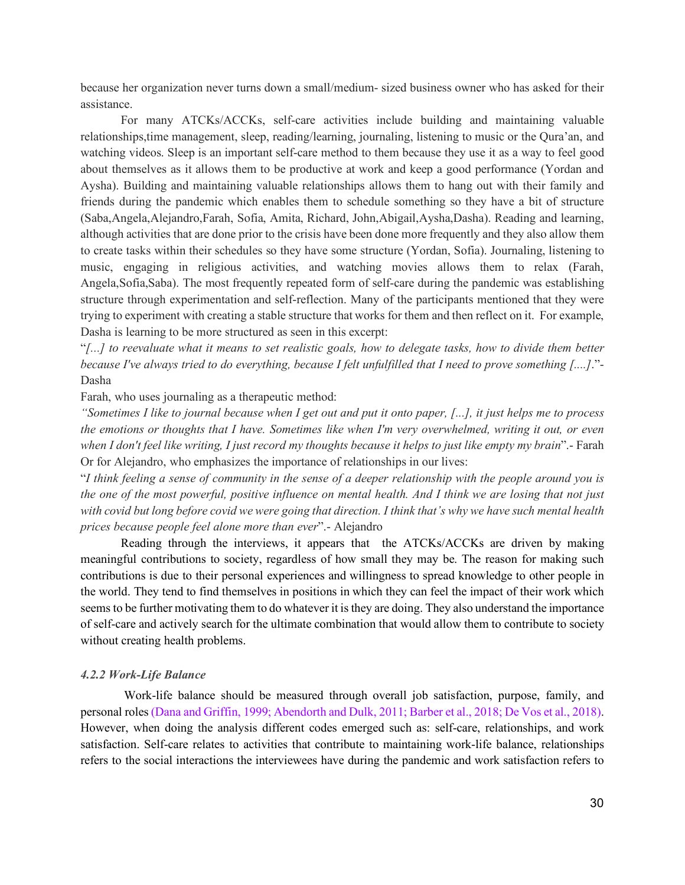because her organization never turns down a small/medium- sized business owner who has asked for their assistance.

For many ATCKs/ACCKs, self-care activities include building and maintaining valuable relationships,time management, sleep, reading/learning, journaling, listening to music or the Qura'an, and watching videos. Sleep is an important self-care method to them because they use it as a way to feel good about themselves as it allows them to be productive at work and keep a good performance (Yordan and Aysha). Building and maintaining valuable relationships allows them to hang out with their family and friends during the pandemic which enables them to schedule something so they have a bit of structure (Saba,Angela,Alejandro,Farah, Sofia, Amita, Richard, John,Abigail,Aysha,Dasha). Reading and learning, although activities that are done prior to the crisis have been done more frequently and they also allow them to create tasks within their schedules so they have some structure (Yordan, Sofia). Journaling, listening to music, engaging in religious activities, and watching movies allows them to relax (Farah, Angela,Sofia,Saba). The most frequently repeated form of self-care during the pandemic was establishing structure through experimentation and self-reflection. Many of the participants mentioned that they were trying to experiment with creating a stable structure that works for them and then reflect on it. For example, Dasha is learning to be more structured as seen in this excerpt:

"*[...] to reevaluate what it means to set realistic goals, how to delegate tasks, how to divide them better because I've always tried to do everything, because I felt unfulfilled that I need to prove something [....]*."- Dasha

Farah, who uses journaling as a therapeutic method:

*"Sometimes I like to journal because when I get out and put it onto paper, [...], it just helps me to process the emotions or thoughts that I have. Sometimes like when I'm very overwhelmed, writing it out, or even when I don't feel like writing, I just record my thoughts because it helps to just like empty my brain*".- Farah Or for Alejandro, who emphasizes the importance of relationships in our lives:

"*I think feeling a sense of community in the sense of a deeper relationship with the people around you is the one of the most powerful, positive influence on mental health. And I think we are losing that not just with covid but long before covid we were going that direction. I think that's why we have such mental health prices because people feel alone more than ever*".- Alejandro

Reading through the interviews, it appears that the ATCKs/ACCKs are driven by making meaningful contributions to society, regardless of how small they may be. The reason for making such contributions is due to their personal experiences and willingness to spread knowledge to other people in the world. They tend to find themselves in positions in which they can feel the impact of their work which seems to be further motivating them to do whatever it is they are doing. They also understand the importance of self-care and actively search for the ultimate combination that would allow them to contribute to society without creating health problems.

#### <span id="page-30-0"></span>*4.2.2 Work-Life Balance*

Work-life balance should be measured through overall job satisfaction, purpose, family, and personal roles (Dana and Griffin, 1999; Abendorth and Dulk, 2011; Barber et al., 2018; De Vos et al., 2018). However, when doing the analysis different codes emerged such as: self-care, relationships, and work satisfaction. Self-care relates to activities that contribute to maintaining work-life balance, relationships refers to the social interactions the interviewees have during the pandemic and work satisfaction refers to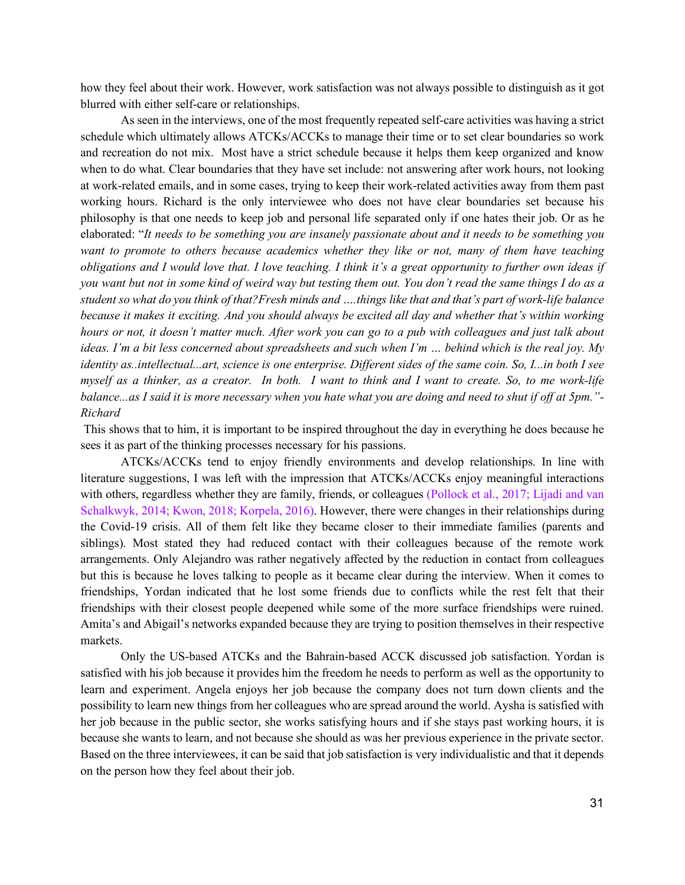how they feel about their work. However, work satisfaction was not always possible to distinguish as it got blurred with either self-care or relationships.

As seen in the interviews, one of the most frequently repeated self-care activities was having a strict schedule which ultimately allows ATCKs/ACCKs to manage their time or to set clear boundaries so work and recreation do not mix. Most have a strict schedule because it helps them keep organized and know when to do what. Clear boundaries that they have set include: not answering after work hours, not looking at work-related emails, and in some cases, trying to keep their work-related activities away from them past working hours. Richard is the only interviewee who does not have clear boundaries set because his philosophy is that one needs to keep job and personal life separated only if one hates their job. Or as he elaborated: "*It needs to be something you are insanely passionate about and it needs to be something you want to promote to others because academics whether they like or not, many of them have teaching obligations and I would love that. I love teaching. I think it's a great opportunity to further own ideas if you want but not in some kind of weird way but testing them out. You don't read the same things I do as a student so what do you think of that?Fresh minds and ….things like that and that's part of work-life balance because it makes it exciting. And you should always be excited all day and whether that's within working hours or not, it doesn't matter much. After work you can go to a pub with colleagues and just talk about ideas. I'm a bit less concerned about spreadsheets and such when I'm … behind which is the real joy. My identity as..intellectual...art, science is one enterprise. Different sides of the same coin. So, I...in both I see myself as a thinker, as a creator. In both. I want to think and I want to create. So, to me work-life balance...as I said it is more necessary when you hate what you are doing and need to shut if off at 5pm."- Richard*

This shows that to him, it is important to be inspired throughout the day in everything he does because he sees it as part of the thinking processes necessary for his passions.

ATCKs/ACCKs tend to enjoy friendly environments and develop relationships. In line with literature suggestions, I was left with the impression that ATCKs/ACCKs enjoy meaningful interactions with others, regardless whether they are family, friends, or colleagues (Pollock et al., 2017; Lijadi and van Schalkwyk, 2014; Kwon, 2018; Korpela, 2016). However, there were changes in their relationships during the Covid-19 crisis. All of them felt like they became closer to their immediate families (parents and siblings). Most stated they had reduced contact with their colleagues because of the remote work arrangements. Only Alejandro was rather negatively affected by the reduction in contact from colleagues but this is because he loves talking to people as it became clear during the interview. When it comes to friendships, Yordan indicated that he lost some friends due to conflicts while the rest felt that their friendships with their closest people deepened while some of the more surface friendships were ruined. Amita's and Abigail's networks expanded because they are trying to position themselves in their respective markets.

Only the US-based ATCKs and the Bahrain-based ACCK discussed job satisfaction. Yordan is satisfied with his job because it provides him the freedom he needs to perform as well as the opportunity to learn and experiment. Angela enjoys her job because the company does not turn down clients and the possibility to learn new things from her colleagues who are spread around the world. Aysha is satisfied with her job because in the public sector, she works satisfying hours and if she stays past working hours, it is because she wants to learn, and not because she should as was her previous experience in the private sector. Based on the three interviewees, it can be said that job satisfaction is very individualistic and that it depends on the person how they feel about their job.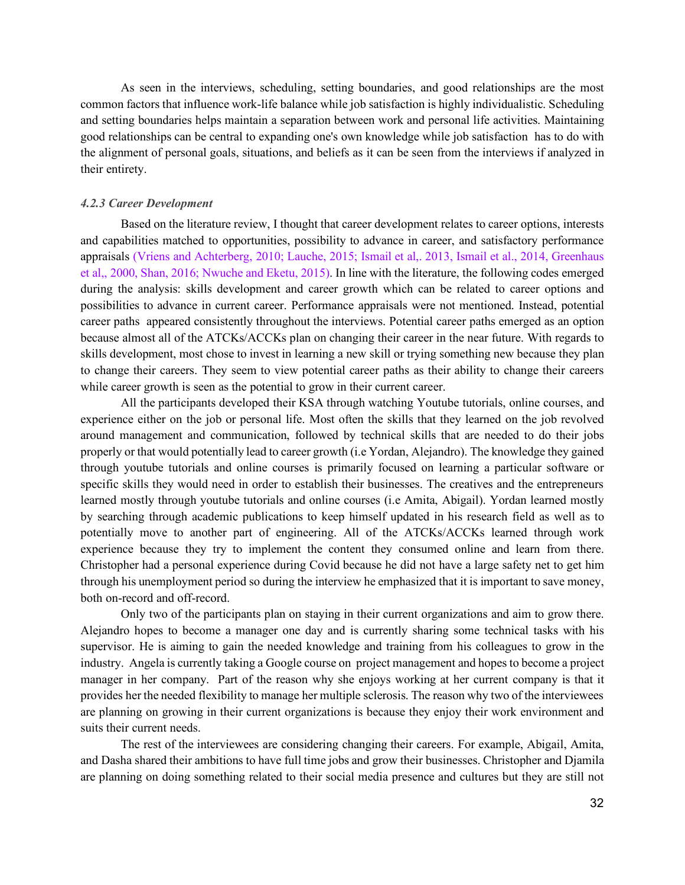As seen in the interviews, scheduling, setting boundaries, and good relationships are the most common factors that influence work-life balance while job satisfaction is highly individualistic. Scheduling and setting boundaries helps maintain a separation between work and personal life activities. Maintaining good relationships can be central to expanding one's own knowledge while job satisfaction has to do with the alignment of personal goals, situations, and beliefs as it can be seen from the interviews if analyzed in their entirety.

## <span id="page-32-0"></span>*4.2.3 Career Development*

Based on the literature review, I thought that career development relates to career options, interests and capabilities matched to opportunities, possibility to advance in career, and satisfactory performance appraisals (Vriens and Achterberg, 2010; Lauche, 2015; Ismail et al,. 2013, Ismail et al., 2014, Greenhaus et al,, 2000, Shan, 2016; Nwuche and Eketu, 2015). In line with the literature, the following codes emerged during the analysis: skills development and career growth which can be related to career options and possibilities to advance in current career. Performance appraisals were not mentioned. Instead, potential career paths appeared consistently throughout the interviews. Potential career paths emerged as an option because almost all of the ATCKs/ACCKs plan on changing their career in the near future. With regards to skills development, most chose to invest in learning a new skill or trying something new because they plan to change their careers. They seem to view potential career paths as their ability to change their careers while career growth is seen as the potential to grow in their current career.

All the participants developed their KSA through watching Youtube tutorials, online courses, and experience either on the job or personal life. Most often the skills that they learned on the job revolved around management and communication, followed by technical skills that are needed to do their jobs properly or that would potentially lead to career growth (i.e Yordan, Alejandro). The knowledge they gained through youtube tutorials and online courses is primarily focused on learning a particular software or specific skills they would need in order to establish their businesses. The creatives and the entrepreneurs learned mostly through youtube tutorials and online courses (i.e Amita, Abigail). Yordan learned mostly by searching through academic publications to keep himself updated in his research field as well as to potentially move to another part of engineering. All of the ATCKs/ACCKs learned through work experience because they try to implement the content they consumed online and learn from there. Christopher had a personal experience during Covid because he did not have a large safety net to get him through his unemployment period so during the interview he emphasized that it is important to save money, both on-record and off-record.

Only two of the participants plan on staying in their current organizations and aim to grow there. Alejandro hopes to become a manager one day and is currently sharing some technical tasks with his supervisor. He is aiming to gain the needed knowledge and training from his colleagues to grow in the industry. Angela is currently taking a Google course on project management and hopes to become a project manager in her company. Part of the reason why she enjoys working at her current company is that it provides her the needed flexibility to manage her multiple sclerosis. The reason why two of the interviewees are planning on growing in their current organizations is because they enjoy their work environment and suits their current needs.

The rest of the interviewees are considering changing their careers. For example, Abigail, Amita, and Dasha shared their ambitions to have full time jobs and grow their businesses. Christopher and Djamila are planning on doing something related to their social media presence and cultures but they are still not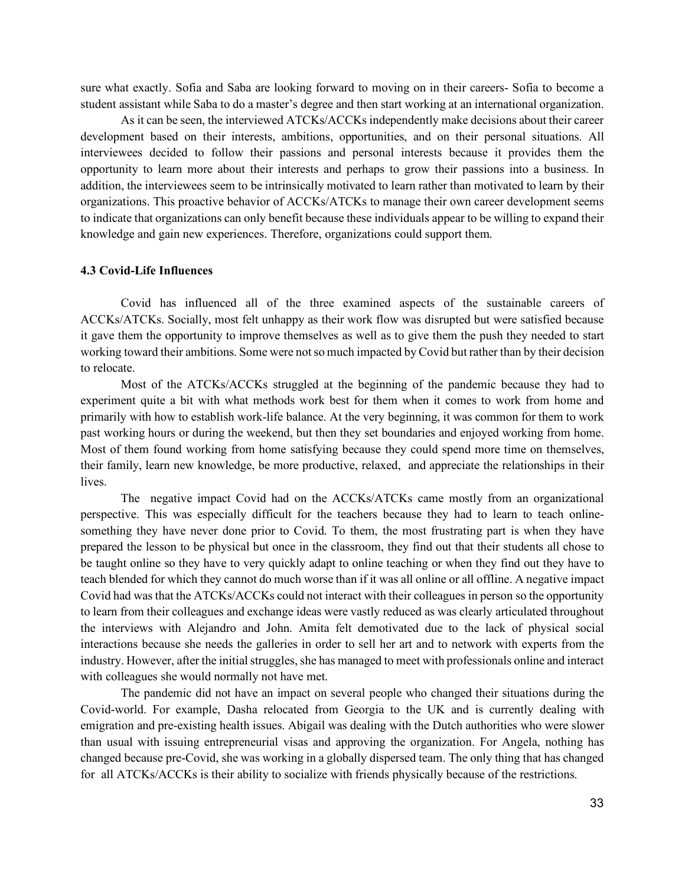sure what exactly. Sofia and Saba are looking forward to moving on in their careers- Sofia to become a student assistant while Saba to do a master's degree and then start working at an international organization.

As it can be seen, the interviewed ATCKs/ACCKs independently make decisions about their career development based on their interests, ambitions, opportunities, and on their personal situations. All interviewees decided to follow their passions and personal interests because it provides them the opportunity to learn more about their interests and perhaps to grow their passions into a business. In addition, the interviewees seem to be intrinsically motivated to learn rather than motivated to learn by their organizations. This proactive behavior of ACCKs/ATCKs to manage their own career development seems to indicate that organizations can only benefit because these individuals appear to be willing to expand their knowledge and gain new experiences. Therefore, organizations could support them.

#### <span id="page-33-0"></span>**4.3 Covid-Life Influences**

Covid has influenced all of the three examined aspects of the sustainable careers of ACCKs/ATCKs. Socially, most felt unhappy as their work flow was disrupted but were satisfied because it gave them the opportunity to improve themselves as well as to give them the push they needed to start working toward their ambitions. Some were not so much impacted by Covid but rather than by their decision to relocate.

Most of the ATCKs/ACCKs struggled at the beginning of the pandemic because they had to experiment quite a bit with what methods work best for them when it comes to work from home and primarily with how to establish work-life balance. At the very beginning, it was common for them to work past working hours or during the weekend, but then they set boundaries and enjoyed working from home. Most of them found working from home satisfying because they could spend more time on themselves, their family, learn new knowledge, be more productive, relaxed, and appreciate the relationships in their lives.

The negative impact Covid had on the ACCKs/ATCKs came mostly from an organizational perspective. This was especially difficult for the teachers because they had to learn to teach onlinesomething they have never done prior to Covid. To them, the most frustrating part is when they have prepared the lesson to be physical but once in the classroom, they find out that their students all chose to be taught online so they have to very quickly adapt to online teaching or when they find out they have to teach blended for which they cannot do much worse than if it was all online or all offline. A negative impact Covid had was that the ATCKs/ACCKs could not interact with their colleagues in person so the opportunity to learn from their colleagues and exchange ideas were vastly reduced as was clearly articulated throughout the interviews with Alejandro and John. Amita felt demotivated due to the lack of physical social interactions because she needs the galleries in order to sell her art and to network with experts from the industry. However, after the initial struggles, she has managed to meet with professionals online and interact with colleagues she would normally not have met.

The pandemic did not have an impact on several people who changed their situations during the Covid-world. For example, Dasha relocated from Georgia to the UK and is currently dealing with emigration and pre-existing health issues. Abigail was dealing with the Dutch authorities who were slower than usual with issuing entrepreneurial visas and approving the organization. For Angela, nothing has changed because pre-Covid, she was working in a globally dispersed team. The only thing that has changed for all ATCKs/ACCKs is their ability to socialize with friends physically because of the restrictions.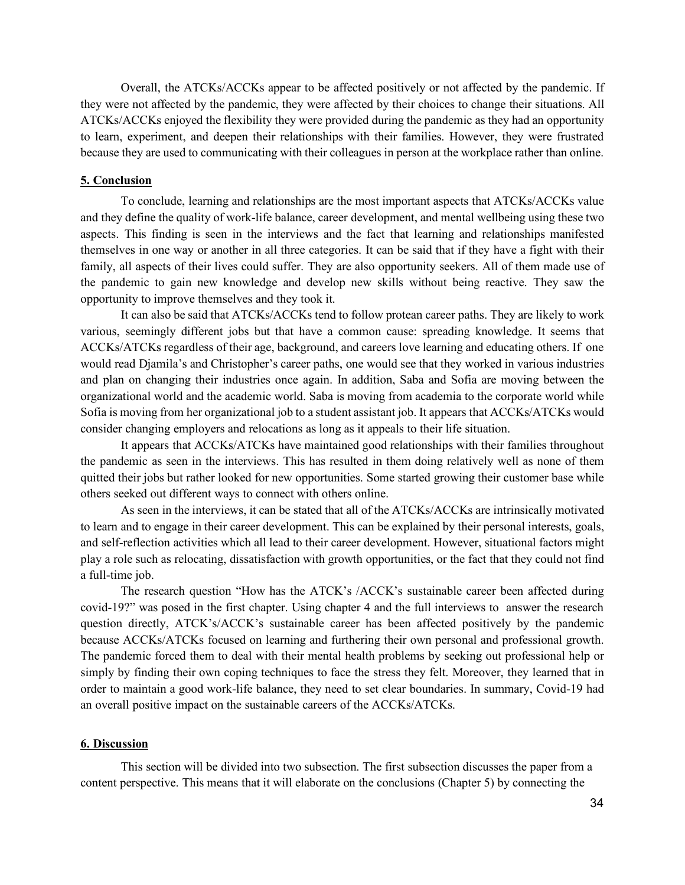Overall, the ATCKs/ACCKs appear to be affected positively or not affected by the pandemic. If they were not affected by the pandemic, they were affected by their choices to change their situations. All ATCKs/ACCKs enjoyed the flexibility they were provided during the pandemic as they had an opportunity to learn, experiment, and deepen their relationships with their families. However, they were frustrated because they are used to communicating with their colleagues in person at the workplace rather than online.

# <span id="page-34-0"></span>**5. Conclusion**

To conclude, learning and relationships are the most important aspects that ATCKs/ACCKs value and they define the quality of work-life balance, career development, and mental wellbeing using these two aspects. This finding is seen in the interviews and the fact that learning and relationships manifested themselves in one way or another in all three categories. It can be said that if they have a fight with their family, all aspects of their lives could suffer. They are also opportunity seekers. All of them made use of the pandemic to gain new knowledge and develop new skills without being reactive. They saw the opportunity to improve themselves and they took it.

It can also be said that ATCKs/ACCKs tend to follow protean career paths. They are likely to work various, seemingly different jobs but that have a common cause: spreading knowledge. It seems that ACCKs/ATCKs regardless of their age, background, and careers love learning and educating others. If one would read Djamila's and Christopher's career paths, one would see that they worked in various industries and plan on changing their industries once again. In addition, Saba and Sofia are moving between the organizational world and the academic world. Saba is moving from academia to the corporate world while Sofia is moving from her organizational job to a student assistant job. It appears that ACCKs/ATCKs would consider changing employers and relocations as long as it appeals to their life situation.

It appears that ACCKs/ATCKs have maintained good relationships with their families throughout the pandemic as seen in the interviews. This has resulted in them doing relatively well as none of them quitted their jobs but rather looked for new opportunities. Some started growing their customer base while others seeked out different ways to connect with others online.

As seen in the interviews, it can be stated that all of the ATCKs/ACCKs are intrinsically motivated to learn and to engage in their career development. This can be explained by their personal interests, goals, and self-reflection activities which all lead to their career development. However, situational factors might play a role such as relocating, dissatisfaction with growth opportunities, or the fact that they could not find a full-time job.

The research question "How has the ATCK's /ACCK's sustainable career been affected during covid-19?" was posed in the first chapter. Using chapter 4 and the full interviews to answer the research question directly, ATCK's/ACCK's sustainable career has been affected positively by the pandemic because ACCKs/ATCKs focused on learning and furthering their own personal and professional growth. The pandemic forced them to deal with their mental health problems by seeking out professional help or simply by finding their own coping techniques to face the stress they felt. Moreover, they learned that in order to maintain a good work-life balance, they need to set clear boundaries. In summary, Covid-19 had an overall positive impact on the sustainable careers of the ACCKs/ATCKs.

#### <span id="page-34-1"></span>**6. Discussion**

This section will be divided into two subsection. The first subsection discusses the paper from a content perspective. This means that it will elaborate on the conclusions (Chapter 5) by connecting the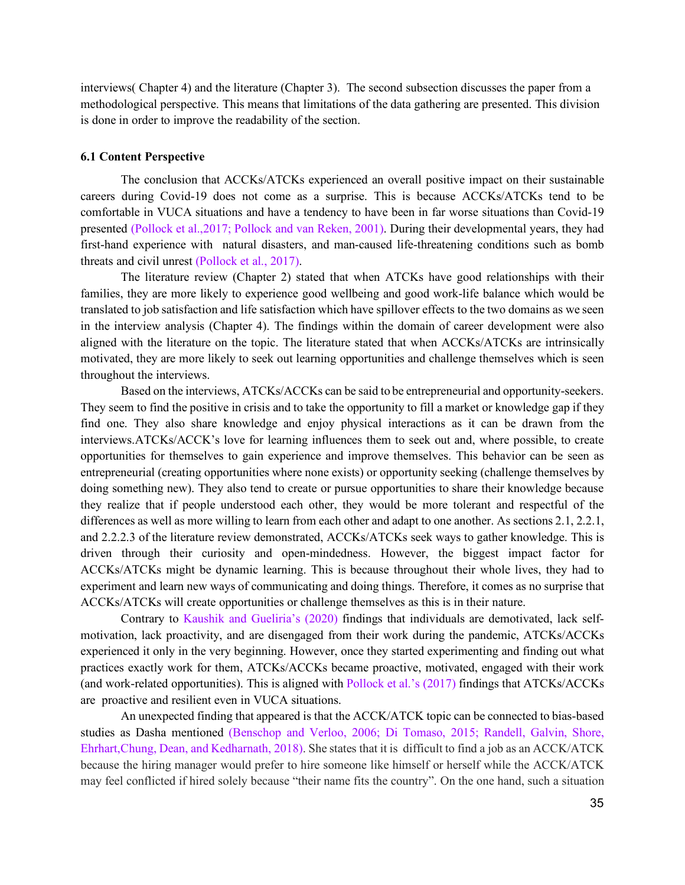interviews( Chapter 4) and the literature (Chapter 3). The second subsection discusses the paper from a methodological perspective. This means that limitations of the data gathering are presented. This division is done in order to improve the readability of the section.

#### <span id="page-35-0"></span>**6.1 Content Perspective**

The conclusion that ACCKs/ATCKs experienced an overall positive impact on their sustainable careers during Covid-19 does not come as a surprise. This is because ACCKs/ATCKs tend to be comfortable in VUCA situations and have a tendency to have been in far worse situations than Covid-19 presented (Pollock et al.,2017; Pollock and van Reken, 2001). During their developmental years, they had first-hand experience with natural disasters, and man-caused life-threatening conditions such as bomb threats and civil unrest (Pollock et al., 2017).

The literature review (Chapter 2) stated that when ATCKs have good relationships with their families, they are more likely to experience good wellbeing and good work-life balance which would be translated to job satisfaction and life satisfaction which have spillover effects to the two domains as we seen in the interview analysis (Chapter 4). The findings within the domain of career development were also aligned with the literature on the topic. The literature stated that when ACCKs/ATCKs are intrinsically motivated, they are more likely to seek out learning opportunities and challenge themselves which is seen throughout the interviews.

Based on the interviews, ATCKs/ACCKs can be said to be entrepreneurial and opportunity-seekers. They seem to find the positive in crisis and to take the opportunity to fill a market or knowledge gap if they find one. They also share knowledge and enjoy physical interactions as it can be drawn from the interviews.ATCKs/ACCK's love for learning influences them to seek out and, where possible, to create opportunities for themselves to gain experience and improve themselves. This behavior can be seen as entrepreneurial (creating opportunities where none exists) or opportunity seeking (challenge themselves by doing something new). They also tend to create or pursue opportunities to share their knowledge because they realize that if people understood each other, they would be more tolerant and respectful of the differences as well as more willing to learn from each other and adapt to one another. As sections 2.1, 2.2.1, and 2.2.2.3 of the literature review demonstrated, ACCKs/ATCKs seek ways to gather knowledge. This is driven through their curiosity and open-mindedness. However, the biggest impact factor for ACCKs/ATCKs might be dynamic learning. This is because throughout their whole lives, they had to experiment and learn new ways of communicating and doing things. Therefore, it comes as no surprise that ACCKs/ATCKs will create opportunities or challenge themselves as this is in their nature.

Contrary to Kaushik and Gueliria's (2020) findings that individuals are demotivated, lack selfmotivation, lack proactivity, and are disengaged from their work during the pandemic, ATCKs/ACCKs experienced it only in the very beginning. However, once they started experimenting and finding out what practices exactly work for them, ATCKs/ACCKs became proactive, motivated, engaged with their work (and work-related opportunities). This is aligned with Pollock et al.'s (2017) findings that ATCKs/ACCKs are proactive and resilient even in VUCA situations.

An unexpected finding that appeared is that the ACCK/ATCK topic can be connected to bias-based studies as Dasha mentioned (Benschop and Verloo, 2006; Di Tomaso, 2015; Randell, Galvin, Shore, Ehrhart,Chung, Dean, and Kedharnath, 2018). She states that it is difficult to find a job as an ACCK/ATCK because the hiring manager would prefer to hire someone like himself or herself while the ACCK/ATCK may feel conflicted if hired solely because "their name fits the country". On the one hand, such a situation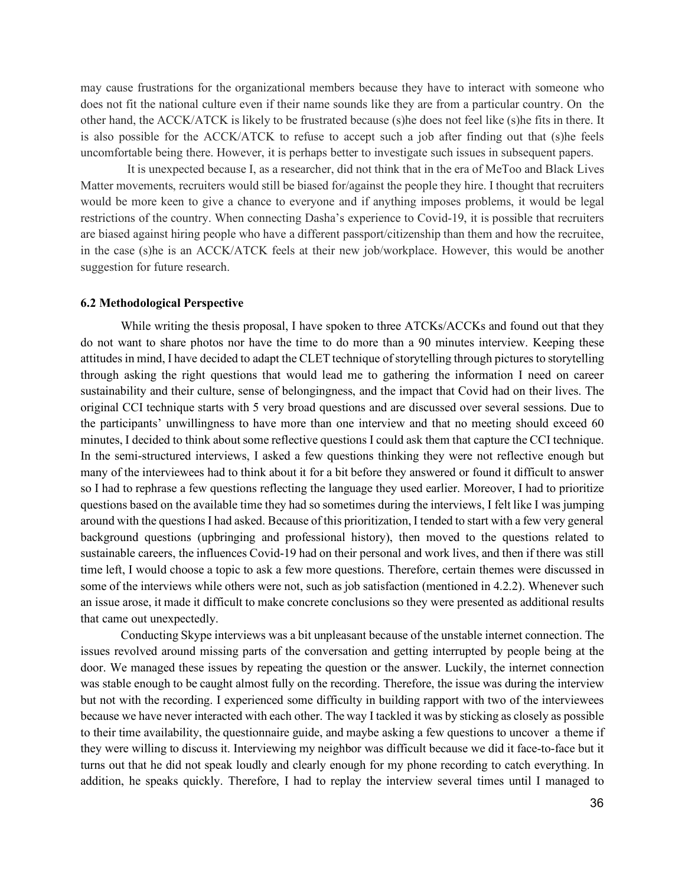may cause frustrations for the organizational members because they have to interact with someone who does not fit the national culture even if their name sounds like they are from a particular country. On the other hand, the ACCK/ATCK is likely to be frustrated because (s)he does not feel like (s)he fits in there. It is also possible for the ACCK/ATCK to refuse to accept such a job after finding out that (s)he feels uncomfortable being there. However, it is perhaps better to investigate such issues in subsequent papers.

 It is unexpected because I, as a researcher, did not think that in the era of MeToo and Black Lives Matter movements, recruiters would still be biased for/against the people they hire. I thought that recruiters would be more keen to give a chance to everyone and if anything imposes problems, it would be legal restrictions of the country. When connecting Dasha's experience to Covid-19, it is possible that recruiters are biased against hiring people who have a different passport/citizenship than them and how the recruitee, in the case (s)he is an ACCK/ATCK feels at their new job/workplace. However, this would be another suggestion for future research.

#### <span id="page-36-0"></span>**6.2 Methodological Perspective**

While writing the thesis proposal, I have spoken to three ATCKs/ACCKs and found out that they do not want to share photos nor have the time to do more than a 90 minutes interview. Keeping these attitudes in mind, I have decided to adapt the CLET technique of storytelling through pictures to storytelling through asking the right questions that would lead me to gathering the information I need on career sustainability and their culture, sense of belongingness, and the impact that Covid had on their lives. The original CCI technique starts with 5 very broad questions and are discussed over several sessions. Due to the participants' unwillingness to have more than one interview and that no meeting should exceed 60 minutes, I decided to think about some reflective questions I could ask them that capture the CCI technique. In the semi-structured interviews, I asked a few questions thinking they were not reflective enough but many of the interviewees had to think about it for a bit before they answered or found it difficult to answer so I had to rephrase a few questions reflecting the language they used earlier. Moreover, I had to prioritize questions based on the available time they had so sometimes during the interviews, I felt like I was jumping around with the questions I had asked. Because of this prioritization, I tended to start with a few very general background questions (upbringing and professional history), then moved to the questions related to sustainable careers, the influences Covid-19 had on their personal and work lives, and then if there was still time left, I would choose a topic to ask a few more questions. Therefore, certain themes were discussed in some of the interviews while others were not, such as job satisfaction (mentioned in 4.2.2). Whenever such an issue arose, it made it difficult to make concrete conclusions so they were presented as additional results that came out unexpectedly.

Conducting Skype interviews was a bit unpleasant because of the unstable internet connection. The issues revolved around missing parts of the conversation and getting interrupted by people being at the door. We managed these issues by repeating the question or the answer. Luckily, the internet connection was stable enough to be caught almost fully on the recording. Therefore, the issue was during the interview but not with the recording. I experienced some difficulty in building rapport with two of the interviewees because we have never interacted with each other. The way I tackled it was by sticking as closely as possible to their time availability, the questionnaire guide, and maybe asking a few questions to uncover a theme if they were willing to discuss it. Interviewing my neighbor was difficult because we did it face-to-face but it turns out that he did not speak loudly and clearly enough for my phone recording to catch everything. In addition, he speaks quickly. Therefore, I had to replay the interview several times until I managed to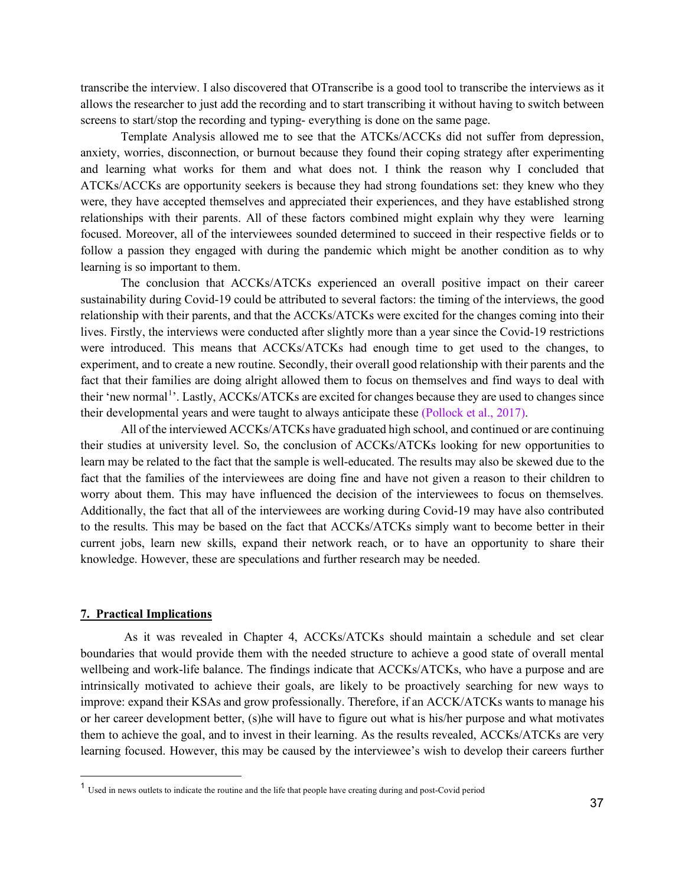transcribe the interview. I also discovered that OTranscribe is a good tool to transcribe the interviews as it allows the researcher to just add the recording and to start transcribing it without having to switch between screens to start/stop the recording and typing- everything is done on the same page.

Template Analysis allowed me to see that the ATCKs/ACCKs did not suffer from depression, anxiety, worries, disconnection, or burnout because they found their coping strategy after experimenting and learning what works for them and what does not. I think the reason why I concluded that ATCKs/ACCKs are opportunity seekers is because they had strong foundations set: they knew who they were, they have accepted themselves and appreciated their experiences, and they have established strong relationships with their parents. All of these factors combined might explain why they were learning focused. Moreover, all of the interviewees sounded determined to succeed in their respective fields or to follow a passion they engaged with during the pandemic which might be another condition as to why learning is so important to them.

The conclusion that ACCKs/ATCKs experienced an overall positive impact on their career sustainability during Covid-19 could be attributed to several factors: the timing of the interviews, the good relationship with their parents, and that the ACCKs/ATCKs were excited for the changes coming into their lives. Firstly, the interviews were conducted after slightly more than a year since the Covid-19 restrictions were introduced. This means that ACCKs/ATCKs had enough time to get used to the changes, to experiment, and to create a new routine. Secondly, their overall good relationship with their parents and the fact that their families are doing alright allowed them to focus on themselves and find ways to deal with their 'new normal<sup>[1](#page-37-1)</sup>'. Lastly, ACCKs/ATCKs are excited for changes because they are used to changes since their developmental years and were taught to always anticipate these (Pollock et al., 2017).

All of the interviewed ACCKs/ATCKs have graduated high school, and continued or are continuing their studies at university level. So, the conclusion of ACCKs/ATCKs looking for new opportunities to learn may be related to the fact that the sample is well-educated. The results may also be skewed due to the fact that the families of the interviewees are doing fine and have not given a reason to their children to worry about them. This may have influenced the decision of the interviewees to focus on themselves. Additionally, the fact that all of the interviewees are working during Covid-19 may have also contributed to the results. This may be based on the fact that ACCKs/ATCKs simply want to become better in their current jobs, learn new skills, expand their network reach, or to have an opportunity to share their knowledge. However, these are speculations and further research may be needed.

# <span id="page-37-0"></span>**7. Practical Implications**

As it was revealed in Chapter 4, ACCKs/ATCKs should maintain a schedule and set clear boundaries that would provide them with the needed structure to achieve a good state of overall mental wellbeing and work-life balance. The findings indicate that ACCKs/ATCKs, who have a purpose and are intrinsically motivated to achieve their goals, are likely to be proactively searching for new ways to improve: expand their KSAs and grow professionally. Therefore, if an ACCK/ATCKs wants to manage his or her career development better, (s)he will have to figure out what is his/her purpose and what motivates them to achieve the goal, and to invest in their learning. As the results revealed, ACCKs/ATCKs are very learning focused. However, this may be caused by the interviewee's wish to develop their careers further

<span id="page-37-1"></span><sup>&</sup>lt;sup>1</sup> Used in news outlets to indicate the routine and the life that people have creating during and post-Covid period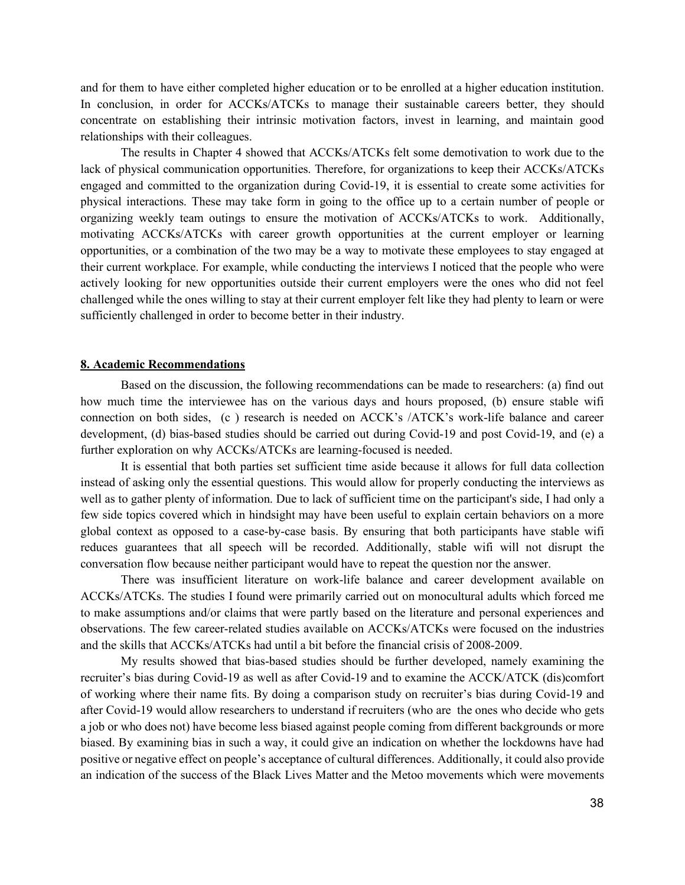and for them to have either completed higher education or to be enrolled at a higher education institution. In conclusion, in order for ACCKs/ATCKs to manage their sustainable careers better, they should concentrate on establishing their intrinsic motivation factors, invest in learning, and maintain good relationships with their colleagues.

The results in Chapter 4 showed that ACCKs/ATCKs felt some demotivation to work due to the lack of physical communication opportunities. Therefore, for organizations to keep their ACCKs/ATCKs engaged and committed to the organization during Covid-19, it is essential to create some activities for physical interactions. These may take form in going to the office up to a certain number of people or organizing weekly team outings to ensure the motivation of ACCKs/ATCKs to work. Additionally, motivating ACCKs/ATCKs with career growth opportunities at the current employer or learning opportunities, or a combination of the two may be a way to motivate these employees to stay engaged at their current workplace. For example, while conducting the interviews I noticed that the people who were actively looking for new opportunities outside their current employers were the ones who did not feel challenged while the ones willing to stay at their current employer felt like they had plenty to learn or were sufficiently challenged in order to become better in their industry.

#### <span id="page-38-0"></span>**8. Academic Recommendations**

Based on the discussion, the following recommendations can be made to researchers: (a) find out how much time the interviewee has on the various days and hours proposed, (b) ensure stable wifi connection on both sides, (c ) research is needed on ACCK's /ATCK's work-life balance and career development, (d) bias-based studies should be carried out during Covid-19 and post Covid-19, and (e) a further exploration on why ACCKs/ATCKs are learning-focused is needed.

It is essential that both parties set sufficient time aside because it allows for full data collection instead of asking only the essential questions. This would allow for properly conducting the interviews as well as to gather plenty of information. Due to lack of sufficient time on the participant's side, I had only a few side topics covered which in hindsight may have been useful to explain certain behaviors on a more global context as opposed to a case-by-case basis. By ensuring that both participants have stable wifi reduces guarantees that all speech will be recorded. Additionally, stable wifi will not disrupt the conversation flow because neither participant would have to repeat the question nor the answer.

There was insufficient literature on work-life balance and career development available on ACCKs/ATCKs. The studies I found were primarily carried out on monocultural adults which forced me to make assumptions and/or claims that were partly based on the literature and personal experiences and observations. The few career-related studies available on ACCKs/ATCKs were focused on the industries and the skills that ACCKs/ATCKs had until a bit before the financial crisis of 2008-2009.

My results showed that bias-based studies should be further developed, namely examining the recruiter's bias during Covid-19 as well as after Covid-19 and to examine the ACCK/ATCK (dis)comfort of working where their name fits. By doing a comparison study on recruiter's bias during Covid-19 and after Covid-19 would allow researchers to understand if recruiters (who are the ones who decide who gets a job or who does not) have become less biased against people coming from different backgrounds or more biased. By examining bias in such a way, it could give an indication on whether the lockdowns have had positive or negative effect on people's acceptance of cultural differences. Additionally, it could also provide an indication of the success of the Black Lives Matter and the Metoo movements which were movements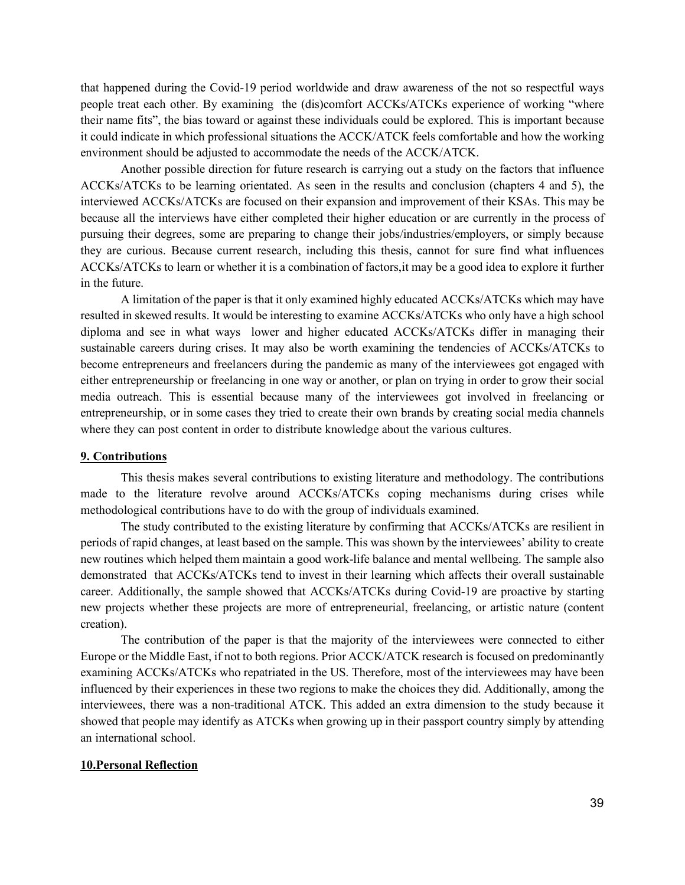that happened during the Covid-19 period worldwide and draw awareness of the not so respectful ways people treat each other. By examining the (dis)comfort ACCKs/ATCKs experience of working "where their name fits", the bias toward or against these individuals could be explored. This is important because it could indicate in which professional situations the ACCK/ATCK feels comfortable and how the working environment should be adjusted to accommodate the needs of the ACCK/ATCK.

Another possible direction for future research is carrying out a study on the factors that influence ACCKs/ATCKs to be learning orientated. As seen in the results and conclusion (chapters 4 and 5), the interviewed ACCKs/ATCKs are focused on their expansion and improvement of their KSAs. This may be because all the interviews have either completed their higher education or are currently in the process of pursuing their degrees, some are preparing to change their jobs/industries/employers, or simply because they are curious. Because current research, including this thesis, cannot for sure find what influences ACCKs/ATCKs to learn or whether it is a combination of factors,it may be a good idea to explore it further in the future.

A limitation of the paper is that it only examined highly educated ACCKs/ATCKs which may have resulted in skewed results. It would be interesting to examine ACCKs/ATCKs who only have a high school diploma and see in what ways lower and higher educated ACCKs/ATCKs differ in managing their sustainable careers during crises. It may also be worth examining the tendencies of ACCKs/ATCKs to become entrepreneurs and freelancers during the pandemic as many of the interviewees got engaged with either entrepreneurship or freelancing in one way or another, or plan on trying in order to grow their social media outreach. This is essential because many of the interviewees got involved in freelancing or entrepreneurship, or in some cases they tried to create their own brands by creating social media channels where they can post content in order to distribute knowledge about the various cultures.

#### <span id="page-39-0"></span>**9. Contributions**

This thesis makes several contributions to existing literature and methodology. The contributions made to the literature revolve around ACCKs/ATCKs coping mechanisms during crises while methodological contributions have to do with the group of individuals examined.

The study contributed to the existing literature by confirming that ACCKs/ATCKs are resilient in periods of rapid changes, at least based on the sample. This was shown by the interviewees' ability to create new routines which helped them maintain a good work-life balance and mental wellbeing. The sample also demonstrated that ACCKs/ATCKs tend to invest in their learning which affects their overall sustainable career. Additionally, the sample showed that ACCKs/ATCKs during Covid-19 are proactive by starting new projects whether these projects are more of entrepreneurial, freelancing, or artistic nature (content creation).

The contribution of the paper is that the majority of the interviewees were connected to either Europe or the Middle East, if not to both regions. Prior ACCK/ATCK research is focused on predominantly examining ACCKs/ATCKs who repatriated in the US. Therefore, most of the interviewees may have been influenced by their experiences in these two regions to make the choices they did. Additionally, among the interviewees, there was a non-traditional ATCK. This added an extra dimension to the study because it showed that people may identify as ATCKs when growing up in their passport country simply by attending an international school.

# <span id="page-39-1"></span>**10.Personal Reflection**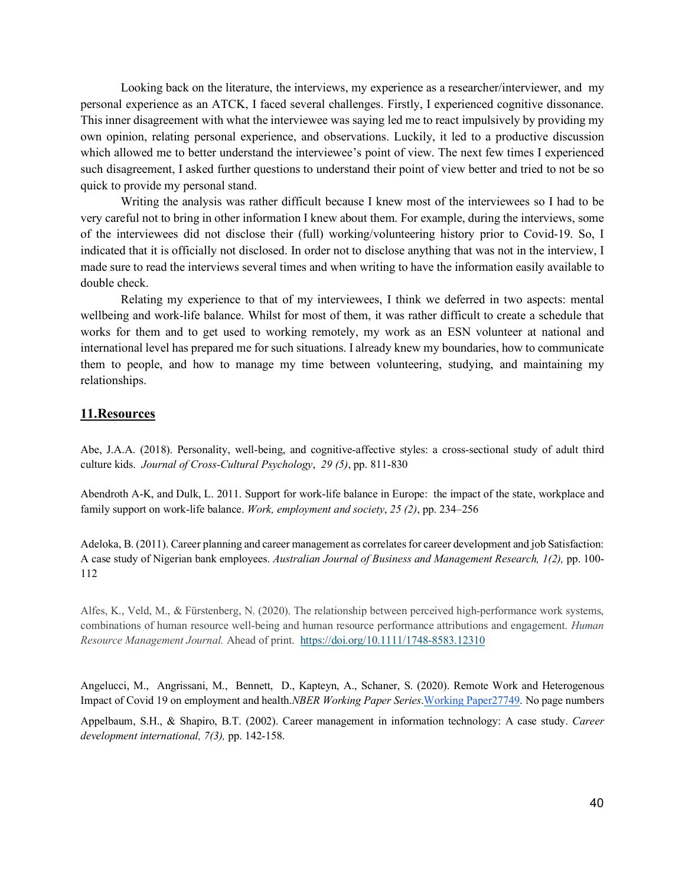Looking back on the literature, the interviews, my experience as a researcher/interviewer, and my personal experience as an ATCK, I faced several challenges. Firstly, I experienced cognitive dissonance. This inner disagreement with what the interviewee was saying led me to react impulsively by providing my own opinion, relating personal experience, and observations. Luckily, it led to a productive discussion which allowed me to better understand the interviewee's point of view. The next few times I experienced such disagreement, I asked further questions to understand their point of view better and tried to not be so quick to provide my personal stand.

Writing the analysis was rather difficult because I knew most of the interviewees so I had to be very careful not to bring in other information I knew about them. For example, during the interviews, some of the interviewees did not disclose their (full) working/volunteering history prior to Covid-19. So, I indicated that it is officially not disclosed. In order not to disclose anything that was not in the interview, I made sure to read the interviews several times and when writing to have the information easily available to double check.

Relating my experience to that of my interviewees, I think we deferred in two aspects: mental wellbeing and work-life balance. Whilst for most of them, it was rather difficult to create a schedule that works for them and to get used to working remotely, my work as an ESN volunteer at national and international level has prepared me for such situations. I already knew my boundaries, how to communicate them to people, and how to manage my time between volunteering, studying, and maintaining my relationships.

# <span id="page-40-0"></span>**11.Resources**

Abe, J.A.A. (2018). Personality, well-being, and cognitive-affective styles: a cross-sectional study of adult third culture kids. *Journal of Cross-Cultural Psychology*, *29 (5)*, pp. 811-830

Abendroth A-K, and Dulk, L. 2011. Support for work-life balance in Europe: the impact of the state, workplace and family support on work-life balance. *Work, employment and society*, *25 (2)*, pp. 234–256

Adeloka, B. (2011). Career planning and career management as correlates for career development and job Satisfaction: A case study of Nigerian bank employees. *Australian Journal of Business and Management Research, 1(2),* pp. 100- 112

Alfes, K., Veld, M., & Fürstenberg, N. (2020). The relationship between perceived high-performance work systems, combinations of human resource well-being and human resource performance attributions and engagement. *Human Resource Management Journal.* Ahead of print.<https://doi.org/10.1111/1748-8583.12310>

Angelucci, M., Angrissani, M., Bennett, D., Kapteyn, A., Schaner, S. (2020). Remote Work and Heterogenous Impact of Covid 19 on employment and health.*NBER Working Paper Series*[.Working Paper27749.](https://www.nber.org/system/files/working_papers/w27749/w27749.pdf) No page numbers

Appelbaum, S.H., & Shapiro, B.T. (2002). Career management in information technology: A case study. *Career development international, 7(3),* pp. 142-158.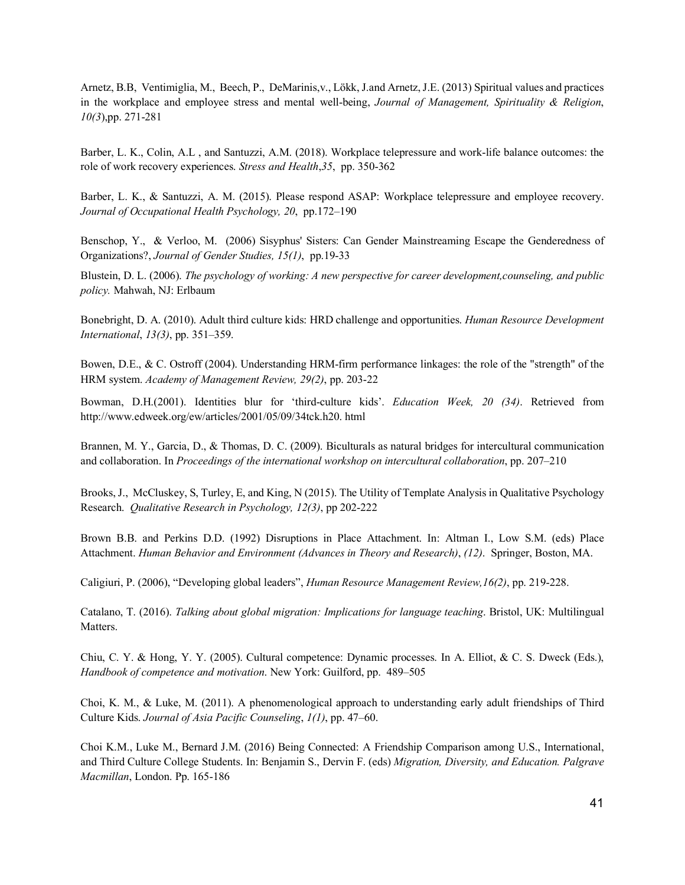Arnetz, B.B, Ventimiglia, M., Beech, P., DeMarinis,v., Lökk, J.and Arnetz, J.E. (2013) Spiritual values and practices in the workplace and employee stress and mental well-being, *Journal of Management, Spirituality & Religion*, *10(3*),pp. 271-281

Barber, L. K., Colin, A.L , and Santuzzi, A.M. (2018). Workplace telepressure and work-life balance outcomes: the role of work recovery experiences. *Stress and Health*,*35*, pp. 350-362

Barber, L. K., & Santuzzi, A. M. (2015). Please respond ASAP: Workplace telepressure and employee recovery. *Journal of Occupational Health Psychology, 20*, pp.172–190

Benschop, Y., & Verloo, M. (2006) Sisyphus' Sisters: Can Gender Mainstreaming Escape the Genderedness of Organizations?, *Journal of Gender Studies, 15(1)*, pp.19-33

Blustein, D. L. (2006). *The psychology of working: A new perspective for career development,counseling, and public policy.* Mahwah, NJ: Erlbaum

Bonebright, D. A. (2010). Adult third culture kids: HRD challenge and opportunities. *Human Resource Development International*, *13(3)*, pp. 351–359.

Bowen, D.E., & C. Ostroff (2004). Understanding HRM-firm performance linkages: the role of the "strength" of the HRM system. *Academy of Management Review, 29(2)*, pp. 203-22

Bowman, D.H.(2001). Identities blur for 'third-culture kids'. *Education Week, 20 (34)*. Retrieved from http://www.edweek.org/ew/articles/2001/05/09/34tck.h20. html

Brannen, M. Y., Garcia, D., & Thomas, D. C. (2009). Biculturals as natural bridges for intercultural communication and collaboration. In *Proceedings of the international workshop on intercultural collaboration*, pp. 207–210

Brooks, J., McCluskey, S, Turley, E, and King, N (2015). The Utility of Template Analysis in Qualitative Psychology Research. *Qualitative Research in Psychology, 12(3)*, pp 202-222

Brown B.B. and Perkins D.D. (1992) Disruptions in Place Attachment. In: Altman I., Low S.M. (eds) Place Attachment. *Human Behavior and Environment (Advances in Theory and Research)*, *(12)*. Springer, Boston, MA.

Caligiuri, P. (2006), "Developing global leaders", *Human Resource Management Review,16(2)*, pp. 219-228.

Catalano, T. (2016). *Talking about global migration: Implications for language teaching*. Bristol, UK: Multilingual Matters.

Chiu, C. Y. & Hong, Y. Y. (2005). Cultural competence: Dynamic processes. In A. Elliot, & C. S. Dweck (Eds.), *Handbook of competence and motivation*. New York: Guilford, pp. 489–505

Choi, K. M., & Luke, M. (2011). A phenomenological approach to understanding early adult friendships of Third Culture Kids. *Journal of Asia Pacific Counseling*, *1(1)*, pp. 47–60.

Choi K.M., Luke M., Bernard J.M. (2016) Being Connected: A Friendship Comparison among U.S., International, and Third Culture College Students. In: Benjamin S., Dervin F. (eds) *Migration, Diversity, and Education. Palgrave Macmillan*, London. Pp. 165-186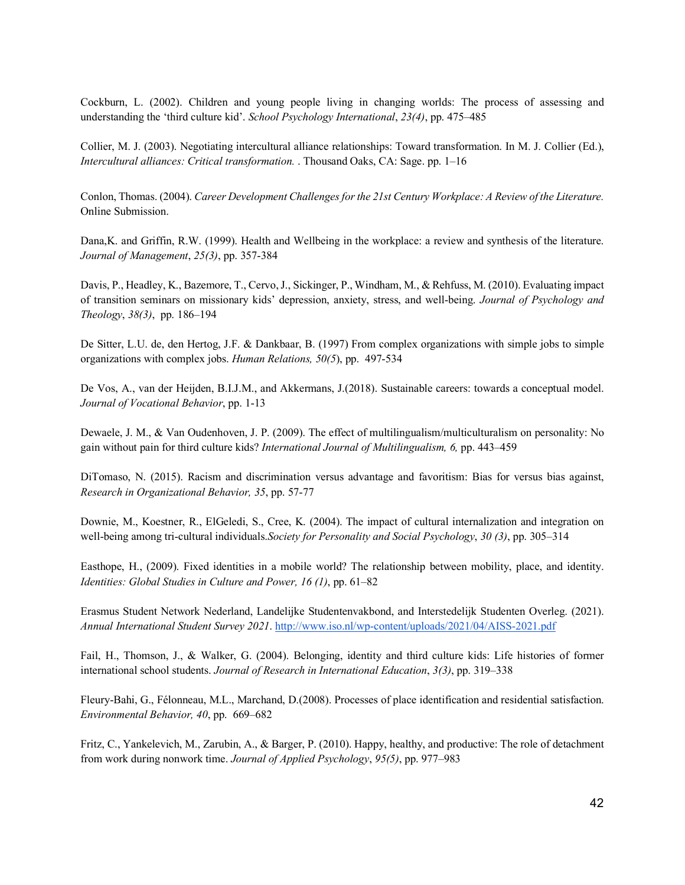Cockburn, L. (2002). Children and young people living in changing worlds: The process of assessing and understanding the 'third culture kid'. *School Psychology International*, *23(4)*, pp. 475–485

Collier, M. J. (2003). Negotiating intercultural alliance relationships: Toward transformation. In M. J. Collier (Ed.), *Intercultural alliances: Critical transformation.* . Thousand Oaks, CA: Sage. pp. 1–16

Conlon, Thomas. (2004). *Career Development Challenges for the 21st Century Workplace: A Review of the Literature.*  Online Submission.

Dana,K. and Griffin, R.W. (1999). Health and Wellbeing in the workplace: a review and synthesis of the literature. *Journal of Management*, *25(3)*, pp. 357-384

Davis, P., Headley, K., Bazemore, T., Cervo, J., Sickinger, P., Windham, M., & Rehfuss, M. (2010). Evaluating impact of transition seminars on missionary kids' depression, anxiety, stress, and well-being. *Journal of Psychology and Theology*, *38(3)*, pp. 186–194

De Sitter, L.U. de, den Hertog, J.F. & Dankbaar, B. (1997) From complex organizations with simple jobs to simple organizations with complex jobs. *Human Relations, 50(5*), pp. 497-534

De Vos, A., van der Heijden, B.I.J.M., and Akkermans, J.(2018). Sustainable careers: towards a conceptual model. *Journal of Vocational Behavior*, pp. 1-13

Dewaele, J. M., & Van Oudenhoven, J. P. (2009). The effect of multilingualism/multiculturalism on personality: No gain without pain for third culture kids? *International Journal of Multilingualism, 6,* pp. 443–459

DiTomaso, N. (2015). Racism and discrimination versus advantage and favoritism: Bias for versus bias against, *Research in Organizational Behavior, 35*, pp. 57-77

Downie, M., Koestner, R., ElGeledi, S., Cree, K. (2004). The impact of cultural internalization and integration on well-being among tri-cultural individuals.*Society for Personality and Social Psychology*, *30 (3)*, pp. 305–314

Easthope, H., (2009). Fixed identities in a mobile world? The relationship between mobility, place, and identity. *Identities: Global Studies in Culture and Power, 16 (1)*, pp. 61–82

Erasmus Student Network Nederland, Landelijke Studentenvakbond, and Interstedelijk Studenten Overleg. (2021). *Annual International Student Survey 2021*.<http://www.iso.nl/wp-content/uploads/2021/04/AISS-2021.pdf>

Fail, H., Thomson, J., & Walker, G. (2004). Belonging, identity and third culture kids: Life histories of former international school students. *Journal of Research in International Education*, *3(3)*, pp. 319–338

Fleury-Bahi, G., Félonneau, M.L., Marchand, D.(2008). Processes of place identification and residential satisfaction. *Environmental Behavior, 40*, pp. 669–682

Fritz, C., Yankelevich, M., Zarubin, A., & Barger, P. (2010). Happy, healthy, and productive: The role of detachment from work during nonwork time. *Journal of Applied Psychology*, *95(5)*, pp. 977–983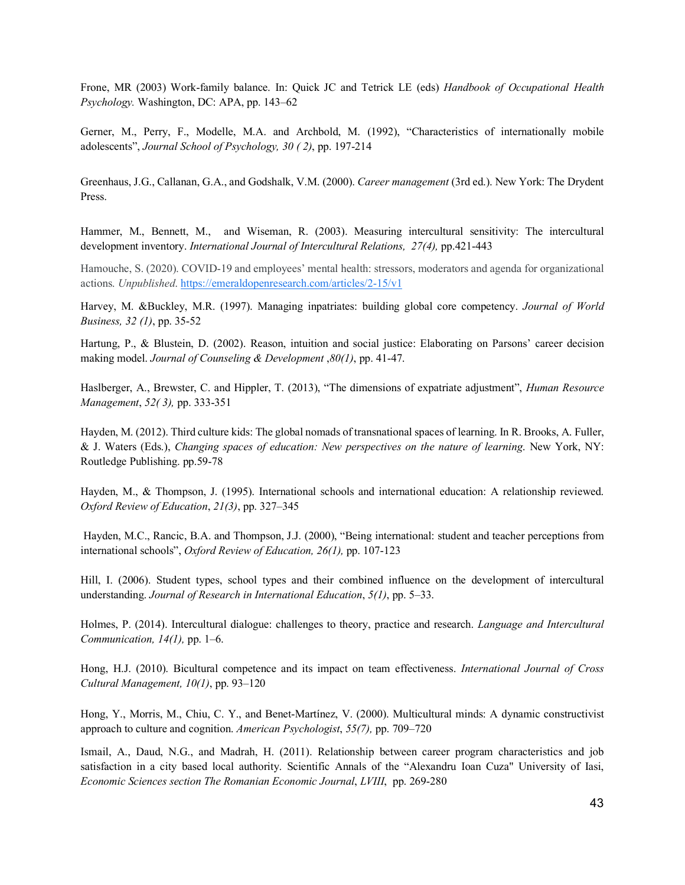Frone, MR (2003) Work-family balance. In: Quick JC and Tetrick LE (eds) *Handbook of Occupational Health Psychology.* Washington, DC: APA, pp. 143–62

Gerner, M., Perry, F., Modelle, M.A. and Archbold, M. (1992), "Characteristics of internationally mobile adolescents", *Journal School of Psychology, 30 ( 2)*, pp. 197-214

Greenhaus, J.G., Callanan, G.A., and Godshalk, V.M. (2000). *Career management* (3rd ed.). New York: The Drydent Press.

Hammer, M., Bennett, M., and Wiseman, R. (2003). Measuring intercultural sensitivity: The intercultural development inventory. *International Journal of Intercultural Relations, 27(4),* pp.421-443

Hamouche, S. (2020). COVID-19 and employees' mental health: stressors, moderators and agenda for organizational actions. *Unpublished*[. https://emeraldopenresearch.com/articles/2-15/v1](https://emeraldopenresearch.com/articles/2-15/v1)

Harvey, M. &Buckley, M.R. (1997). Managing inpatriates: building global core competency. *Journal of World Business, 32 (1)*, pp. 35-52

Hartung, P., & Blustein, D. (2002). Reason, intuition and social justice: Elaborating on Parsons' career decision making model. *Journal of Counseling & Development* ,*80(1)*, pp. 41-47.

Haslberger, A., Brewster, C. and Hippler, T. (2013), "The dimensions of expatriate adjustment", *Human Resource Management*, *52( 3),* pp. 333-351

Hayden, M. (2012). Third culture kids: The global nomads of transnational spaces of learning. In R. Brooks, A. Fuller, & J. Waters (Eds.), *Changing spaces of education: New perspectives on the nature of learning*. New York, NY: Routledge Publishing. pp.59-78

Hayden, M., & Thompson, J. (1995). International schools and international education: A relationship reviewed. *Oxford Review of Education*, *21(3)*, pp. 327–345

Hayden, M.C., Rancic, B.A. and Thompson, J.J. (2000), "Being international: student and teacher perceptions from international schools", *Oxford Review of Education, 26(1),* pp. 107-123

Hill, I. (2006). Student types, school types and their combined influence on the development of intercultural understanding. *Journal of Research in International Education*, *5(1)*, pp. 5–33.

Holmes, P. (2014). Intercultural dialogue: challenges to theory, practice and research. *Language and Intercultural Communication, 14(1),* pp. 1–6.

Hong, H.J. (2010). Bicultural competence and its impact on team effectiveness. *International Journal of Cross Cultural Management, 10(1)*, pp. 93–120

Hong, Y., Morris, M., Chiu, C. Y., and Benet-Martínez, V. (2000). Multicultural minds: A dynamic constructivist approach to culture and cognition. *American Psychologist*, *55(7),* pp. 709–720

Ismail, A., Daud, N.G., and Madrah, H. (2011). Relationship between career program characteristics and job satisfaction in a city based local authority. Scientific Annals of the "Alexandru Ioan Cuza" University of Iasi, *Economic Sciences section The Romanian Economic Journal*, *LVIII*, pp. 269-280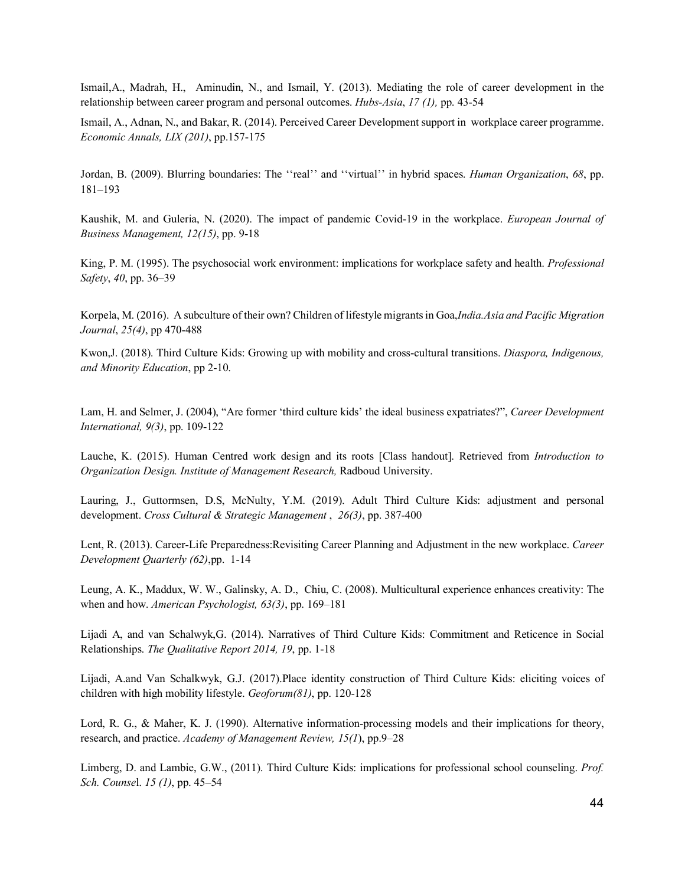Ismail,A., Madrah, H., Aminudin, N., and Ismail, Y. (2013). Mediating the role of career development in the relationship between career program and personal outcomes. *Hubs-Asia*, *17 (1),* pp. 43-54

Ismail, A., Adnan, N., and Bakar, R. (2014). Perceived Career Development support in workplace career programme. *Economic Annals, LIX (201)*, pp.157-175

Jordan, B. (2009). Blurring boundaries: The ''real'' and ''virtual'' in hybrid spaces. *Human Organization*, *68*, pp. 181–193

Kaushik, M. and Guleria, N. (2020). The impact of pandemic Covid-19 in the workplace. *European Journal of Business Management, 12(15)*, pp. 9-18

King, P. M. (1995). The psychosocial work environment: implications for workplace safety and health. *Professional Safety*, *40*, pp. 36–39

Korpela, M. (2016). A subculture of their own? Children of lifestyle migrants in Goa,*India.Asia and Pacific Migration Journal*, *25(4)*, pp 470-488

Kwon,J. (2018). Third Culture Kids: Growing up with mobility and cross-cultural transitions. *Diaspora, Indigenous, and Minority Education*, pp 2-10.

Lam, H. and Selmer, J. (2004), "Are former 'third culture kids' the ideal business expatriates?", *Career Development International, 9(3)*, pp. 109-122

Lauche, K. (2015). Human Centred work design and its roots [Class handout]. Retrieved from *Introduction to Organization Design. Institute of Management Research,* Radboud University.

Lauring, J., Guttormsen, D.S, McNulty, Y.M. (2019). Adult Third Culture Kids: adjustment and personal development. *Cross Cultural & Strategic Management* , *26(3)*, pp. 387-400

Lent, R. (2013). Career-Life Preparedness:Revisiting Career Planning and Adjustment in the new workplace. *Career Development Quarterly (62)*,pp. 1-14

Leung, A. K., Maddux, W. W., Galinsky, A. D., Chiu, C. (2008). Multicultural experience enhances creativity: The when and how. *American Psychologist, 63(3)*, pp. 169–181

Lijadi A, and van Schalwyk,G. (2014). Narratives of Third Culture Kids: Commitment and Reticence in Social Relationships. *The Qualitative Report 2014, 19*, pp. 1-18

Lijadi, A.and Van Schalkwyk, G.J. (2017).Place identity construction of Third Culture Kids: eliciting voices of children with high mobility lifestyle. *Geoforum(81)*, pp. 120-128

Lord, R. G., & Maher, K. J. (1990). Alternative information-processing models and their implications for theory, research, and practice. *Academy of Management Review, 15(1*), pp.9–28

Limberg, D. and Lambie, G.W., (2011). Third Culture Kids: implications for professional school counseling. *Prof. Sch. Counse*l. *15 (1)*, pp. 45–54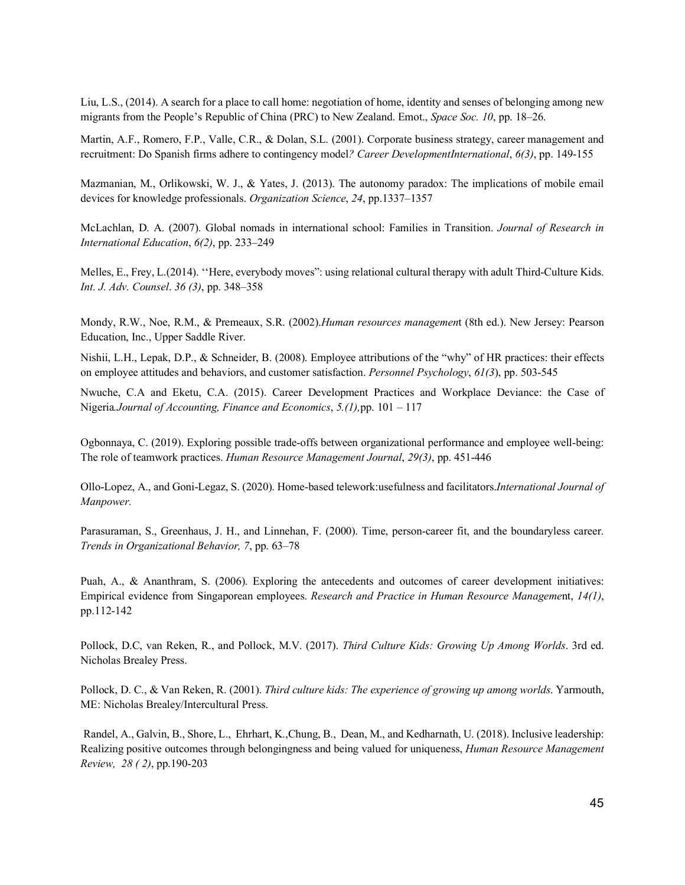Liu, L.S., (2014). A search for a place to call home: negotiation of home, identity and senses of belonging among new migrants from the People's Republic of China (PRC) to New Zealand. Emot., *Space Soc. 10*, pp. 18–26.

Martin, A.F., Romero, F.P., Valle, C.R., & Dolan, S.L. (2001). Corporate business strategy, career management and recruitment: Do Spanish firms adhere to contingency model*? Career DevelopmentInternational*, *6(3)*, pp. 149-155

Mazmanian, M., Orlikowski, W. J., & Yates, J. (2013). The autonomy paradox: The implications of mobile email devices for knowledge professionals. *Organization Science*, *24*, pp.1337–1357

McLachlan, D. A. (2007). Global nomads in international school: Families in Transition. *Journal of Research in International Education*, *6(2)*, pp. 233–249

Melles, E., Frey, L.(2014). ''Here, everybody moves": using relational cultural therapy with adult Third-Culture Kids. *Int. J. Adv. Counsel*. *36 (3)*, pp. 348–358

Mondy, R.W., Noe, R.M., & Premeaux, S.R. (2002).*Human resources managemen*t (8th ed.). New Jersey: Pearson Education, Inc., Upper Saddle River.

Nishii, L.H., Lepak, D.P., & Schneider, B. (2008). Employee attributions of the "why" of HR practices: their effects on employee attitudes and behaviors, and customer satisfaction. *Personnel Psychology*, *61(3*), pp. 503-545

Nwuche, C.A and Eketu, C.A. (2015). Career Development Practices and Workplace Deviance: the Case of Nigeria*.Journal of Accounting, Finance and Economics*, *5.(1),*pp. 101 – 117

Ogbonnaya, C. (2019). Exploring possible trade-offs between organizational performance and employee well-being: The role of teamwork practices. *Human Resource Management Journal*, *29(3)*, pp. 451-446

Ollo-Lopez, A., and Goni-Legaz, S. (2020). Home-based telework:usefulness and facilitators.*International Journal of Manpower.*

Parasuraman, S., Greenhaus, J. H., and Linnehan, F. (2000). Time, person-career fit, and the boundaryless career. *Trends in Organizational Behavior, 7*, pp. 63–78

Puah, A., & Ananthram, S. (2006). Exploring the antecedents and outcomes of career development initiatives: Empirical evidence from Singaporean employees. *Research and Practice in Human Resource Manageme*nt, *14(1)*, pp.112-142

Pollock, D.C, van Reken, R., and Pollock, M.V. (2017). *Third Culture Kids: Growing Up Among Worlds*. 3rd ed. Nicholas Brealey Press.

Pollock, D. C., & Van Reken, R. (2001). *Third culture kids: The experience of growing up among worlds*. Yarmouth, ME: Nicholas Brealey/Intercultural Press.

Randel, A., Galvin, B., Shore, L., Ehrhart, K.,Chung, B., Dean, M., and Kedharnath, U. (2018). Inclusive leadership: Realizing positive outcomes through belongingness and being valued for uniqueness, *Human Resource Management Review, 28 ( 2)*, pp.190-203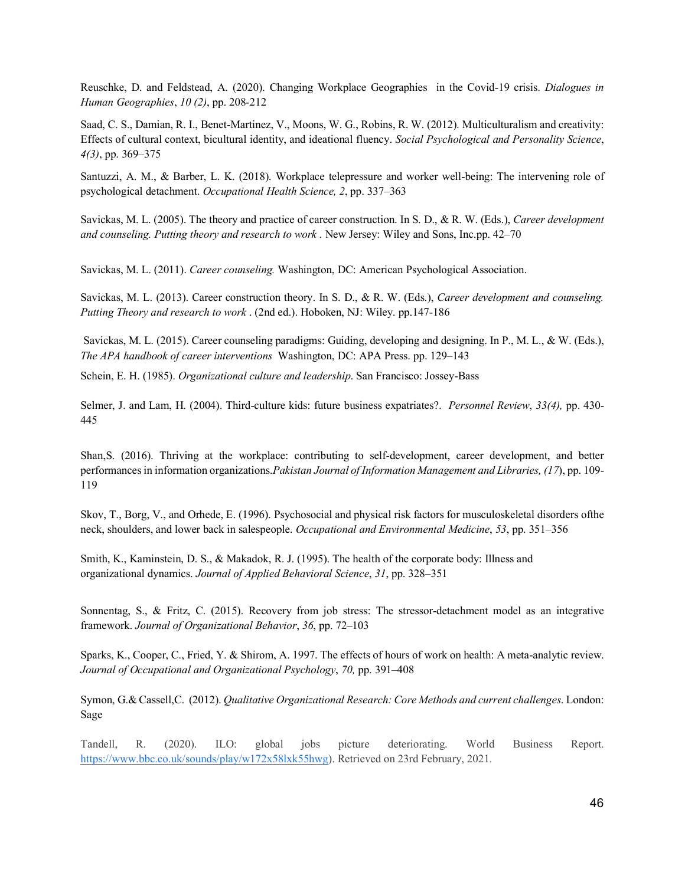Reuschke, D. and Feldstead, A. (2020). Changing Workplace Geographies in the Covid-19 crisis. *Dialogues in Human Geographies*, *10 (2)*, pp. 208-212

Saad, C. S., Damian, R. I., Benet-Martinez, V., Moons, W. G., Robins, R. W. (2012). Multiculturalism and creativity: Effects of cultural context, bicultural identity, and ideational fluency. *Social Psychological and Personality Science*, *4(3)*, pp. 369–375

Santuzzi, A. M., & Barber, L. K. (2018). Workplace telepressure and worker well‐being: The intervening role of psychological detachment. *Occupational Health Science, 2*, pp. 337–363

Savickas, M. L. (2005). The theory and practice of career construction. In S. D., & R. W. (Eds.), *Career development and counseling. Putting theory and research to work* . New Jersey: Wiley and Sons, Inc.pp. 42–70

Savickas, M. L. (2011). *Career counseling.* Washington, DC: American Psychological Association.

Savickas, M. L. (2013). Career construction theory. In S. D., & R. W. (Eds.), *Career development and counseling. Putting Theory and research to work* . (2nd ed.). Hoboken, NJ: Wiley. pp.147-186

Savickas, M. L. (2015). Career counseling paradigms: Guiding, developing and designing. In P., M. L., & W. (Eds.), *The APA handbook of career interventions* Washington, DC: APA Press. pp. 129–143

Schein, E. H. (1985). *Organizational culture and leadership*. San Francisco: Jossey-Bass

Selmer, J. and Lam, H. (2004). Third-culture kids: future business expatriates?. *Personnel Review*, *33(4),* pp. 430- 445

Shan,S. (2016). Thriving at the workplace: contributing to self-development, career development, and better performances in information organizations.*Pakistan Journal of Information Management and Libraries, (17*), pp. 109- 119

Skov, T., Borg, V., and Orhede, E. (1996). Psychosocial and physical risk factors for musculoskeletal disorders ofthe neck, shoulders, and lower back in salespeople. *Occupational and Environmental Medicine*, *53*, pp. 351–356

Smith, K., Kaminstein, D. S., & Makadok, R. J. (1995). The health of the corporate body: Illness and organizational dynamics. *Journal of Applied Behavioral Science*, *31*, pp. 328–351

Sonnentag, S., & Fritz, C. (2015). Recovery from job stress: The stressor-detachment model as an integrative framework. *Journal of Organizational Behavior*, *36*, pp. 72–103

Sparks, K., Cooper, C., Fried, Y. & Shirom, A. 1997. The effects of hours of work on health: A meta-analytic review. *Journal of Occupational and Organizational Psychology*, *70,* pp. 391–408

Symon, G.& Cassell,C. (2012). *Qualitative Organizational Research: Core Methods and current challenges*. London: Sage

Tandell, R. (2020). ILO: global jobs picture deteriorating. World Business Report. [https://www.bbc.co.uk/sounds/play/w172x58lxk55hwg\)](https://www.bbc.co.uk/sounds/play/w172x58lxk55hwg). Retrieved on 23rd February, 2021.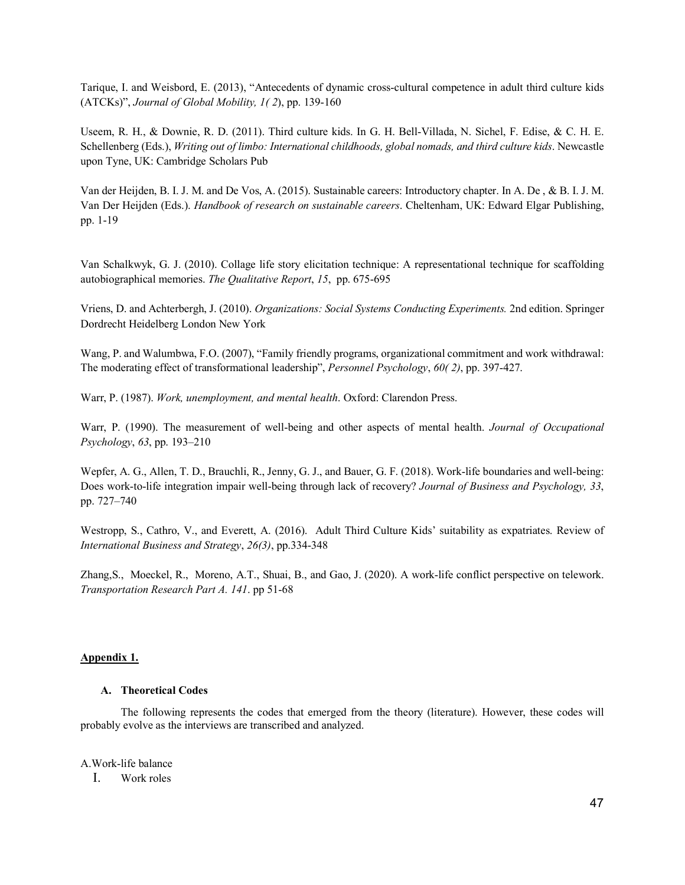Tarique, I. and Weisbord, E. (2013), "Antecedents of dynamic cross-cultural competence in adult third culture kids (ATCKs)", *Journal of Global Mobility, 1( 2*), pp. 139-160

Useem, R. H., & Downie, R. D. (2011). Third culture kids. In G. H. Bell-Villada, N. Sichel, F. Edise, & C. H. E. Schellenberg (Eds.), *Writing out of limbo: International childhoods, global nomads, and third culture kids*. Newcastle upon Tyne, UK: Cambridge Scholars Pub

Van der Heijden, B. I. J. M. and De Vos, A. (2015). Sustainable careers: Introductory chapter. In A. De , & B. I. J. M. Van Der Heijden (Eds.). *Handbook of research on sustainable careers*. Cheltenham, UK: Edward Elgar Publishing, pp. 1-19

Van Schalkwyk, G. J. (2010). Collage life story elicitation technique: A representational technique for scaffolding autobiographical memories. *The Qualitative Report*, *15*, pp. 675-695

Vriens, D. and Achterbergh, J. (2010). *Organizations: Social Systems Conducting Experiments.* 2nd edition. Springer Dordrecht Heidelberg London New York

Wang, P. and Walumbwa, F.O. (2007), "Family friendly programs, organizational commitment and work withdrawal: The moderating effect of transformational leadership", *Personnel Psychology*, *60( 2)*, pp. 397-427.

Warr, P. (1987). *Work, unemployment, and mental health*. Oxford: Clarendon Press.

Warr, P. (1990). The measurement of well-being and other aspects of mental health. *Journal of Occupational Psychology*, *63*, pp. 193–210

Wepfer, A. G., Allen, T. D., Brauchli, R., Jenny, G. J., and Bauer, G. F. (2018). Work-life boundaries and well-being: Does work‐to‐life integration impair well‐being through lack of recovery? *Journal of Business and Psychology, 33*, pp. 727–740

Westropp, S., Cathro, V., and Everett, A. (2016). Adult Third Culture Kids' suitability as expatriates. Review of *International Business and Strategy*, *26(3)*, pp.334-348

Zhang,S., Moeckel, R., Moreno, A.T., Shuai, B., and Gao, J. (2020). A work-life conflict perspective on telework. *Transportation Research Part A. 141*. pp 51-68

# <span id="page-47-1"></span><span id="page-47-0"></span>**Appendix 1.**

#### **A. Theoretical Codes**

The following represents the codes that emerged from the theory (literature). However, these codes will probably evolve as the interviews are transcribed and analyzed.

A.Work-life balance

I. Work roles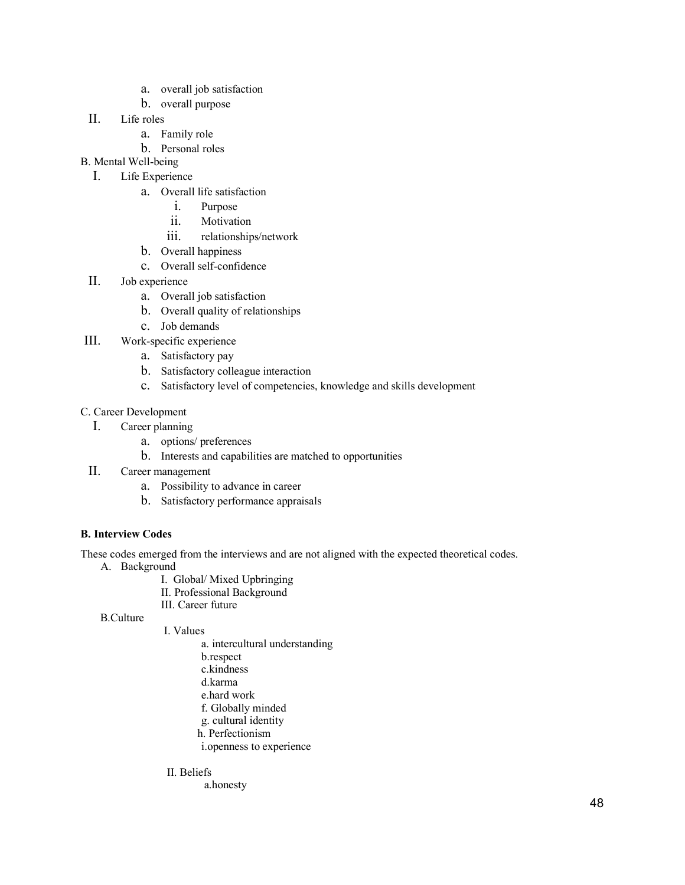- a. overall job satisfaction
- b. overall purpose
- II. Life roles
	- a. Family role
	- b. Personal roles
- B. Mental Well-being
	- I. Life Experience
		- a. Overall life satisfaction
			- i. Purpose
			- ii. Motivation
			- iii. relationships/network
		- b. Overall happiness
		- c. Overall self-confidence
- II. Job experience
	- a. Overall job satisfaction
	- b. Overall quality of relationships
	- c. Job demands
- III. Work-specific experience
	- a. Satisfactory pay
	- b. Satisfactory colleague interaction
	- c. Satisfactory level of competencies, knowledge and skills development

# C. Career Development

- I. Career planning
	- a. options/ preferences
	- b. Interests and capabilities are matched to opportunities
- II. Career management
	- a. Possibility to advance in career
	- b. Satisfactory performance appraisals

# <span id="page-48-0"></span>**B. Interview Codes**

These codes emerged from the interviews and are not aligned with the expected theoretical codes.

- A. Background
	- I. Global/ Mixed Upbringing
	- II. Professional Background
	- III. Career future

B.Culture

- I. Values
	- a. intercultural understanding
	- b.respect
	- c.kindness
	- d.karma
	- e.hard work
	- f. Globally minded
	- g. cultural identity
	- h. Perfectionism
	- i.openness to experience

# II. Beliefs

a.honesty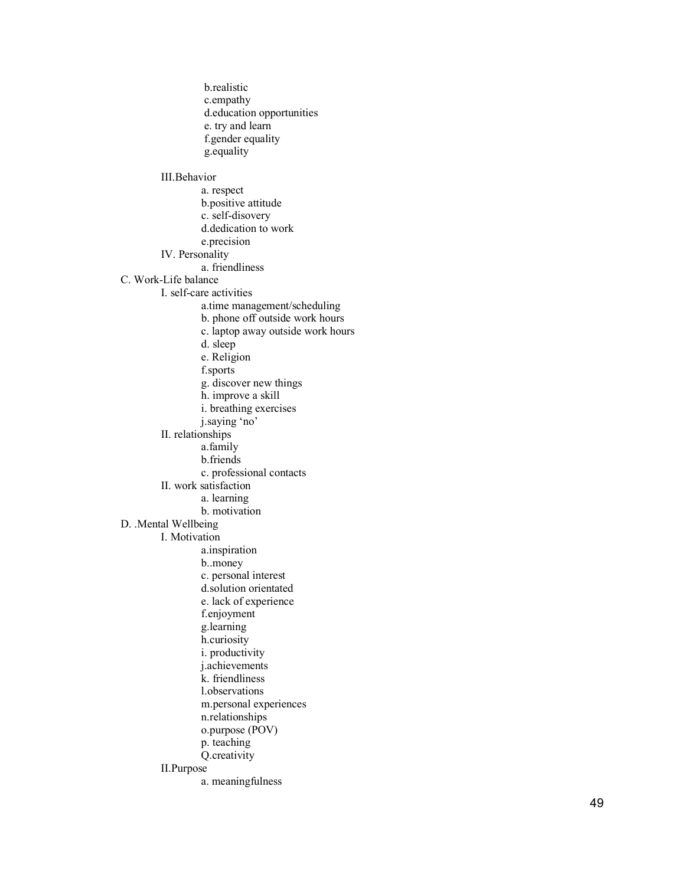b.realistic c.empathy d.education opportunities e. try and learn f.gender equality g.equality III.Behavior a. respect b.positive attitude c. self-disovery d.dedication to work e.precision IV. Personality a. friendliness C. Work -Life balance I. self-care activities a.time management/scheduling b. phone off outside work hours c. laptop away outside work hours d. sleep e. Religion f.sports g. discover new things h. improve a skill i. breathing exercises j.saying 'no' II. relationships a.family b.friends c. professional contacts II. work satisfaction a. learning b. motivation D. .Mental Wellbeing I. Motivation a.inspiration b..money c. personal interest d.solution orientated e. lack of experience f.enjoyment g.learning h.curiosity i. productivity j.achievements k. friendliness l.observations m.personal experiences n.relationships o.purpose (POV) p. teaching Q.creativity II.Purpose a. meaningfulness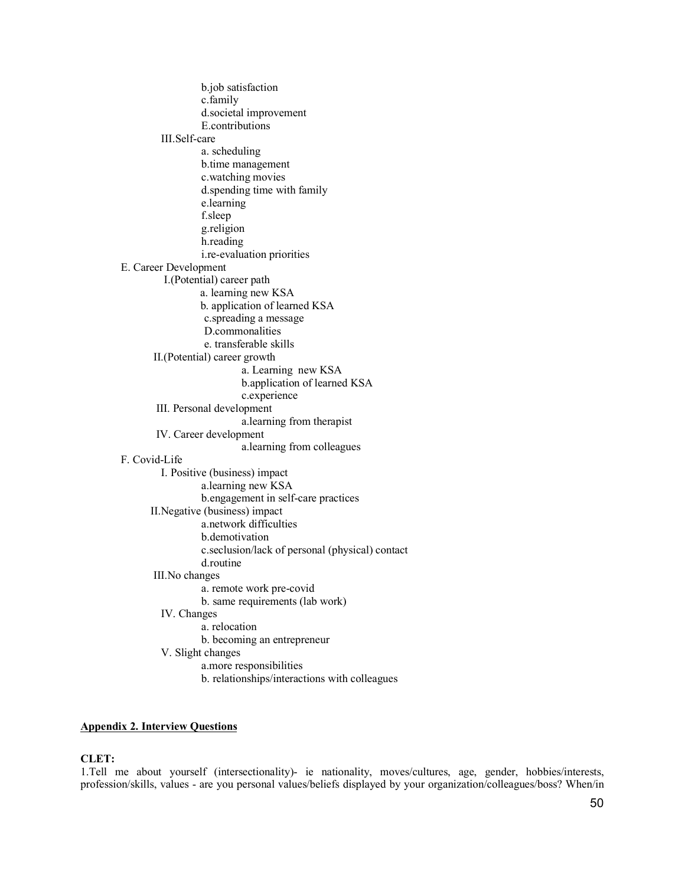b.job satisfaction c.family d.societal improvement E.contributions III.Self-care a. scheduling b.time management c.watching movies d.spending time with family e.learning f.sleep g.religion h.reading i.re-evaluation priorities E. Career Development I.(Potential) career path a. learning new KSA b. application of learned KSA c.spreading a message D.commonalities e. transferable skills II.(Potential) career growth a. Learning new KSA b.application of learned KSA c.experience III. Personal development a.learning from therapist IV. Career development a.learning from colleagues F. Covid-Life I. Positive (business) impact a.learning new KSA b.engagement in self-care practices II.Negative (business) impact a.network difficulties b.demotivation c.seclusion/lack of personal (physical) contact d.routine III.No changes a. remote work pre-covid b. same requirements (lab work) IV. Changes a. relocation b. becoming an entrepreneur V. Slight changes a.more responsibilities b. relationships/interactions with colleagues

# <span id="page-50-0"></span>**Appendix 2. Interview Questions**

#### **CLET:**

1.Tell me about yourself (intersectionality)- ie nationality, moves/cultures, age, gender, hobbies/interests, profession/skills, values - are you personal values/beliefs displayed by your organization/colleagues/boss? When/in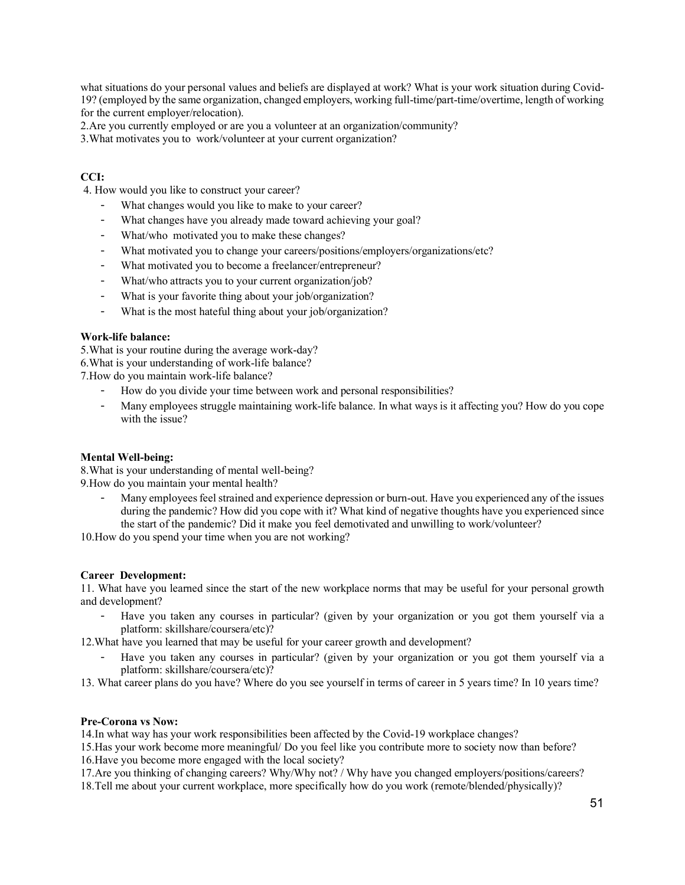what situations do your personal values and beliefs are displayed at work? What is your work situation during Covid-19? (employed by the same organization, changed employers, working full-time/part-time/overtime, length of working for the current employer/relocation).

2.Are you currently employed or are you a volunteer at an organization/community?

3.What motivates you to work/volunteer at your current organization?

# **CCI:**

4. How would you like to construct your career?

- What changes would you like to make to your career?
- What changes have you already made toward achieving your goal?
- What/who motivated you to make these changes?
- What motivated you to change your careers/positions/employers/organizations/etc?
- What motivated you to become a freelancer/entrepreneur?
- What/who attracts you to your current organization/job?
- What is your favorite thing about your job/organization?
- What is the most hateful thing about your job/organization?

#### **Work-life balance:**

5.What is your routine during the average work-day? 6.What is your understanding of work-life balance?

7.How do you maintain work-life balance?

- How do you divide your time between work and personal responsibilities?
- Many employees struggle maintaining work-life balance. In what ways is it affecting you? How do you cope with the issue?

# **Mental Well-being:**

8.What is your understanding of mental well-being? 9.How do you maintain your mental health?

- Many employees feel strained and experience depression or burn-out. Have you experienced any of the issues during the pandemic? How did you cope with it? What kind of negative thoughts have you experienced since the start of the pandemic? Did it make you feel demotivated and unwilling to work/volunteer?

10.How do you spend your time when you are not working?

#### **Career Development:**

11. What have you learned since the start of the new workplace norms that may be useful for your personal growth and development?

- Have you taken any courses in particular? (given by your organization or you got them yourself via a platform: skillshare/coursera/etc)?

12.What have you learned that may be useful for your career growth and development?

- Have you taken any courses in particular? (given by your organization or you got them yourself via a platform: skillshare/coursera/etc)?
- 13. What career plans do you have? Where do you see yourself in terms of career in 5 years time? In 10 years time?

# **Pre-Corona vs Now:**

14.In what way has your work responsibilities been affected by the Covid-19 workplace changes?

15.Has your work become more meaningful/ Do you feel like you contribute more to society now than before? 16.Have you become more engaged with the local society?

17.Are you thinking of changing careers? Why/Why not? / Why have you changed employers/positions/careers? 18.Tell me about your current workplace, more specifically how do you work (remote/blended/physically)?